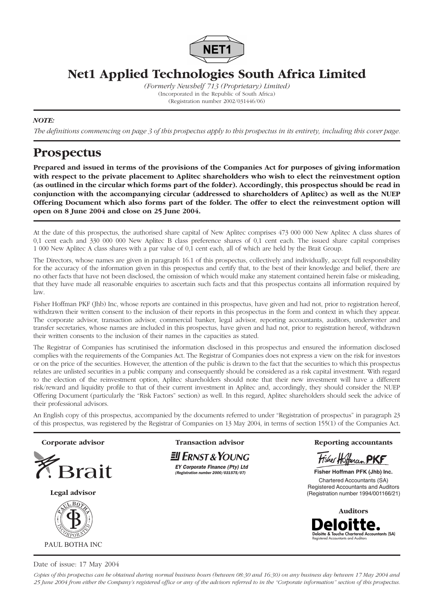

**Net1 Applied Technologies South Africa Limited**

*(Formerly Newshelf 713 (Proprietary) Limited)* (Incorporated in the Republic of South Africa) (Registration number 2002/031446/06)

## *NOTE:*

*The definitions commencing on page 3 of this prospectus apply to this prospectus in its entirety, including this cover page.*

# **Prospectus**

**Prepared and issued in terms of the provisions of the Companies Act for purposes of giving information with respect to the private placement to Aplitec shareholders who wish to elect the reinvestment option (as outlined in the circular which forms part of the folder). Accordingly, this prospectus should be read in conjunction with the accompanying circular (addressed to shareholders of Aplitec) as well as the NUEP Offering Document which also forms part of the folder. The offer to elect the reinvestment option will open on 8 June 2004 and close on 25 June 2004.**

At the date of this prospectus, the authorised share capital of New Aplitec comprises 473 000 000 New Aplitec A class shares of 0,1 cent each and 330 000 000 New Aplitec B class preference shares of 0,1 cent each. The issued share capital comprises 1 000 New Aplitec A class shares with a par value of 0,1 cent each, all of which are held by the Brait Group.

The Directors, whose names are given in paragraph 16.1 of this prospectus, collectively and individually, accept full responsibility for the accuracy of the information given in this prospectus and certify that, to the best of their knowledge and belief, there are no other facts that have not been disclosed, the omission of which would make any statement contained herein false or misleading, that they have made all reasonable enquiries to ascertain such facts and that this prospectus contains all information required by law.

Fisher Hoffman PKF (Jhb) Inc, whose reports are contained in this prospectus, have given and had not, prior to registration hereof, withdrawn their written consent to the inclusion of their reports in this prospectus in the form and context in which they appear. The corporate advisor, transaction advisor, commercial banker, legal advisor, reporting accountants, auditors, underwriter and transfer secretaries, whose names are included in this prospectus, have given and had not, prior to registration hereof, withdrawn their written consents to the inclusion of their names in the capacities as stated.

The Registrar of Companies has scrutinised the information disclosed in this prospectus and ensured the information disclosed complies with the requirements of the Companies Act. The Registrar of Companies does not express a view on the risk for investors or on the price of the securities. However, the attention of the public is drawn to the fact that the securities to which this prospectus relates are unlisted securities in a public company and consequently should be considered as a risk capital investment. With regard to the election of the reinvestment option, Aplitec shareholders should note that their new investment will have a different risk/reward and liquidity profile to that of their current investment in Aplitec and, accordingly, they should consider the NUEP Offering Document (particularly the "Risk Factors" section) as well. In this regard, Aplitec shareholders should seek the advice of their professional advisors.

An English copy of this prospectus, accompanied by the documents referred to under "Registration of prospectus" in paragraph 23 of this prospectus, was registered by the Registrar of Companies on 13 May 2004, in terms of section 155(1) of the Companies Act.



Date of issue: 17 May 2004

*Copies of this prospectus can be obtained during normal business hours (between 08:30 and 16:30) on any business day between 17 May 2004 and 25 June 2004 from either the Company's registered office or any of the advisors referred to in the "Corporate information" section of this prospectus.*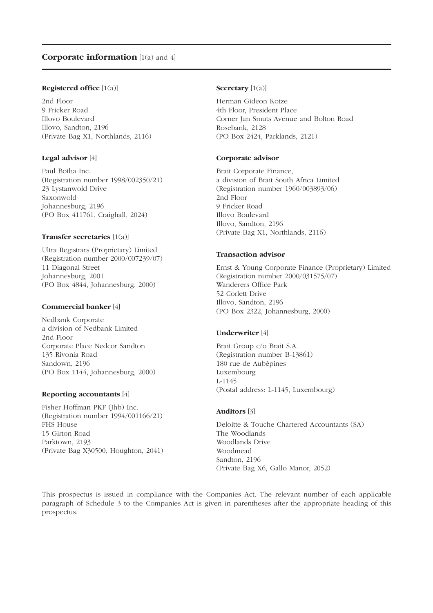#### **Registered office** [1(a)]

2nd Floor 9 Fricker Road Illovo Boulevard Illovo, Sandton, 2196 (Private Bag X1, Northlands, 2116)

#### **Legal advisor** [4]

Paul Botha Inc. (Registration number 1998/002350/21) 23 Lystanwold Drive Saxonwold Johannesburg, 2196 (PO Box 411761, Craighall, 2024)

#### **Transfer secretaries** [1(a)]

Ultra Registrars (Proprietary) Limited (Registration number 2000/007239/07) 11 Diagonal Street Johannesburg, 2001 (PO Box 4844, Johannesburg, 2000)

#### **Commercial banker** [4]

Nedbank Corporate a division of Nedbank Limited 2nd Floor Corporate Place Nedcor Sandton 135 Rivonia Road Sandown, 2196 (PO Box 1144, Johannesburg, 2000)

#### **Reporting accountants** [4]

Fisher Hoffman PKF (Jhb) Inc. (Registration number 1994/001166/21) FHS House 15 Girton Road Parktown, 2193 (Private Bag X30500, Houghton, 2041)

#### **Secretary** [1(a)]

Herman Gideon Kotze 4th Floor, President Place Corner Jan Smuts Avenue and Bolton Road Rosebank, 2128 (PO Box 2424, Parklands, 2121)

#### **Corporate advisor**

Brait Corporate Finance, a division of Brait South Africa Limited (Registration number 1960/003893/06) 2nd Floor 9 Fricker Road Illovo Boulevard Illovo, Sandton, 2196 (Private Bag X1, Northlands, 2116)

#### **Transaction advisor**

Ernst & Young Corporate Finance (Proprietary) Limited (Registration number 2000/031575/07) Wanderers Office Park 52 Corlett Drive Illovo, Sandton, 2196 (PO Box 2322, Johannesburg, 2000)

#### **Underwriter** [4]

Brait Group c/o Brait S.A. (Registration number B-13861) 180 rue de Aubépines Luxembourg L-1145 (Postal address: L-1145, Luxembourg)

#### **Auditors** [3]

Deloitte & Touche Chartered Accountants (SA) The Woodlands Woodlands Drive Woodmead Sandton, 2196 (Private Bag X6, Gallo Manor, 2052)

This prospectus is issued in compliance with the Companies Act. The relevant number of each applicable paragraph of Schedule 3 to the Companies Act is given in parentheses after the appropriate heading of this prospectus.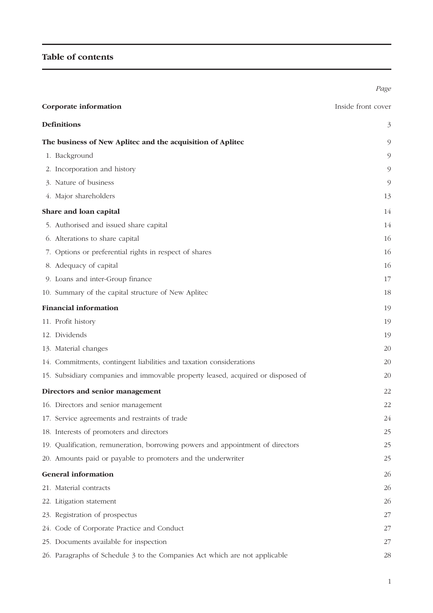# **Table of contents**

| Corporate information                                                           | Inside front cover |
|---------------------------------------------------------------------------------|--------------------|
| <b>Definitions</b>                                                              | 3                  |
| The business of New Aplitec and the acquisition of Aplitec                      | 9                  |
| 1. Background                                                                   | 9                  |
| 2. Incorporation and history                                                    | 9                  |
| 3. Nature of business                                                           | 9                  |
| 4. Major shareholders                                                           | 13                 |
| Share and loan capital                                                          | 14                 |
| 5. Authorised and issued share capital                                          | 14                 |
| 6. Alterations to share capital                                                 | 16                 |
| 7. Options or preferential rights in respect of shares                          | 16                 |
| 8. Adequacy of capital                                                          | 16                 |
| 9. Loans and inter-Group finance                                                | 17                 |
| 10. Summary of the capital structure of New Aplitec                             | 18                 |
| <b>Financial information</b>                                                    | 19                 |
| 11. Profit history                                                              | 19                 |
| 12. Dividends                                                                   | 19                 |
| 13. Material changes                                                            | 20                 |
| 14. Commitments, contingent liabilities and taxation considerations             | 20                 |
| 15. Subsidiary companies and immovable property leased, acquired or disposed of | 20                 |
| Directors and senior management                                                 | 22                 |
| 16. Directors and senior management                                             | 22                 |
| 17. Service agreements and restraints of trade                                  | 24                 |
| 18. Interests of promoters and directors                                        | 25                 |
| 19. Qualification, remuneration, borrowing powers and appointment of directors  | 25                 |
| 20. Amounts paid or payable to promoters and the underwriter                    | 25                 |
| <b>General information</b>                                                      | 26                 |
| 21. Material contracts                                                          | 26                 |
| 22. Litigation statement                                                        | 26                 |
| 23. Registration of prospectus                                                  | 27                 |
| 24. Code of Corporate Practice and Conduct                                      | 27                 |
| 25. Documents available for inspection                                          | 27                 |
| 26. Paragraphs of Schedule 3 to the Companies Act which are not applicable      | 28                 |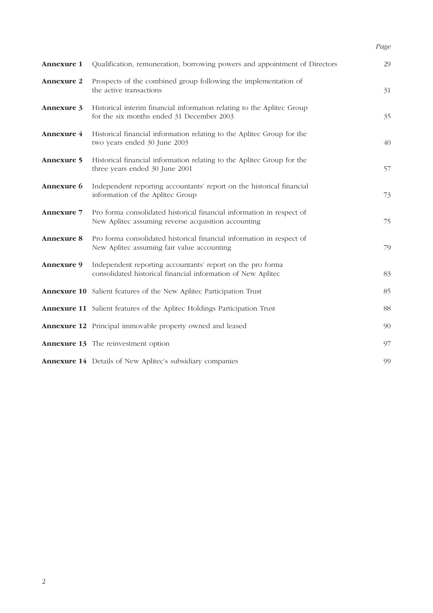# *Page*

| <b>Annexure 1</b> | Qualification, remuneration, borrowing powers and appointment of Directors                                                   | 29 |
|-------------------|------------------------------------------------------------------------------------------------------------------------------|----|
| <b>Annexure 2</b> | Prospects of the combined group following the implementation of<br>the active transactions                                   | 31 |
| Annexure 3        | Historical interim financial information relating to the Aplitec Group<br>for the six months ended 31 December 2003          | 35 |
| Annexure 4        | Historical financial information relating to the Aplitec Group for the<br>two years ended 30 June 2003                       | 40 |
| <b>Annexure 5</b> | Historical financial information relating to the Aplitec Group for the<br>three years ended 30 June 2001                     | 57 |
| Annexure 6        | Independent reporting accountants' report on the historical financial<br>information of the Aplitec Group                    | 73 |
| <b>Annexure 7</b> | Pro forma consolidated historical financial information in respect of<br>New Aplitec assuming reverse acquisition accounting | 75 |
| <b>Annexure 8</b> | Pro forma consolidated historical financial information in respect of<br>New Aplitec assuming fair value accounting          | 79 |
| Annexure 9        | Independent reporting accountants' report on the pro forma<br>consolidated historical financial information of New Aplitec   | 83 |
|                   | <b>Annexure 10</b> Salient features of the New Aplitec Participation Trust                                                   | 85 |
|                   | <b>Annexure 11</b> Salient features of the Aplitec Holdings Participation Trust                                              | 88 |
|                   | <b>Annexure 12</b> Principal immovable property owned and leased                                                             | 90 |
|                   | <b>Annexure 13</b> The reinvestment option                                                                                   | 97 |
|                   | <b>Annexure 14</b> Details of New Aplitec's subsidiary companies                                                             | 99 |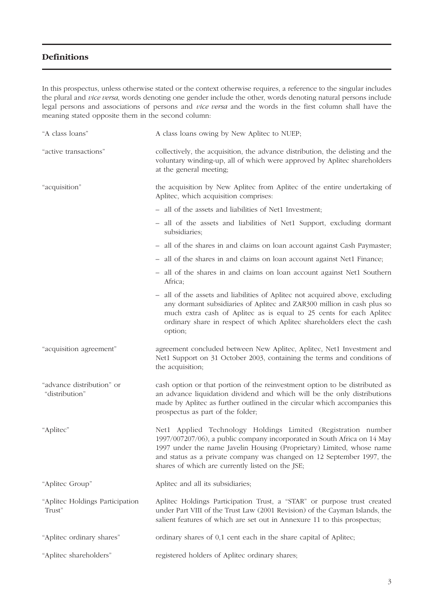## **Definitions**

In this prospectus, unless otherwise stated or the context otherwise requires, a reference to the singular includes the plural and *vice versa*, words denoting one gender include the other, words denoting natural persons include legal persons and associations of persons and *vice versa* and the words in the first column shall have the meaning stated opposite them in the second column:

| "A class loans"                             | A class loans owing by New Aplitec to NUEP;                                                                                                                                                                                                                                                                                                     |
|---------------------------------------------|-------------------------------------------------------------------------------------------------------------------------------------------------------------------------------------------------------------------------------------------------------------------------------------------------------------------------------------------------|
| "active transactions"                       | collectively, the acquisition, the advance distribution, the delisting and the<br>voluntary winding-up, all of which were approved by Aplitec shareholders<br>at the general meeting;                                                                                                                                                           |
| "acquisition"                               | the acquisition by New Aplitec from Aplitec of the entire undertaking of<br>Aplitec, which acquisition comprises:                                                                                                                                                                                                                               |
|                                             | - all of the assets and liabilities of Net1 Investment;                                                                                                                                                                                                                                                                                         |
|                                             | - all of the assets and liabilities of Net1 Support, excluding dormant<br>subsidiaries;                                                                                                                                                                                                                                                         |
|                                             | - all of the shares in and claims on loan account against Cash Paymaster;                                                                                                                                                                                                                                                                       |
|                                             | - all of the shares in and claims on loan account against Net1 Finance;                                                                                                                                                                                                                                                                         |
|                                             | - all of the shares in and claims on loan account against Net1 Southern<br>Africa;                                                                                                                                                                                                                                                              |
|                                             | - all of the assets and liabilities of Aplitec not acquired above, excluding<br>any dormant subsidiaries of Aplitec and ZAR300 million in cash plus so<br>much extra cash of Aplitec as is equal to 25 cents for each Aplitec<br>ordinary share in respect of which Aplitec shareholders elect the cash<br>option;                              |
| "acquisition agreement"                     | agreement concluded between New Aplitec, Aplitec, Net1 Investment and<br>Net1 Support on 31 October 2003, containing the terms and conditions of<br>the acquisition;                                                                                                                                                                            |
| "advance distribution" or<br>"distribution" | cash option or that portion of the reinvestment option to be distributed as<br>an advance liquidation dividend and which will be the only distributions<br>made by Aplitec as further outlined in the circular which accompanies this<br>prospectus as part of the folder;                                                                      |
| "Aplitec"                                   | Net1 Applied Technology Holdings Limited (Registration number<br>1997/007207/06), a public company incorporated in South Africa on 14 May<br>1997 under the name Javelin Housing (Proprietary) Limited, whose name<br>and status as a private company was changed on 12 September 1997, the<br>shares of which are currently listed on the JSE; |
| "Aplitec Group"                             | Aplitec and all its subsidiaries;                                                                                                                                                                                                                                                                                                               |
| "Aplitec Holdings Participation<br>Trust"   | Aplitec Holdings Participation Trust, a "STAR" or purpose trust created<br>under Part VIII of the Trust Law (2001 Revision) of the Cayman Islands, the<br>salient features of which are set out in Annexure 11 to this prospectus;                                                                                                              |
| "Aplitec ordinary shares"                   | ordinary shares of 0,1 cent each in the share capital of Aplitec;                                                                                                                                                                                                                                                                               |
| "Aplitec shareholders"                      | registered holders of Aplitec ordinary shares;                                                                                                                                                                                                                                                                                                  |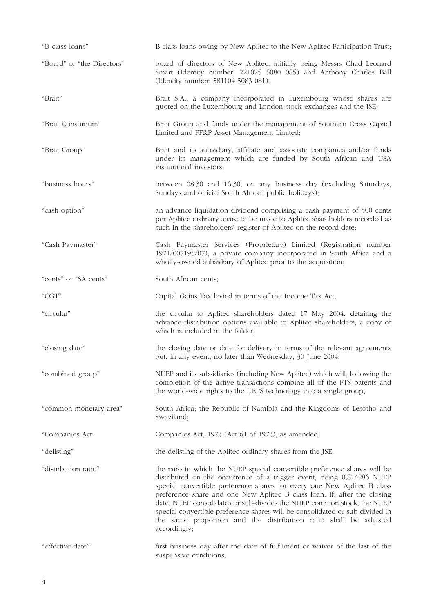| "B class loans"            | B class loans owing by New Aplitec to the New Aplitec Participation Trust;                                                                                                                                                                                                                                                                                                                                                                                                                                                                              |  |  |
|----------------------------|---------------------------------------------------------------------------------------------------------------------------------------------------------------------------------------------------------------------------------------------------------------------------------------------------------------------------------------------------------------------------------------------------------------------------------------------------------------------------------------------------------------------------------------------------------|--|--|
| "Board" or "the Directors" | board of directors of New Aplitec, initially being Messrs Chad Leonard<br>Smart (Identity number: 721025 5080 085) and Anthony Charles Ball<br>(Identity number: 581104 5083 081);                                                                                                                                                                                                                                                                                                                                                                      |  |  |
| "Brait"                    | Brait S.A., a company incorporated in Luxembourg whose shares are<br>quoted on the Luxembourg and London stock exchanges and the JSE;                                                                                                                                                                                                                                                                                                                                                                                                                   |  |  |
| "Brait Consortium"         | Brait Group and funds under the management of Southern Cross Capital<br>Limited and FF&P Asset Management Limited;                                                                                                                                                                                                                                                                                                                                                                                                                                      |  |  |
| "Brait Group"              | Brait and its subsidiary, affiliate and associate companies and/or funds<br>under its management which are funded by South African and USA<br>institutional investors;                                                                                                                                                                                                                                                                                                                                                                                  |  |  |
| "business hours"           | between 08:30 and 16:30, on any business day (excluding Saturdays,<br>Sundays and official South African public holidays);                                                                                                                                                                                                                                                                                                                                                                                                                              |  |  |
| "cash option"              | an advance liquidation dividend comprising a cash payment of 500 cents<br>per Aplitec ordinary share to be made to Aplitec shareholders recorded as<br>such in the shareholders' register of Aplitec on the record date;                                                                                                                                                                                                                                                                                                                                |  |  |
| "Cash Paymaster"           | Cash Paymaster Services (Proprietary) Limited (Registration number<br>1971/007195/07), a private company incorporated in South Africa and a<br>wholly-owned subsidiary of Aplitec prior to the acquisition;                                                                                                                                                                                                                                                                                                                                             |  |  |
| "cents" or "SA cents"      | South African cents;                                                                                                                                                                                                                                                                                                                                                                                                                                                                                                                                    |  |  |
| "CGT"                      | Capital Gains Tax levied in terms of the Income Tax Act;                                                                                                                                                                                                                                                                                                                                                                                                                                                                                                |  |  |
| "circular"                 | the circular to Aplitec shareholders dated 17 May 2004, detailing the<br>advance distribution options available to Aplitec shareholders, a copy of<br>which is included in the folder;                                                                                                                                                                                                                                                                                                                                                                  |  |  |
| "closing date"             | the closing date or date for delivery in terms of the relevant agreements<br>but, in any event, no later than Wednesday, 30 June 2004;                                                                                                                                                                                                                                                                                                                                                                                                                  |  |  |
| "combined group"           | NUEP and its subsidiaries (including New Aplitec) which will, following the<br>completion of the active transactions combine all of the FTS patents and<br>the world-wide rights to the UEPS technology into a single group;                                                                                                                                                                                                                                                                                                                            |  |  |
| "common monetary area"     | South Africa; the Republic of Namibia and the Kingdoms of Lesotho and<br>Swaziland;                                                                                                                                                                                                                                                                                                                                                                                                                                                                     |  |  |
| "Companies Act"            | Companies Act, 1973 (Act 61 of 1973), as amended;                                                                                                                                                                                                                                                                                                                                                                                                                                                                                                       |  |  |
| "delisting"                | the delisting of the Aplitec ordinary shares from the JSE;                                                                                                                                                                                                                                                                                                                                                                                                                                                                                              |  |  |
| "distribution ratio"       | the ratio in which the NUEP special convertible preference shares will be<br>distributed on the occurrence of a trigger event, being 0,814286 NUEP<br>special convertible preference shares for every one New Aplitec B class<br>preference share and one New Aplitec B class loan. If, after the closing<br>date, NUEP consolidates or sub-divides the NUEP common stock, the NUEP<br>special convertible preference shares will be consolidated or sub-divided in<br>the same proportion and the distribution ratio shall be adjusted<br>accordingly; |  |  |
| "effective date"           | first business day after the date of fulfilment or waiver of the last of the<br>suspensive conditions;                                                                                                                                                                                                                                                                                                                                                                                                                                                  |  |  |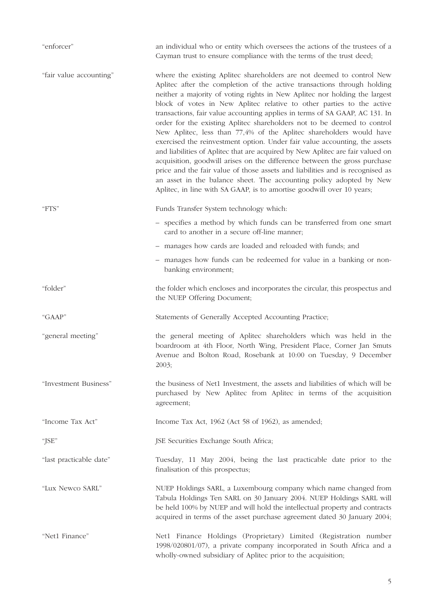| "enforcer"              | an individual who or entity which oversees the actions of the trustees of a<br>Cayman trust to ensure compliance with the terms of the trust deed;                                                                                                                                                                                                                                                                                                                                                                                                                                                                                                                                                                                                                                                                                                                                                                                                                                                                     |  |  |
|-------------------------|------------------------------------------------------------------------------------------------------------------------------------------------------------------------------------------------------------------------------------------------------------------------------------------------------------------------------------------------------------------------------------------------------------------------------------------------------------------------------------------------------------------------------------------------------------------------------------------------------------------------------------------------------------------------------------------------------------------------------------------------------------------------------------------------------------------------------------------------------------------------------------------------------------------------------------------------------------------------------------------------------------------------|--|--|
| "fair value accounting" | where the existing Aplitec shareholders are not deemed to control New<br>Aplitec after the completion of the active transactions through holding<br>neither a majority of voting rights in New Aplitec nor holding the largest<br>block of votes in New Aplitec relative to other parties to the active<br>transactions, fair value accounting applies in terms of SA GAAP, AC 131. In<br>order for the existing Aplitec shareholders not to be deemed to control<br>New Aplitec, less than 77,4% of the Aplitec shareholders would have<br>exercised the reinvestment option. Under fair value accounting, the assets<br>and liabilities of Aplitec that are acquired by New Aplitec are fair valued on<br>acquisition, goodwill arises on the difference between the gross purchase<br>price and the fair value of those assets and liabilities and is recognised as<br>an asset in the balance sheet. The accounting policy adopted by New<br>Aplitec, in line with SA GAAP, is to amortise goodwill over 10 years; |  |  |
| "FTS"                   | Funds Transfer System technology which:                                                                                                                                                                                                                                                                                                                                                                                                                                                                                                                                                                                                                                                                                                                                                                                                                                                                                                                                                                                |  |  |
|                         | - specifies a method by which funds can be transferred from one smart<br>card to another in a secure off-line manner;                                                                                                                                                                                                                                                                                                                                                                                                                                                                                                                                                                                                                                                                                                                                                                                                                                                                                                  |  |  |
|                         | - manages how cards are loaded and reloaded with funds; and                                                                                                                                                                                                                                                                                                                                                                                                                                                                                                                                                                                                                                                                                                                                                                                                                                                                                                                                                            |  |  |
|                         | - manages how funds can be redeemed for value in a banking or non-<br>banking environment;                                                                                                                                                                                                                                                                                                                                                                                                                                                                                                                                                                                                                                                                                                                                                                                                                                                                                                                             |  |  |
| "folder"                | the folder which encloses and incorporates the circular, this prospectus and<br>the NUEP Offering Document;                                                                                                                                                                                                                                                                                                                                                                                                                                                                                                                                                                                                                                                                                                                                                                                                                                                                                                            |  |  |
| "GAAP"                  | Statements of Generally Accepted Accounting Practice;                                                                                                                                                                                                                                                                                                                                                                                                                                                                                                                                                                                                                                                                                                                                                                                                                                                                                                                                                                  |  |  |
| "general meeting"       | the general meeting of Aplitec shareholders which was held in the<br>boardroom at 4th Floor, North Wing, President Place, Corner Jan Smuts<br>Avenue and Bolton Road, Rosebank at 10:00 on Tuesday, 9 December<br>2003;                                                                                                                                                                                                                                                                                                                                                                                                                                                                                                                                                                                                                                                                                                                                                                                                |  |  |
| "Investment Business"   | the business of Net1 Investment, the assets and liabilities of which will be<br>purchased by New Aplitec from Aplitec in terms of the acquisition<br>agreement;                                                                                                                                                                                                                                                                                                                                                                                                                                                                                                                                                                                                                                                                                                                                                                                                                                                        |  |  |
| "Income Tax Act"        | Income Tax Act, 1962 (Act 58 of 1962), as amended;                                                                                                                                                                                                                                                                                                                                                                                                                                                                                                                                                                                                                                                                                                                                                                                                                                                                                                                                                                     |  |  |
| "JSE"                   | JSE Securities Exchange South Africa;                                                                                                                                                                                                                                                                                                                                                                                                                                                                                                                                                                                                                                                                                                                                                                                                                                                                                                                                                                                  |  |  |
| "last practicable date" | Tuesday, 11 May 2004, being the last practicable date prior to the<br>finalisation of this prospectus;                                                                                                                                                                                                                                                                                                                                                                                                                                                                                                                                                                                                                                                                                                                                                                                                                                                                                                                 |  |  |
| "Lux Newco SARL"        | NUEP Holdings SARL, a Luxembourg company which name changed from<br>Tabula Holdings Ten SARL on 30 January 2004. NUEP Holdings SARL will<br>be held 100% by NUEP and will hold the intellectual property and contracts<br>acquired in terms of the asset purchase agreement dated 30 January 2004;                                                                                                                                                                                                                                                                                                                                                                                                                                                                                                                                                                                                                                                                                                                     |  |  |
| "Net1 Finance"          | Net1 Finance Holdings (Proprietary) Limited (Registration number<br>1998/020801/07), a private company incorporated in South Africa and a<br>wholly-owned subsidiary of Aplitec prior to the acquisition;                                                                                                                                                                                                                                                                                                                                                                                                                                                                                                                                                                                                                                                                                                                                                                                                              |  |  |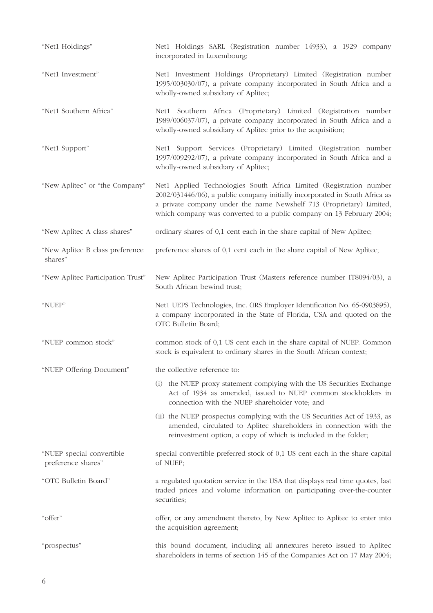| "Net1 Holdings"                                 | Net1 Holdings SARL (Registration number 14933), a 1929 company<br>incorporated in Luxembourg;                                                                                                                                                                                                      |  |  |  |  |
|-------------------------------------------------|----------------------------------------------------------------------------------------------------------------------------------------------------------------------------------------------------------------------------------------------------------------------------------------------------|--|--|--|--|
| "Net1 Investment"                               | Net1 Investment Holdings (Proprietary) Limited (Registration number<br>1995/003030/07), a private company incorporated in South Africa and a<br>wholly-owned subsidiary of Aplitec;                                                                                                                |  |  |  |  |
| "Net1 Southern Africa"                          | Net1 Southern Africa (Proprietary) Limited (Registration number<br>1989/006037/07), a private company incorporated in South Africa and a<br>wholly-owned subsidiary of Aplitec prior to the acquisition;                                                                                           |  |  |  |  |
| "Net1 Support"                                  | Net1 Support Services (Proprietary) Limited (Registration number<br>1997/009292/07), a private company incorporated in South Africa and a<br>wholly-owned subsidiary of Aplitec;                                                                                                                   |  |  |  |  |
| "New Aplitec" or "the Company"                  | Net1 Applied Technologies South Africa Limited (Registration number<br>2002/031446/06), a public company initially incorporated in South Africa as<br>a private company under the name Newshelf 713 (Proprietary) Limited,<br>which company was converted to a public company on 13 February 2004; |  |  |  |  |
| "New Aplitec A class shares"                    | ordinary shares of 0,1 cent each in the share capital of New Aplitec;                                                                                                                                                                                                                              |  |  |  |  |
| "New Aplitec B class preference<br>shares"      | preference shares of 0,1 cent each in the share capital of New Aplitec;                                                                                                                                                                                                                            |  |  |  |  |
| "New Aplitec Participation Trust"               | New Aplitec Participation Trust (Masters reference number IT8094/03), a<br>South African bewind trust;                                                                                                                                                                                             |  |  |  |  |
|                                                 |                                                                                                                                                                                                                                                                                                    |  |  |  |  |
| "NUEP"                                          | Net1 UEPS Technologies, Inc. (IRS Employer Identification No. 65-0903895),<br>a company incorporated in the State of Florida, USA and quoted on the<br>OTC Bulletin Board;                                                                                                                         |  |  |  |  |
| "NUEP common stock"                             | common stock of 0,1 US cent each in the share capital of NUEP. Common<br>stock is equivalent to ordinary shares in the South African context;                                                                                                                                                      |  |  |  |  |
| "NUEP Offering Document"                        | the collective reference to:                                                                                                                                                                                                                                                                       |  |  |  |  |
|                                                 | (i) the NUEP proxy statement complying with the US Securities Exchange<br>Act of 1934 as amended, issued to NUEP common stockholders in<br>connection with the NUEP shareholder vote; and                                                                                                          |  |  |  |  |
|                                                 | (ii) the NUEP prospectus complying with the US Securities Act of 1933, as<br>amended, circulated to Aplitec shareholders in connection with the<br>reinvestment option, a copy of which is included in the folder;                                                                                 |  |  |  |  |
| "NUEP special convertible<br>preference shares" | special convertible preferred stock of 0,1 US cent each in the share capital<br>of NUEP;                                                                                                                                                                                                           |  |  |  |  |
| "OTC Bulletin Board"                            | a regulated quotation service in the USA that displays real time quotes, last<br>traded prices and volume information on participating over-the-counter<br>securities;                                                                                                                             |  |  |  |  |
| "offer"                                         | offer, or any amendment thereto, by New Aplitec to Aplitec to enter into<br>the acquisition agreement;                                                                                                                                                                                             |  |  |  |  |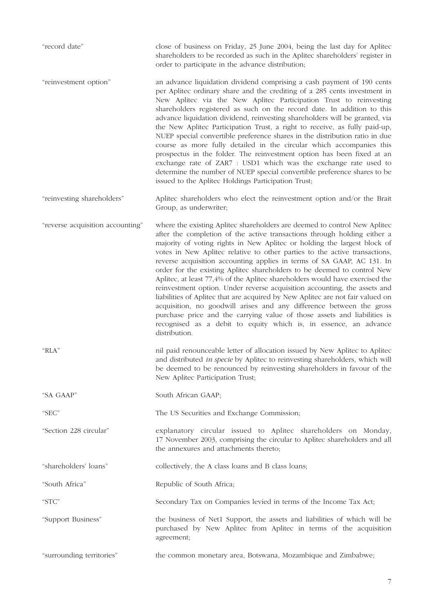| "record date"                    | close of business on Friday, 25 June 2004, being the last day for Aplitec<br>shareholders to be recorded as such in the Aplitec shareholders' register in<br>order to participate in the advance distribution;                                                                                                                                                                                                                                                                                                                                                                                                                                                                                                                                                                                                                                                                                                                                               |  |  |
|----------------------------------|--------------------------------------------------------------------------------------------------------------------------------------------------------------------------------------------------------------------------------------------------------------------------------------------------------------------------------------------------------------------------------------------------------------------------------------------------------------------------------------------------------------------------------------------------------------------------------------------------------------------------------------------------------------------------------------------------------------------------------------------------------------------------------------------------------------------------------------------------------------------------------------------------------------------------------------------------------------|--|--|
| "reinvestment option"            | an advance liquidation dividend comprising a cash payment of 190 cents<br>per Aplitec ordinary share and the crediting of a 285 cents investment in<br>New Aplitec via the New Aplitec Participation Trust to reinvesting<br>shareholders registered as such on the record date. In addition to this<br>advance liquidation dividend, reinvesting shareholders will be granted, via<br>the New Aplitec Participation Trust, a right to receive, as fully paid-up,<br>NUEP special convertible preference shares in the distribution ratio in due<br>course as more fully detailed in the circular which accompanies this<br>prospectus in the folder. The reinvestment option has been fixed at an<br>exchange rate of ZAR7 : USD1 which was the exchange rate used to<br>determine the number of NUEP special convertible preference shares to be<br>issued to the Aplitec Holdings Participation Trust;                                                    |  |  |
| "reinvesting shareholders"       | Aplitec shareholders who elect the reinvestment option and/or the Brait<br>Group, as underwriter;                                                                                                                                                                                                                                                                                                                                                                                                                                                                                                                                                                                                                                                                                                                                                                                                                                                            |  |  |
| "reverse acquisition accounting" | where the existing Aplitec shareholders are deemed to control New Aplitec<br>after the completion of the active transactions through holding either a<br>majority of voting rights in New Aplitec or holding the largest block of<br>votes in New Aplitec relative to other parties to the active transactions,<br>reverse acquisition accounting applies in terms of SA GAAP, AC 131. In<br>order for the existing Aplitec shareholders to be deemed to control New<br>Aplitec, at least 77,4% of the Aplitec shareholders would have exercised the<br>reinvestment option. Under reverse acquisition accounting, the assets and<br>liabilities of Aplitec that are acquired by New Aplitec are not fair valued on<br>acquisition, no goodwill arises and any difference between the gross<br>purchase price and the carrying value of those assets and liabilities is<br>recognised as a debit to equity which is, in essence, an advance<br>distribution. |  |  |
| "RLA"                            | nil paid renounceable letter of allocation issued by New Aplitec to Aplitec<br>and distributed in specie by Aplitec to reinvesting shareholders, which will<br>be deemed to be renounced by reinvesting shareholders in favour of the<br>New Aplitec Participation Trust;                                                                                                                                                                                                                                                                                                                                                                                                                                                                                                                                                                                                                                                                                    |  |  |
| "SA GAAP"                        | South African GAAP;                                                                                                                                                                                                                                                                                                                                                                                                                                                                                                                                                                                                                                                                                                                                                                                                                                                                                                                                          |  |  |
| "SEC"                            | The US Securities and Exchange Commission;                                                                                                                                                                                                                                                                                                                                                                                                                                                                                                                                                                                                                                                                                                                                                                                                                                                                                                                   |  |  |
| "Section 228 circular"           | explanatory circular issued to Aplitec shareholders on Monday,<br>17 November 2003, comprising the circular to Aplitec shareholders and all<br>the annexures and attachments thereto;                                                                                                                                                                                                                                                                                                                                                                                                                                                                                                                                                                                                                                                                                                                                                                        |  |  |
| "shareholders' loans"            | collectively, the A class loans and B class loans;                                                                                                                                                                                                                                                                                                                                                                                                                                                                                                                                                                                                                                                                                                                                                                                                                                                                                                           |  |  |
| "South Africa"                   | Republic of South Africa;                                                                                                                                                                                                                                                                                                                                                                                                                                                                                                                                                                                                                                                                                                                                                                                                                                                                                                                                    |  |  |
| "STC"                            | Secondary Tax on Companies levied in terms of the Income Tax Act;                                                                                                                                                                                                                                                                                                                                                                                                                                                                                                                                                                                                                                                                                                                                                                                                                                                                                            |  |  |
| "Support Business"               | the business of Net1 Support, the assets and liabilities of which will be<br>purchased by New Aplitec from Aplitec in terms of the acquisition<br>agreement;                                                                                                                                                                                                                                                                                                                                                                                                                                                                                                                                                                                                                                                                                                                                                                                                 |  |  |
| "surrounding territories"        | the common monetary area, Botswana, Mozambique and Zimbabwe;                                                                                                                                                                                                                                                                                                                                                                                                                                                                                                                                                                                                                                                                                                                                                                                                                                                                                                 |  |  |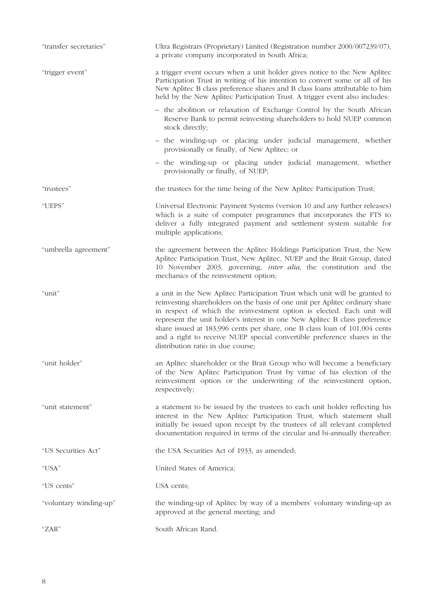| "transfer secretaries" | Ultra Registrars (Proprietary) Limited (Registration number 2000/007239/07),<br>a private company incorporated in South Africa;                                                                                                                                                                                                                                                                                                                                                                                    |  |  |  |  |  |
|------------------------|--------------------------------------------------------------------------------------------------------------------------------------------------------------------------------------------------------------------------------------------------------------------------------------------------------------------------------------------------------------------------------------------------------------------------------------------------------------------------------------------------------------------|--|--|--|--|--|
| "trigger event"        | a trigger event occurs when a unit holder gives notice to the New Aplitec<br>Participation Trust in writing of his intention to convert some or all of his<br>New Aplitec B class preference shares and B class loans attributable to him<br>held by the New Aplitec Participation Trust. A trigger event also includes:                                                                                                                                                                                           |  |  |  |  |  |
|                        | - the abolition or relaxation of Exchange Control by the South African<br>Reserve Bank to permit reinvesting shareholders to hold NUEP common<br>stock directly;                                                                                                                                                                                                                                                                                                                                                   |  |  |  |  |  |
|                        | - the winding-up or placing under judicial management, whether<br>provisionally or finally, of New Aplitec; or                                                                                                                                                                                                                                                                                                                                                                                                     |  |  |  |  |  |
|                        | - the winding-up or placing under judicial management, whether<br>provisionally or finally, of NUEP;                                                                                                                                                                                                                                                                                                                                                                                                               |  |  |  |  |  |
| "trustees"             | the trustees for the time being of the New Aplitec Participation Trust;                                                                                                                                                                                                                                                                                                                                                                                                                                            |  |  |  |  |  |
| "UEPS"                 | Universal Electronic Payment Systems (version 10 and any further releases)<br>which is a suite of computer programmes that incorporates the FTS to<br>deliver a fully integrated payment and settlement system suitable for<br>multiple applications;                                                                                                                                                                                                                                                              |  |  |  |  |  |
| "umbrella agreement"   | the agreement between the Aplitec Holdings Participation Trust, the New<br>Aplitec Participation Trust, New Aplitec, NUEP and the Brait Group, dated<br>10 November 2003, governing, <i>inter alia</i> , the constitution and the<br>mechanics of the reinvestment option;                                                                                                                                                                                                                                         |  |  |  |  |  |
| "unit"                 | a unit in the New Aplitec Participation Trust which unit will be granted to<br>reinvesting shareholders on the basis of one unit per Aplitec ordinary share<br>in respect of which the reinvestment option is elected. Each unit will<br>represent the unit holder's interest in one New Aplitec B class preference<br>share issued at 183,996 cents per share, one B class loan of 101,004 cents<br>and a right to receive NUEP special convertible preference shares in the<br>distribution ratio in due course; |  |  |  |  |  |
| "unit holder"          | an Aplitec shareholder or the Brait Group who will become a beneficiary<br>of the New Aplitec Participation Trust by virtue of his election of the<br>reinvestment option or the underwriting of the reinvestment option,<br>respectively;                                                                                                                                                                                                                                                                         |  |  |  |  |  |
| "unit statement"       | a statement to be issued by the trustees to each unit holder reflecting his<br>interest in the New Aplitec Participation Trust, which statement shall<br>initially be issued upon receipt by the trustees of all relevant completed<br>documentation required in terms of the circular and bi-annually thereafter;                                                                                                                                                                                                 |  |  |  |  |  |
| "US Securities Act"    | the USA Securities Act of 1933, as amended;                                                                                                                                                                                                                                                                                                                                                                                                                                                                        |  |  |  |  |  |
| "USA"                  | United States of America;                                                                                                                                                                                                                                                                                                                                                                                                                                                                                          |  |  |  |  |  |
| "US cents"             | USA cents;                                                                                                                                                                                                                                                                                                                                                                                                                                                                                                         |  |  |  |  |  |
| "voluntary winding-up" | the winding-up of Aplitec by way of a members' voluntary winding-up as<br>approved at the general meeting; and                                                                                                                                                                                                                                                                                                                                                                                                     |  |  |  |  |  |
| " $ZAR"$               | South African Rand.                                                                                                                                                                                                                                                                                                                                                                                                                                                                                                |  |  |  |  |  |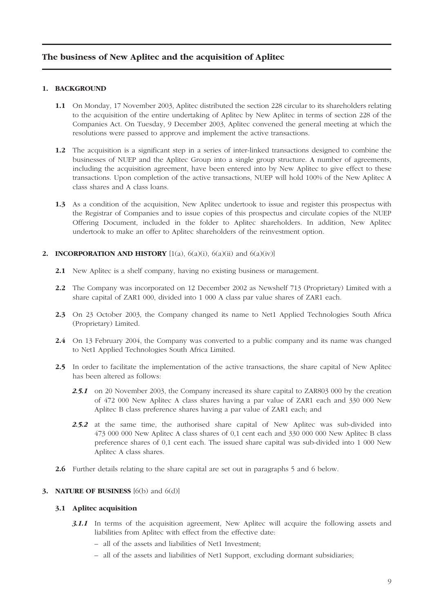## **The business of New Aplitec and the acquisition of Aplitec**

#### **1. BACKGROUND**

- **1.1** On Monday, 17 November 2003, Aplitec distributed the section 228 circular to its shareholders relating to the acquisition of the entire undertaking of Aplitec by New Aplitec in terms of section 228 of the Companies Act. On Tuesday, 9 December 2003, Aplitec convened the general meeting at which the resolutions were passed to approve and implement the active transactions.
- **1.2** The acquisition is a significant step in a series of inter-linked transactions designed to combine the businesses of NUEP and the Aplitec Group into a single group structure. A number of agreements, including the acquisition agreement, have been entered into by New Aplitec to give effect to these transactions. Upon completion of the active transactions, NUEP will hold 100% of the New Aplitec A class shares and A class loans.
- **1.3** As a condition of the acquisition, New Aplitec undertook to issue and register this prospectus with the Registrar of Companies and to issue copies of this prospectus and circulate copies of the NUEP Offering Document, included in the folder to Aplitec shareholders. In addition, New Aplitec undertook to make an offer to Aplitec shareholders of the reinvestment option.

#### **2. INCORPORATION AND HISTORY**  $[1(a), 6(a)(i), 6(a)(ii)$  and  $6(a)(iv)]$

- **2.1** New Aplitec is a shelf company, having no existing business or management.
- **2.2** The Company was incorporated on 12 December 2002 as Newshelf 713 (Proprietary) Limited with a share capital of ZAR1 000, divided into 1 000 A class par value shares of ZAR1 each.
- **2.3** On 23 October 2003, the Company changed its name to Net1 Applied Technologies South Africa (Proprietary) Limited.
- **2.4** On 13 February 2004, the Company was converted to a public company and its name was changed to Net1 Applied Technologies South Africa Limited.
- **2.5** In order to facilitate the implementation of the active transactions, the share capital of New Aplitec has been altered as follows:
	- 2.5.1 on 20 November 2003, the Company increased its share capital to ZAR803 000 by the creation of 472 000 New Aplitec A class shares having a par value of ZAR1 each and 330 000 New Aplitec B class preference shares having a par value of ZAR1 each; and
	- *2.5.2* at the same time, the authorised share capital of New Aplitec was sub-divided into 473 000 000 New Aplitec A class shares of 0,1 cent each and 330 000 000 New Aplitec B class preference shares of 0,1 cent each. The issued share capital was sub-divided into 1 000 New Aplitec A class shares.
- **2.6** Further details relating to the share capital are set out in paragraphs 5 and 6 below.

#### **3. NATURE OF BUSINESS** [6(b) and 6(d)]

#### **3.1 Aplitec acquisition**

- **3.1.1** In terms of the acquisition agreement, New Aplitec will acquire the following assets and liabilities from Aplitec with effect from the effective date:
	- all of the assets and liabilities of Net1 Investment;
	- all of the assets and liabilities of Net1 Support, excluding dormant subsidiaries;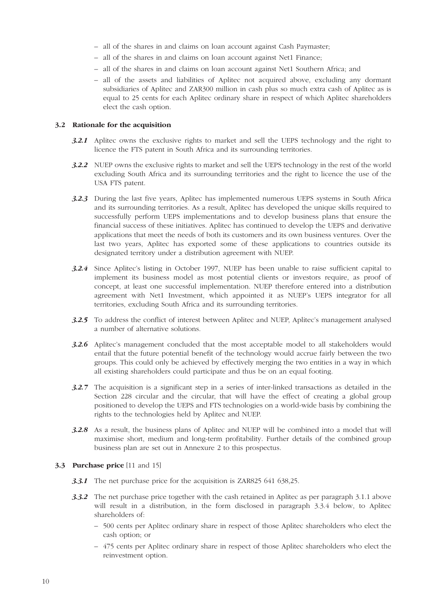- all of the shares in and claims on loan account against Cash Paymaster;
- all of the shares in and claims on loan account against Net1 Finance;
- all of the shares in and claims on loan account against Net1 Southern Africa; and
- all of the assets and liabilities of Aplitec not acquired above, excluding any dormant subsidiaries of Aplitec and ZAR300 million in cash plus so much extra cash of Aplitec as is equal to 25 cents for each Aplitec ordinary share in respect of which Aplitec shareholders elect the cash option.

#### **3.2 Rationale for the acquisition**

- **3.2.1** Aplitec owns the exclusive rights to market and sell the UEPS technology and the right to licence the FTS patent in South Africa and its surrounding territories.
- *3.2.2* NUEP owns the exclusive rights to market and sell the UEPS technology in the rest of the world excluding South Africa and its surrounding territories and the right to licence the use of the USA FTS patent.
- *3.2.3* During the last five years, Aplitec has implemented numerous UEPS systems in South Africa and its surrounding territories. As a result, Aplitec has developed the unique skills required to successfully perform UEPS implementations and to develop business plans that ensure the financial success of these initiatives. Aplitec has continued to develop the UEPS and derivative applications that meet the needs of both its customers and its own business ventures. Over the last two years, Aplitec has exported some of these applications to countries outside its designated territory under a distribution agreement with NUEP.
- *3.2.4* Since Aplitec's listing in October 1997, NUEP has been unable to raise sufficient capital to implement its business model as most potential clients or investors require, as proof of concept, at least one successful implementation. NUEP therefore entered into a distribution agreement with Net1 Investment, which appointed it as NUEP's UEPS integrator for all territories, excluding South Africa and its surrounding territories.
- **3.2.5** To address the conflict of interest between Aplitec and NUEP, Aplitec's management analysed a number of alternative solutions.
- *3.2.6* Aplitec's management concluded that the most acceptable model to all stakeholders would entail that the future potential benefit of the technology would accrue fairly between the two groups. This could only be achieved by effectively merging the two entities in a way in which all existing shareholders could participate and thus be on an equal footing.
- *3.2.7* The acquisition is a significant step in a series of inter-linked transactions as detailed in the Section 228 circular and the circular, that will have the effect of creating a global group positioned to develop the UEPS and FTS technologies on a world-wide basis by combining the rights to the technologies held by Aplitec and NUEP.
- *3.2.8* As a result, the business plans of Aplitec and NUEP will be combined into a model that will maximise short, medium and long-term profitability. Further details of the combined group business plan are set out in Annexure 2 to this prospectus.

#### **3.3 Purchase price** [11 and 15]

- *3.3.1* The net purchase price for the acquisition is ZAR825 641 638,25.
- *3.3.2* The net purchase price together with the cash retained in Aplitec as per paragraph 3.1.1 above will result in a distribution, in the form disclosed in paragraph 3.3.4 below, to Aplitec shareholders of:
	- 500 cents per Aplitec ordinary share in respect of those Aplitec shareholders who elect the cash option; or
	- 475 cents per Aplitec ordinary share in respect of those Aplitec shareholders who elect the reinvestment option.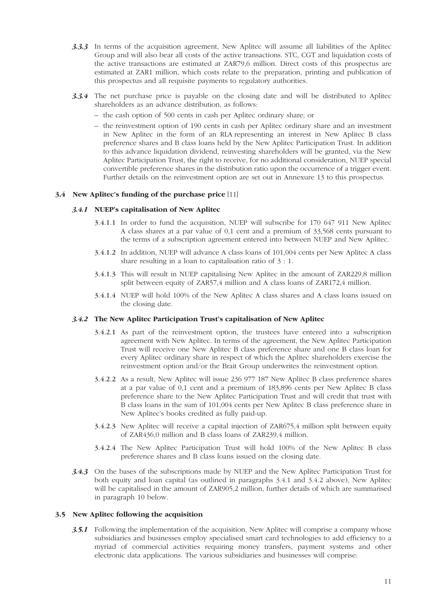- *3.3.3* In terms of the acquisition agreement, New Aplitec will assume all liabilities of the Aplitec Group and will also bear all costs of the active transactions. STC, CGT and liquidation costs of the active transactions are estimated at ZAR79,6 million. Direct costs of this prospectus are estimated at ZAR1 million, which costs relate to the preparation, printing and publication of this prospectus and all requisite payments to regulatory authorities.
- *3.3.4* The net purchase price is payable on the closing date and will be distributed to Aplitec shareholders as an advance distribution, as follows:
	- the cash option of 500 cents in cash per Aplitec ordinary share; or
	- the reinvestment option of 190 cents in cash per Aplitec ordinary share and an investment in New Aplitec in the form of an RLA representing an interest in New Aplitec B class preference shares and B class loans held by the New Aplitec Participation Trust. In addition to this advance liquidation dividend, reinvesting shareholders will be granted, via the New Aplitec Participation Trust, the right to receive, for no additional consideration, NUEP special convertible preference shares in the distribution ratio upon the occurrence of a trigger event. Further details on the reinvestment option are set out in Annexure 13 to this prospectus.

#### **3.4 New Aplitec's funding of the purchase price** [11]

#### *3.4.1* **NUEP's capitalisation of New Aplitec**

- 3.4.1.1 In order to fund the acquisition, NUEP will subscribe for 170 647 911 New Aplitec A class shares at a par value of 0,1 cent and a premium of 33,568 cents pursuant to the terms of a subscription agreement entered into between NUEP and New Aplitec.
- 3.4.1.2 In addition, NUEP will advance A class loans of 101,004 cents per New Aplitec A class share resulting in a loan to capitalisation ratio of 3 : 1.
- 3.4.1.3 This will result in NUEP capitalising New Aplitec in the amount of ZAR229,8 million split between equity of ZAR57,4 million and A class loans of ZAR172,4 million.
- 3.4.1.4 NUEP will hold 100% of the New Aplitec A class shares and A class loans issued on the closing date.

#### *3.4.2* **The New Aplitec Participation Trust's capitalisation of New Aplitec**

- 3.4.2.1 As part of the reinvestment option, the trustees have entered into a subscription agreement with New Aplitec. In terms of the agreement, the New Aplitec Participation Trust will receive one New Aplitec B class preference share and one B class loan for every Aplitec ordinary share in respect of which the Aplitec shareholders exercise the reinvestment option and/or the Brait Group underwrites the reinvestment option.
- 3.4.2.2 As a result, New Aplitec will issue 236 977 187 New Aplitec B class preference shares at a par value of 0,1 cent and a premium of 183,896 cents per New Aplitec B class preference share to the New Aplitec Participation Trust and will credit that trust with B class loans in the sum of 101,004 cents per New Aplitec B class preference share in New Aplitec's books credited as fully paid-up.
- 3.4.2.3 New Aplitec will receive a capital injection of ZAR675,4 million split between equity of ZAR436,0 million and B class loans of ZAR239,4 million.
- 3.4.2.4 The New Aplitec Participation Trust will hold 100% of the New Aplitec B class preference shares and B class loans issued on the closing date.
- *3.4.3* On the bases of the subscriptions made by NUEP and the New Aplitec Participation Trust for both equity and loan capital (as outlined in paragraphs 3.4.1 and 3.4.2 above), New Aplitec will be capitalised in the amount of ZAR905,2 million, further details of which are summarised in paragraph 10 below.

#### **3.5 New Aplitec following the acquisition**

**3.5.1** Following the implementation of the acquisition, New Aplitec will comprise a company whose subsidiaries and businesses employ specialised smart card technologies to add efficiency to a myriad of commercial activities requiring money transfers, payment systems and other electronic data applications. The various subsidiaries and businesses will comprise: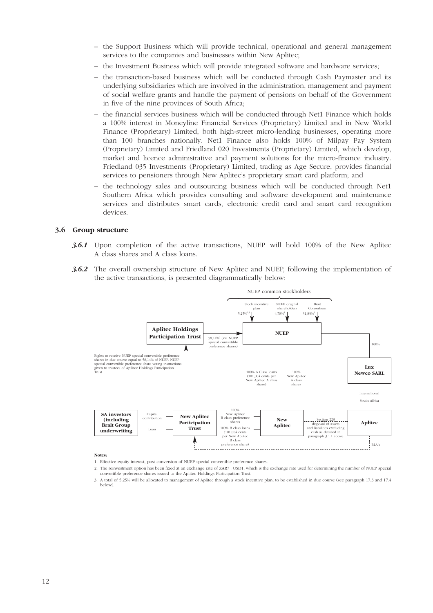- the Support Business which will provide technical, operational and general management services to the companies and businesses within New Aplitec;
- the Investment Business which will provide integrated software and hardware services;
- the transaction-based business which will be conducted through Cash Paymaster and its underlying subsidiaries which are involved in the administration, management and payment of social welfare grants and handle the payment of pensions on behalf of the Government in five of the nine provinces of South Africa;
- the financial services business which will be conducted through Net1 Finance which holds a 100% interest in Moneyline Financial Services (Proprietary) Limited and in New World Finance (Proprietary) Limited, both high-street micro-lending businesses, operating more than 100 branches nationally. Net1 Finance also holds 100% of Milpay Pay System (Proprietary) Limited and Friedland 020 Investments (Proprietary) Limited, which develop, market and licence administrative and payment solutions for the micro-finance industry. Friedland 035 Investments (Proprietary) Limited, trading as Age Secure, provides financial services to pensioners through New Aplitec's proprietary smart card platform; and
- the technology sales and outsourcing business which will be conducted through Net1 Southern Africa which provides consulting and software development and maintenance services and distributes smart cards, electronic credit card and smart card recognition devices.

#### **3.6 Group structure**

- *3.6.1* Upon completion of the active transactions, NUEP will hold 100% of the New Aplitec A class shares and A class loans.
- *3.6.2* The overall ownership structure of New Aplitec and NUEP, following the implementation of the active transactions, is presented diagrammatically below:



#### **Notes:**

- 1. Effective equity interest, post conversion of NUEP special convertible preference shares.
- 2. The reinvestment option has been fixed at an exchange rate of ZAR7 : USD1, which is the exchange rate used for determining the number of NUEP special convertible preference shares issued to the Aplitec Holdings Participation Trust.
- 3. A total of 5,25% will be allocated to management of Aplitec through a stock incentive plan, to be established in due course (see paragraph 17.3 and 17.4 below).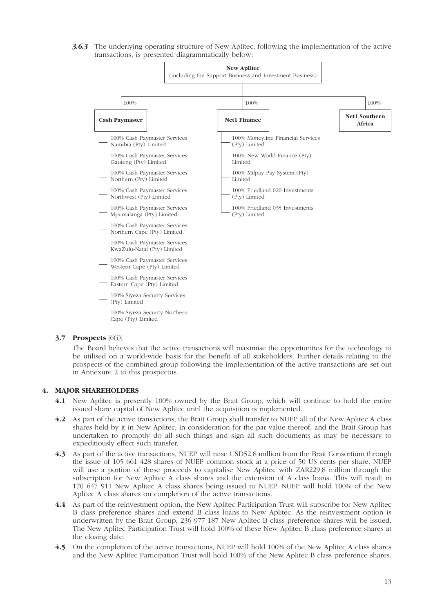*3.6.3* The underlying operating structure of New Aplitec, following the implementation of the active transactions, is presented diagrammatically below:



#### **3.7 Prospects** [6(i)]

The Board believes that the active transactions will maximise the opportunities for the technology to be utilised on a world-wide basis for the benefit of all stakeholders. Further details relating to the prospects of the combined group following the implementation of the active transactions are set out in Annexure 2 to this prospectus.

#### **4. MAJOR SHAREHOLDERS**

- **4.1** New Aplitec is presently 100% owned by the Brait Group, which will continue to hold the entire issued share capital of New Aplitec until the acquisition is implemented.
- **4.2** As part of the active transactions, the Brait Group shall transfer to NUEP all of the New Aplitec A class shares held by it in New Aplitec, in consideration for the par value thereof, and the Brait Group has undertaken to promptly do all such things and sign all such documents as may be necessary to expeditiously effect such transfer.
- **4.3** As part of the active transactions, NUEP will raise USD52,8 million from the Brait Consortium through the issue of 105 661 428 shares of NUEP common stock at a price of 50 US cents per share. NUEP will use a portion of these proceeds to capitalise New Aplitec with ZAR229,8 million through the subscription for New Aplitec A class shares and the extension of A class loans. This will result in 170 647 911 New Aplitec A class shares being issued to NUEP. NUEP will hold 100% of the New Aplitec A class shares on completion of the active transactions.
- **4.4** As part of the reinvestment option, the New Aplitec Participation Trust will subscribe for New Aplitec B class preference shares and extend B class loans to New Aplitec. As the reinvestment option is underwritten by the Brait Group, 236 977 187 New Aplitec B class preference shares will be issued. The New Aplitec Participation Trust will hold 100% of these New Aplitec B class preference shares at the closing date.
- **4.5** On the completion of the active transactions, NUEP will hold 100% of the New Aplitec A class shares and the New Aplitec Participation Trust will hold 100% of the New Aplitec B class preference shares.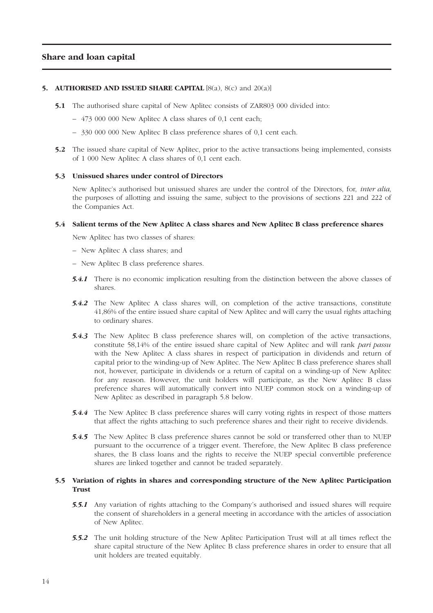## **Share and loan capital**

#### **5. AUTHORISED AND ISSUED SHARE CAPITAL** [8(a), 8(c) and 20(a)]

- **5.1** The authorised share capital of New Aplitec consists of ZAR803 000 divided into:
	- 473 000 000 New Aplitec A class shares of 0,1 cent each;
	- 330 000 000 New Aplitec B class preference shares of 0,1 cent each.
- **5.2** The issued share capital of New Aplitec, prior to the active transactions being implemented, consists of 1 000 New Aplitec A class shares of 0,1 cent each.

#### **5.3 Unissued shares under control of Directors**

New Aplitec's authorised but unissued shares are under the control of the Directors, for, *inter alia*, the purposes of allotting and issuing the same, subject to the provisions of sections 221 and 222 of the Companies Act.

#### **5.4 Salient terms of the New Aplitec A class shares and New Aplitec B class preference shares**

New Aplitec has two classes of shares:

- New Aplitec A class shares; and
- New Aplitec B class preference shares.
- **5.4.1** There is no economic implication resulting from the distinction between the above classes of shares.
- *5.4.2* The New Aplitec A class shares will, on completion of the active transactions, constitute 41,86% of the entire issued share capital of New Aplitec and will carry the usual rights attaching to ordinary shares.
- *5.4.3* The New Aplitec B class preference shares will, on completion of the active transactions, constitute 58,14% of the entire issued share capital of New Aplitec and will rank *pari passu* with the New Aplitec A class shares in respect of participation in dividends and return of capital prior to the winding-up of New Aplitec. The New Aplitec B class preference shares shall not, however, participate in dividends or a return of capital on a winding-up of New Aplitec for any reason. However, the unit holders will participate, as the New Aplitec B class preference shares will automatically convert into NUEP common stock on a winding-up of New Aplitec as described in paragraph 5.8 below.
- *5.4.4* The New Aplitec B class preference shares will carry voting rights in respect of those matters that affect the rights attaching to such preference shares and their right to receive dividends.
- *5.4.5* The New Aplitec B class preference shares cannot be sold or transferred other than to NUEP pursuant to the occurrence of a trigger event. Therefore, the New Aplitec B class preference shares, the B class loans and the rights to receive the NUEP special convertible preference shares are linked together and cannot be traded separately.

#### **5.5 Variation of rights in shares and corresponding structure of the New Aplitec Participation Trust**

- **5.5.1** Any variation of rights attaching to the Company's authorised and issued shares will require the consent of shareholders in a general meeting in accordance with the articles of association of New Aplitec.
- *5.5.2* The unit holding structure of the New Aplitec Participation Trust will at all times reflect the share capital structure of the New Aplitec B class preference shares in order to ensure that all unit holders are treated equitably.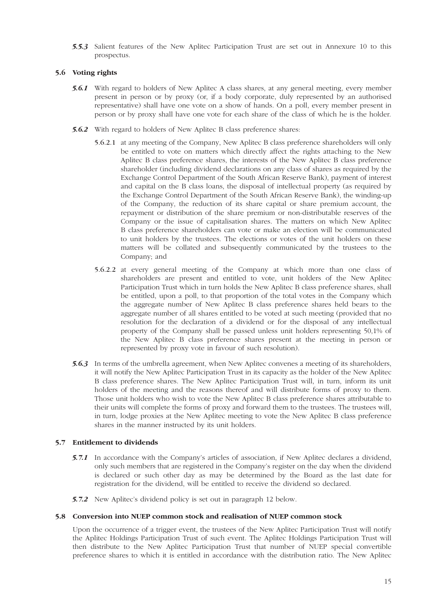*5.5.3* Salient features of the New Aplitec Participation Trust are set out in Annexure 10 to this prospectus.

## **5.6 Voting rights**

- *5.6.1* With regard to holders of New Aplitec A class shares, at any general meeting, every member present in person or by proxy (or, if a body corporate, duly represented by an authorised representative) shall have one vote on a show of hands. On a poll, every member present in person or by proxy shall have one vote for each share of the class of which he is the holder.
- *5.6.2* With regard to holders of New Aplitec B class preference shares:
	- 5.6.2.1 at any meeting of the Company, New Aplitec B class preference shareholders will only be entitled to vote on matters which directly affect the rights attaching to the New Aplitec B class preference shares, the interests of the New Aplitec B class preference shareholder (including dividend declarations on any class of shares as required by the Exchange Control Department of the South African Reserve Bank), payment of interest and capital on the B class loans, the disposal of intellectual property (as required by the Exchange Control Department of the South African Reserve Bank), the winding-up of the Company, the reduction of its share capital or share premium account, the repayment or distribution of the share premium or non-distributable reserves of the Company or the issue of capitalisation shares. The matters on which New Aplitec B class preference shareholders can vote or make an election will be communicated to unit holders by the trustees. The elections or votes of the unit holders on these matters will be collated and subsequently communicated by the trustees to the Company; and
	- 5.6.2.2 at every general meeting of the Company at which more than one class of shareholders are present and entitled to vote, unit holders of the New Aplitec Participation Trust which in turn holds the New Aplitec B class preference shares, shall be entitled, upon a poll, to that proportion of the total votes in the Company which the aggregate number of New Aplitec B class preference shares held bears to the aggregate number of all shares entitled to be voted at such meeting (provided that no resolution for the declaration of a dividend or for the disposal of any intellectual property of the Company shall be passed unless unit holders representing 50,1% of the New Aplitec B class preference shares present at the meeting in person or represented by proxy vote in favour of such resolution).
- **5.6.3** In terms of the umbrella agreement, when New Aplitec convenes a meeting of its shareholders, it will notify the New Aplitec Participation Trust in its capacity as the holder of the New Aplitec B class preference shares. The New Aplitec Participation Trust will, in turn, inform its unit holders of the meeting and the reasons thereof and will distribute forms of proxy to them. Those unit holders who wish to vote the New Aplitec B class preference shares attributable to their units will complete the forms of proxy and forward them to the trustees. The trustees will, in turn, lodge proxies at the New Aplitec meeting to vote the New Aplitec B class preference shares in the manner instructed by its unit holders.

## **5.7 Entitlement to dividends**

- *5.7.1* In accordance with the Company's articles of association, if New Aplitec declares a dividend, only such members that are registered in the Company's register on the day when the dividend is declared or such other day as may be determined by the Board as the last date for registration for the dividend, will be entitled to receive the dividend so declared.
- *5.7.2* New Aplitec's dividend policy is set out in paragraph 12 below.

#### **5.8 Conversion into NUEP common stock and realisation of NUEP common stock**

Upon the occurrence of a trigger event, the trustees of the New Aplitec Participation Trust will notify the Aplitec Holdings Participation Trust of such event. The Aplitec Holdings Participation Trust will then distribute to the New Aplitec Participation Trust that number of NUEP special convertible preference shares to which it is entitled in accordance with the distribution ratio. The New Aplitec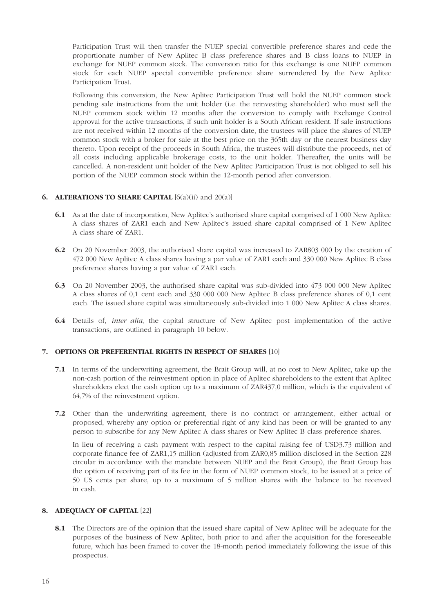Participation Trust will then transfer the NUEP special convertible preference shares and cede the proportionate number of New Aplitec B class preference shares and B class loans to NUEP in exchange for NUEP common stock. The conversion ratio for this exchange is one NUEP common stock for each NUEP special convertible preference share surrendered by the New Aplitec Participation Trust.

Following this conversion, the New Aplitec Participation Trust will hold the NUEP common stock pending sale instructions from the unit holder (i.e. the reinvesting shareholder) who must sell the NUEP common stock within 12 months after the conversion to comply with Exchange Control approval for the active transactions, if such unit holder is a South African resident. If sale instructions are not received within 12 months of the conversion date, the trustees will place the shares of NUEP common stock with a broker for sale at the best price on the 365th day or the nearest business day thereto. Upon receipt of the proceeds in South Africa, the trustees will distribute the proceeds, net of all costs including applicable brokerage costs, to the unit holder. Thereafter, the units will be cancelled. A non-resident unit holder of the New Aplitec Participation Trust is not obliged to sell his portion of the NUEP common stock within the 12-month period after conversion.

## **6. ALTERATIONS TO SHARE CAPITAL** [6(a)(ii) and 20(a)]

- **6.1** As at the date of incorporation, New Aplitec's authorised share capital comprised of 1 000 New Aplitec A class shares of ZAR1 each and New Aplitec's issued share capital comprised of 1 New Aplitec A class share of ZAR1.
- **6.2** On 20 November 2003, the authorised share capital was increased to ZAR803 000 by the creation of 472 000 New Aplitec A class shares having a par value of ZAR1 each and 330 000 New Aplitec B class preference shares having a par value of ZAR1 each.
- **6.3** On 20 November 2003, the authorised share capital was sub-divided into 473 000 000 New Aplitec A class shares of 0,1 cent each and 330 000 000 New Aplitec B class preference shares of 0,1 cent each. The issued share capital was simultaneously sub-divided into 1 000 New Aplitec A class shares.
- **6.4** Details of, *inter alia*, the capital structure of New Aplitec post implementation of the active transactions, are outlined in paragraph 10 below.

#### **7. OPTIONS OR PREFERENTIAL RIGHTS IN RESPECT OF SHARES** [10]

- **7.1** In terms of the underwriting agreement, the Brait Group will, at no cost to New Aplitec, take up the non-cash portion of the reinvestment option in place of Aplitec shareholders to the extent that Aplitec shareholders elect the cash option up to a maximum of ZAR437,0 million, which is the equivalent of 64,7% of the reinvestment option.
- **7.2** Other than the underwriting agreement, there is no contract or arrangement, either actual or proposed, whereby any option or preferential right of any kind has been or will be granted to any person to subscribe for any New Aplitec A class shares or New Aplitec B class preference shares.

In lieu of receiving a cash payment with respect to the capital raising fee of USD3.73 million and corporate finance fee of ZAR1,15 million (adjusted from ZAR0,85 million disclosed in the Section 228 circular in accordance with the mandate between NUEP and the Brait Group), the Brait Group has the option of receiving part of its fee in the form of NUEP common stock, to be issued at a price of 50 US cents per share, up to a maximum of 5 million shares with the balance to be received in cash.

#### **8. ADEQUACY OF CAPITAL [22]**

**8.1** The Directors are of the opinion that the issued share capital of New Aplitec will be adequate for the purposes of the business of New Aplitec, both prior to and after the acquisition for the foreseeable future, which has been framed to cover the 18-month period immediately following the issue of this prospectus.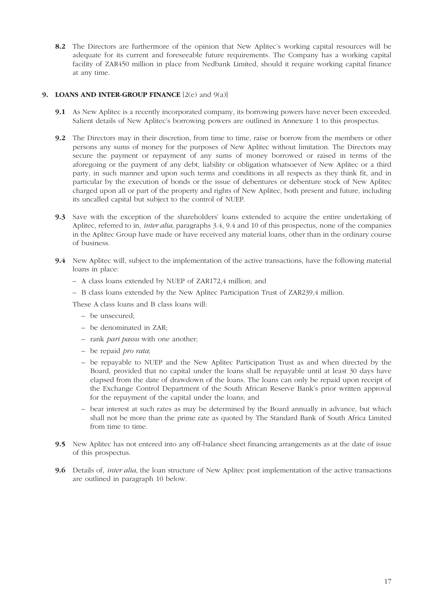**8.2** The Directors are furthermore of the opinion that New Aplitec's working capital resources will be adequate for its current and foreseeable future requirements. The Company has a working capital facility of ZAR450 million in place from Nedbank Limited, should it require working capital finance at any time.

## **9. LOANS AND INTER-GROUP FINANCE** [2(e) and 9(a)]

- **9.1** As New Aplitec is a recently incorporated company, its borrowing powers have never been exceeded. Salient details of New Aplitec's borrowing powers are outlined in Annexure 1 to this prospectus.
- **9.2** The Directors may in their discretion, from time to time, raise or borrow from the members or other persons any sums of money for the purposes of New Aplitec without limitation. The Directors may secure the payment or repayment of any sums of money borrowed or raised in terms of the aforegoing or the payment of any debt, liability or obligation whatsoever of New Aplitec or a third party, in such manner and upon such terms and conditions in all respects as they think fit, and in particular by the execution of bonds or the issue of debentures or debenture stock of New Aplitec charged upon all or part of the property and rights of New Aplitec, both present and future, including its uncalled capital but subject to the control of NUEP.
- **9.3** Save with the exception of the shareholders' loans extended to acquire the entire undertaking of Aplitec, referred to in, *inter alia*, paragraphs 3.4, 9.4 and 10 of this prospectus, none of the companies in the Aplitec Group have made or have received any material loans, other than in the ordinary course of business.
- **9.4** New Aplitec will, subject to the implementation of the active transactions, have the following material loans in place:
	- A class loans extended by NUEP of ZAR172,4 million; and
	- B class loans extended by the New Aplitec Participation Trust of ZAR239,4 million.
	- These A class loans and B class loans will:
		- be unsecured;
		- be denominated in ZAR;
		- rank *pari passu* with one another;
		- be repaid *pro rata*;
		- be repayable to NUEP and the New Aplitec Participation Trust as and when directed by the Board, provided that no capital under the loans shall be repayable until at least 30 days have elapsed from the date of drawdown of the loans. The loans can only be repaid upon receipt of the Exchange Control Department of the South African Reserve Bank's prior written approval for the repayment of the capital under the loans; and
		- bear interest at such rates as may be determined by the Board annually in advance, but which shall not be more than the prime rate as quoted by The Standard Bank of South Africa Limited from time to time.
- **9.5** New Aplitec has not entered into any off-balance sheet financing arrangements as at the date of issue of this prospectus.
- **9.6** Details of, *inter alia*, the loan structure of New Aplitec post implementation of the active transactions are outlined in paragraph 10 below.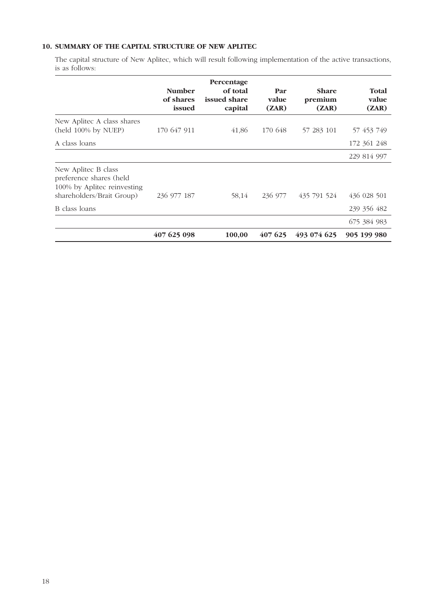## **10. SUMMARY OF THE CAPITAL STRUCTURE OF NEW APLITEC**

The capital structure of New Aplitec, which will result following implementation of the active transactions, is as follows:

|                                                                               | <b>Number</b><br>of shares<br>issued | Percentage<br>of total<br>issued share<br>capital | Par<br>value<br>(ZAR) | <b>Share</b><br>premium<br>(ZAR) | <b>Total</b><br>value<br>(ZAR) |
|-------------------------------------------------------------------------------|--------------------------------------|---------------------------------------------------|-----------------------|----------------------------------|--------------------------------|
| New Aplitec A class shares<br>(held 100% by NUEP)                             | 170 647 911                          | 41,86                                             | 170 648               | 57 283 101                       | 57 453 749                     |
| A class loans                                                                 |                                      |                                                   |                       |                                  | 172 361 248                    |
|                                                                               |                                      |                                                   |                       |                                  | 229 814 997                    |
| New Aplitec B class<br>preference shares (held<br>100% by Aplitec reinvesting |                                      |                                                   |                       |                                  |                                |
| shareholders/Brait Group)                                                     | 236 977 187                          | 58,14                                             | 236 977               | 435 791 524                      | 436 028 501                    |
| B class loans                                                                 |                                      |                                                   |                       |                                  | 239 356 482                    |
|                                                                               |                                      |                                                   |                       |                                  | 675 384 983                    |
|                                                                               | 407 625 098                          | 100,00                                            | 407 625               | 493 074 625                      | 905 199 980                    |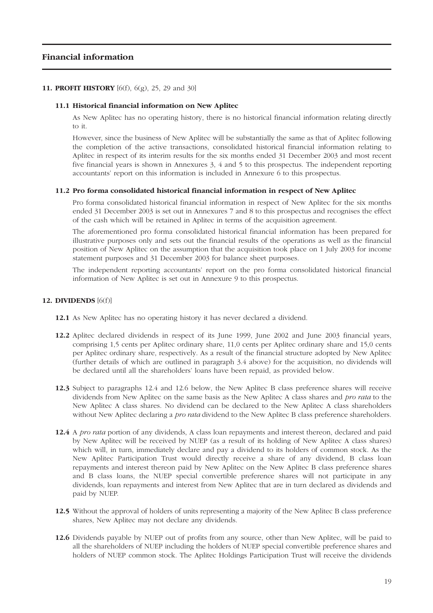## **Financial information**

#### **11. PROFIT HISTORY** [6(f), 6(g), 25, 29 and 30]

#### **11.1 Historical financial information on New Aplitec**

As New Aplitec has no operating history, there is no historical financial information relating directly to it.

However, since the business of New Aplitec will be substantially the same as that of Aplitec following the completion of the active transactions, consolidated historical financial information relating to Aplitec in respect of its interim results for the six months ended 31 December 2003 and most recent five financial years is shown in Annexures 3, 4 and 5 to this prospectus. The independent reporting accountants' report on this information is included in Annexure 6 to this prospectus.

#### **11.2 Pro forma consolidated historical financial information in respect of New Aplitec**

Pro forma consolidated historical financial information in respect of New Aplitec for the six months ended 31 December 2003 is set out in Annexures 7 and 8 to this prospectus and recognises the effect of the cash which will be retained in Aplitec in terms of the acquisition agreement.

The aforementioned pro forma consolidated historical financial information has been prepared for illustrative purposes only and sets out the financial results of the operations as well as the financial position of New Aplitec on the assumption that the acquisition took place on 1 July 2003 for income statement purposes and 31 December 2003 for balance sheet purposes.

The independent reporting accountants' report on the pro forma consolidated historical financial information of New Aplitec is set out in Annexure 9 to this prospectus.

#### **12. DIVIDENDS** [6(f)]

- **12.1** As New Aplitec has no operating history it has never declared a dividend.
- **12.2** Aplitec declared dividends in respect of its June 1999, June 2002 and June 2003 financial years, comprising 1,5 cents per Aplitec ordinary share, 11,0 cents per Aplitec ordinary share and 15,0 cents per Aplitec ordinary share, respectively. As a result of the financial structure adopted by New Aplitec (further details of which are outlined in paragraph 3.4 above) for the acquisition, no dividends will be declared until all the shareholders' loans have been repaid, as provided below.
- **12.3** Subject to paragraphs 12.4 and 12.6 below, the New Aplitec B class preference shares will receive dividends from New Aplitec on the same basis as the New Aplitec A class shares and *pro rata* to the New Aplitec A class shares. No dividend can be declared to the New Aplitec A class shareholders without New Aplitec declaring a *pro rata* dividend to the New Aplitec B class preference shareholders.
- **12.4** A *pro rata* portion of any dividends, A class loan repayments and interest thereon, declared and paid by New Aplitec will be received by NUEP (as a result of its holding of New Aplitec A class shares) which will, in turn, immediately declare and pay a dividend to its holders of common stock. As the New Aplitec Participation Trust would directly receive a share of any dividend, B class loan repayments and interest thereon paid by New Aplitec on the New Aplitec B class preference shares and B class loans, the NUEP special convertible preference shares will not participate in any dividends, loan repayments and interest from New Aplitec that are in turn declared as dividends and paid by NUEP.
- **12.5** Without the approval of holders of units representing a majority of the New Aplitec B class preference shares, New Aplitec may not declare any dividends.
- **12.6** Dividends payable by NUEP out of profits from any source, other than New Aplitec, will be paid to all the shareholders of NUEP including the holders of NUEP special convertible preference shares and holders of NUEP common stock. The Aplitec Holdings Participation Trust will receive the dividends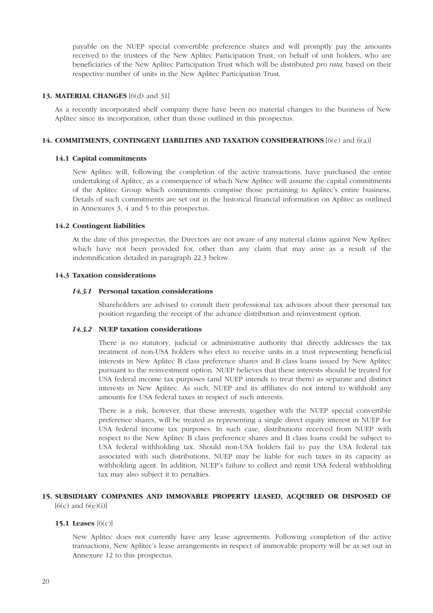payable on the NUEP special convertible preference shares and will promptly pay the amounts received to the trustees of the New Aplitec Participation Trust, on behalf of unit holders, who are beneficiaries of the New Aplitec Participation Trust which will be distributed *pro rata,* based on their respective number of units in the New Aplitec Participation Trust.

#### **13. MATERIAL CHANGES** [6(d) and 31]

As a recently incorporated shelf company there have been no material changes to the business of New Aplitec since its incorporation, other than those outlined in this prospectus.

#### **14. COMMITMENTS, CONTINGENT LIABILITIES AND TAXATION CONSIDERATIONS** [6(e) and 6(a)]

#### **14.1 Capital commitments**

New Aplitec will, following the completion of the active transactions, have purchased the entire undertaking of Aplitec, as a consequence of which New Aplitec will assume the capital commitments of the Aplitec Group which commitments comprise those pertaining to Aplitec's entire business. Details of such commitments are set out in the historical financial information on Aplitec as outlined in Annexures 3, 4 and 5 to this prospectus.

#### **14.2 Contingent liabilities**

At the date of this prospectus, the Directors are not aware of any material claims against New Aplitec which have not been provided for, other than any claim that may arise as a result of the indemnification detailed in paragraph 22.3 below.

#### **14.3 Taxation considerations**

#### *14.3.1* **Personal taxation considerations**

Shareholders are advised to consult their professional tax advisors about their personal tax position regarding the receipt of the advance distribution and reinvestment option.

#### *14.3.2* **NUEP taxation considerations**

There is no statutory, judicial or administrative authority that directly addresses the tax treatment of non-USA holders who elect to receive units in a trust representing beneficial interests in New Aplitec B class preference shares and B class loans issued by New Aplitec pursuant to the reinvestment option. NUEP believes that these interests should be treated for USA federal income tax purposes (and NUEP intends to treat them) as separate and distinct interests in New Aplitec. As such, NUEP and its affiliates do not intend to withhold any amounts for USA federal taxes in respect of such interests.

There is a risk, however, that these interests, together with the NUEP special convertible preference shares, will be treated as representing a single direct equity interest in NUEP for USA federal income tax purposes. In such case, distributions received from NUEP with respect to the New Aplitec B class preference shares and B class loans could be subject to USA federal withholding tax. Should non-USA holders fail to pay the USA federal tax associated with such distributions, NUEP may be liable for such taxes in its capacity as withholding agent. In addition, NUEP's failure to collect and remit USA federal withholding tax may also subject it to penalties.

#### **15. SUBSIDIARY COMPANIES AND IMMOVABLE PROPERTY LEASED, ACQUIRED OR DISPOSED OF**   $[6(c)$  and  $6(e)(i)]$

#### **15.1 Leases** [6(c)]

New Aplitec does not currently have any lease agreements. Following completion of the active transactions, New Aplitec's lease arrangements in respect of immovable property will be as set out in Annexure 12 to this prospectus.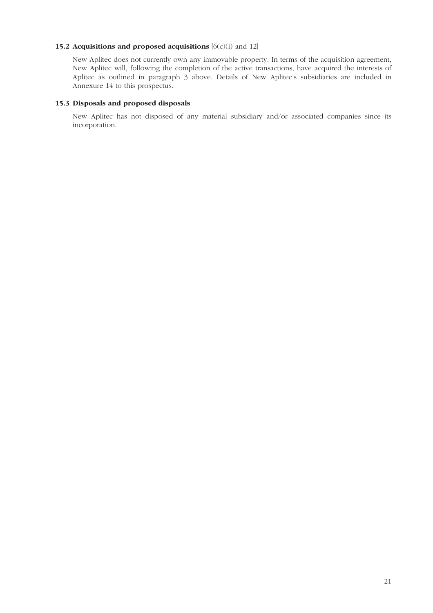## **15.2 Acquisitions and proposed acquisitions**  $[6(c)(i)$  and 12]

New Aplitec does not currently own any immovable property. In terms of the acquisition agreement, New Aplitec will, following the completion of the active transactions, have acquired the interests of Aplitec as outlined in paragraph 3 above. Details of New Aplitec's subsidiaries are included in Annexure 14 to this prospectus.

#### **15.3 Disposals and proposed disposals**

New Aplitec has not disposed of any material subsidiary and/or associated companies since its incorporation.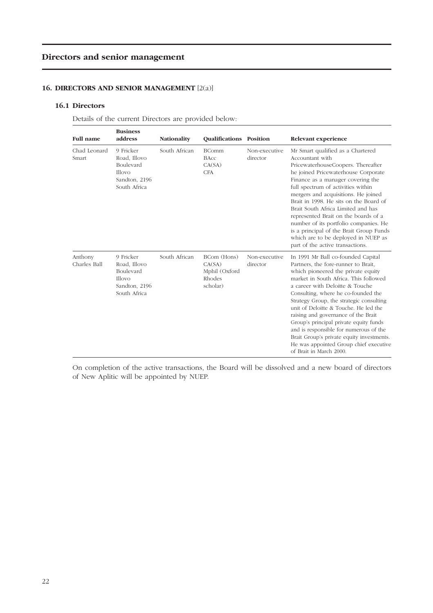## **Directors and senior management**

## **16. DIRECTORS AND SENIOR MANAGEMENT** [2(a)]

#### **16.1 Directors**

Details of the current Directors are provided below:

| <b>Full name</b>        | <b>Business</b><br>address                                                        | <b>Nationality</b> | <b>Oualifications Position</b>                               |                           | Relevant experience                                                                                                                                                                                                                                                                                                                                                                                                                                                                                                                                                  |
|-------------------------|-----------------------------------------------------------------------------------|--------------------|--------------------------------------------------------------|---------------------------|----------------------------------------------------------------------------------------------------------------------------------------------------------------------------------------------------------------------------------------------------------------------------------------------------------------------------------------------------------------------------------------------------------------------------------------------------------------------------------------------------------------------------------------------------------------------|
| Chad Leonard<br>Smart   | 9 Fricker<br>Road, Illovo<br>Boulevard<br>Illovo<br>Sandton, 2196<br>South Africa | South African      | <b>BComm</b><br><b>BAcc</b><br>CA(SA)<br><b>CFA</b>          | Non-executive<br>director | Mr Smart qualified as a Chartered<br>Accountant with<br>PricewaterhouseCoopers. Thereafter<br>he joined Pricewaterhouse Corporate<br>Finance as a manager covering the<br>full spectrum of activities within<br>mergers and acquisitions. He joined<br>Brait in 1998. He sits on the Board of<br>Brait South Africa Limited and has<br>represented Brait on the boards of a<br>number of its portfolio companies. He<br>is a principal of the Brait Group Funds<br>which are to be deployed in NUEP as<br>part of the active transactions.                           |
| Anthony<br>Charles Ball | 9 Fricker<br>Road, Illovo<br>Boulevard<br>Illovo<br>Sandton, 2196<br>South Africa | South African      | BCom (Hons)<br>CA(SA)<br>Mphil (Oxford<br>Rhodes<br>scholar) | Non-executive<br>director | In 1991 Mr Ball co-founded Capital<br>Partners, the fore-runner to Brait,<br>which pioneered the private equity<br>market in South Africa. This followed<br>a career with Deloitte & Touche<br>Consulting, where he co-founded the<br>Strategy Group, the strategic consulting<br>unit of Deloitte & Touche. He led the<br>raising and governance of the Brait<br>Group's principal private equity funds<br>and is responsible for numerous of the<br>Brait Group's private equity investments.<br>He was appointed Group chief executive<br>of Brait in March 2000. |

On completion of the active transactions, the Board will be dissolved and a new board of directors of New Aplitic will be appointed by NUEP.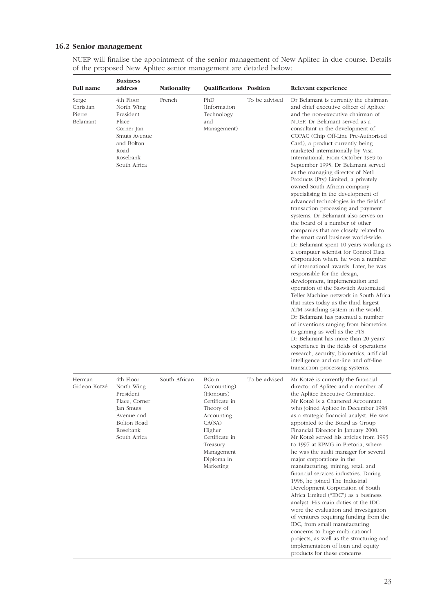## **16.2 Senior management**

NUEP will finalise the appointment of the senior management of New Aplitec in due course. Details of the proposed New Aplitec senior management are detailed below:

| <b>Full name</b>                         | <b>Business</b><br>address                                                                                                    | <b>Nationality</b> | Qualifications Position                                                                                                                                                          |               | Relevant experience                                                                                                                                                                                                                                                                                                                                                                                                                                                                                                                                                                                                                                                                                                                                                                                                                                                                                                                                                                                                                                                                                                                                                                                                                                                                                                                                                                                                                                                                                        |
|------------------------------------------|-------------------------------------------------------------------------------------------------------------------------------|--------------------|----------------------------------------------------------------------------------------------------------------------------------------------------------------------------------|---------------|------------------------------------------------------------------------------------------------------------------------------------------------------------------------------------------------------------------------------------------------------------------------------------------------------------------------------------------------------------------------------------------------------------------------------------------------------------------------------------------------------------------------------------------------------------------------------------------------------------------------------------------------------------------------------------------------------------------------------------------------------------------------------------------------------------------------------------------------------------------------------------------------------------------------------------------------------------------------------------------------------------------------------------------------------------------------------------------------------------------------------------------------------------------------------------------------------------------------------------------------------------------------------------------------------------------------------------------------------------------------------------------------------------------------------------------------------------------------------------------------------------|
| Serge<br>Christian<br>Pierre<br>Belamant | 4th Floor<br>North Wing<br>President<br>Place<br>Corner Jan<br>Smuts Avenue<br>and Bolton<br>Road<br>Rosebank<br>South Africa | French             | PhD<br>(Information<br>Technology<br>and<br>Management)                                                                                                                          | To be advised | Dr Belamant is currently the chairman<br>and chief executive officer of Aplitec<br>and the non-executive chairman of<br>NUEP. Dr Belamant served as a<br>consultant in the development of<br>COPAC (Chip Off-Line Pre-Authorised<br>Card), a product currently being<br>marketed internationally by Visa<br>International. From October 1989 to<br>September 1995, Dr Belamant served<br>as the managing director of Net1<br>Products (Pty) Limited, a privately<br>owned South African company<br>specialising in the development of<br>advanced technologies in the field of<br>transaction processing and payment<br>systems. Dr Belamant also serves on<br>the board of a number of other<br>companies that are closely related to<br>the smart card business world-wide.<br>Dr Belamant spent 10 years working as<br>a computer scientist for Control Data<br>Corporation where he won a number<br>of international awards. Later, he was<br>responsible for the design,<br>development, implementation and<br>operation of the Saswitch Automated<br>Teller Machine network in South Africa<br>that rates today as the third largest<br>ATM switching system in the world.<br>Dr Belamant has patented a number<br>of inventions ranging from biometrics<br>to gaming as well as the FTS.<br>Dr Belamant has more than 20 years'<br>experience in the fields of operations<br>research, security, biometrics, artificial<br>intelligence and on-line and off-line<br>transaction processing systems. |
| Herman<br>Gideon Kotzé                   | 4th Floor<br>North Wing<br>President<br>Place, Corner<br>Jan Smuts<br>Avenue and<br>Bolton Road<br>Rosebank<br>South Africa   | South African      | <b>BCom</b><br>(Accounting)<br>(Honours)<br>Certificate in<br>Theory of<br>Accounting<br>CA(SA)<br>Higher<br>Certificate in<br>Treasury<br>Management<br>Diploma in<br>Marketing | To be advised | Mr Kotzé is currently the financial<br>director of Aplitec and a member of<br>the Aplitec Executive Committee.<br>Mr Kotzé is a Chartered Accountant<br>who joined Aplitec in December 1998<br>as a strategic financial analyst. He was<br>appointed to the Board as Group<br>Financial Director in January 2000.<br>Mr Kotzé served his articles from 1993<br>to 1997 at KPMG in Pretoria, where<br>he was the audit manager for several<br>major corporations in the<br>manufacturing, mining, retail and<br>financial services industries. During<br>1998, he joined The Industrial<br>Development Corporation of South<br>Africa Limited ("IDC") as a business<br>analyst. His main duties at the IDC<br>were the evaluation and investigation<br>of ventures requiring funding from the<br>IDC, from small manufacturing<br>concerns to huge multi-national<br>projects, as well as the structuring and<br>implementation of loan and equity<br>products for these concerns.                                                                                                                                                                                                                                                                                                                                                                                                                                                                                                                          |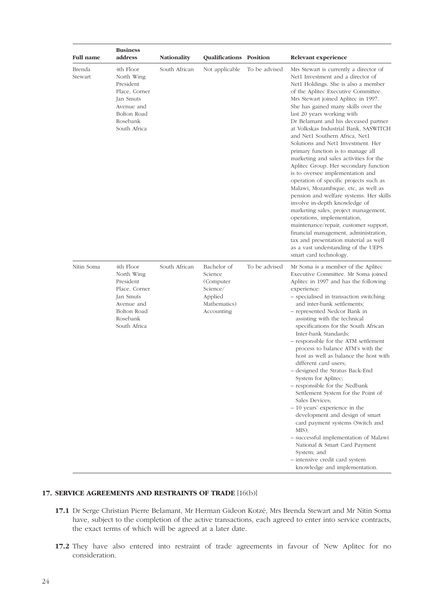| <b>Full name</b>  | <b>Business</b><br>address                                                                                                  | Nationality   | Qualifications Position                                                                  |               | Relevant experience                                                                                                                                                                                                                                                                                                                                                                                                                                                                                                                                                                                                                                                                                                                                                                                                                                                                                                                                                                                                        |
|-------------------|-----------------------------------------------------------------------------------------------------------------------------|---------------|------------------------------------------------------------------------------------------|---------------|----------------------------------------------------------------------------------------------------------------------------------------------------------------------------------------------------------------------------------------------------------------------------------------------------------------------------------------------------------------------------------------------------------------------------------------------------------------------------------------------------------------------------------------------------------------------------------------------------------------------------------------------------------------------------------------------------------------------------------------------------------------------------------------------------------------------------------------------------------------------------------------------------------------------------------------------------------------------------------------------------------------------------|
| Brenda<br>Stewart | 4th Floor<br>North Wing<br>President<br>Place, Corner<br>Jan Smuts<br>Avenue and<br>Bolton Road<br>Rosebank<br>South Africa | South African | Not applicable                                                                           | To be advised | Mrs Stewart is currently a director of<br>Net1 Investment and a director of<br>Net1 Holdings. She is also a member<br>of the Aplitec Executive Committee.<br>Mrs Stewart joined Aplitec in 1997.<br>She has gained many skills over the<br>last 20 years working with<br>Dr Belamant and his deceased partner<br>at Volkskas Industrial Bank, SASWITCH<br>and Net1 Southern Africa, Net1<br>Solutions and Net1 Investment. Her<br>primary function is to manage all<br>marketing and sales activities for the<br>Aplitec Group. Her secondary function<br>is to oversee implementation and<br>operation of specific projects such as<br>Malawi, Mozambique, etc, as well as<br>pension and welfare systems. Her skills<br>involve in-depth knowledge of<br>marketing sales, project management,<br>operations, implementation,<br>maintenance/repair, customer support,<br>financial management, administration,<br>tax and presentation material as well<br>as a vast understanding of the UEPS<br>smart card technology. |
| Nitin Soma        | 4th Floor<br>North Wing<br>President<br>Place, Corner<br>Jan Smuts<br>Avenue and<br>Bolton Road<br>Rosebank<br>South Africa | South African | Bachelor of<br>Science<br>(Computer<br>Science/<br>Applied<br>Mathematics)<br>Accounting | To be advised | Mr Soma is a member of the Aplitec<br>Executive Committee. Mr Soma joined<br>Aplitec in 1997 and has the following<br>experience:<br>- specialised in transaction switching<br>and inter-bank settlements;<br>- represented Nedcor Bank in<br>assisting with the technical<br>specifications for the South African<br>Inter-bank Standards;<br>- responsible for the ATM settlement<br>process to balance ATM's with the<br>host as well as balance the host with<br>different card users;<br>- designed the Stratus Back-End<br>System for Aplitec;<br>- responsible for the Nedbank<br>Settlement System for the Point of<br>Sales Devices:<br>$-10$ years' experience in the<br>development and design of smart<br>card payment systems (Switch and<br>MIS);<br>- successful implementation of Malawi<br>National & Smart Card Payment<br>System; and<br>- intensive credit card system<br>knowledge and implementation.                                                                                                |

## **17. SERVICE AGREEMENTS AND RESTRAINTS OF TRADE** [16(b)]

- **17.1** Dr Serge Christian Pierre Belamant, Mr Herman Gideon Kotzé, Mrs Brenda Stewart and Mr Nitin Soma have, subject to the completion of the active transactions, each agreed to enter into service contracts, the exact terms of which will be agreed at a later date.
- **17.2** They have also entered into restraint of trade agreements in favour of New Aplitec for no consideration.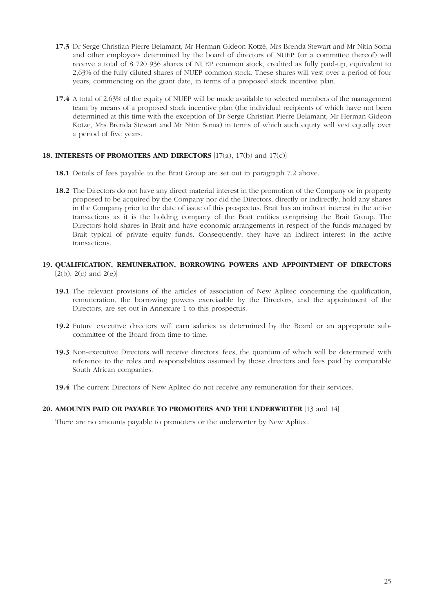- **17.3** Dr Serge Christian Pierre Belamant, Mr Herman Gideon Kotzé, Mrs Brenda Stewart and Mr Nitin Soma and other employees determined by the board of directors of NUEP (or a committee thereof) will receive a total of 8 720 936 shares of NUEP common stock, credited as fully paid-up, equivalent to 2,63% of the fully diluted shares of NUEP common stock. These shares will vest over a period of four years, commencing on the grant date, in terms of a proposed stock incentive plan.
- **17.4** A total of 2,63% of the equity of NUEP will be made available to selected members of the management team by means of a proposed stock incentive plan (the individual recipients of which have not been determined at this time with the exception of Dr Serge Christian Pierre Belamant, Mr Herman Gideon Kotze, Mrs Brenda Stewart and Mr Nitin Soma) in terms of which such equity will vest equally over a period of five years.

#### **18. INTERESTS OF PROMOTERS AND DIRECTORS** [17(a), 17(b) and 17(c)]

- **18.1** Details of fees payable to the Brait Group are set out in paragraph 7.2 above.
- **18.2** The Directors do not have any direct material interest in the promotion of the Company or in property proposed to be acquired by the Company nor did the Directors, directly or indirectly, hold any shares in the Company prior to the date of issue of this prospectus. Brait has an indirect interest in the active transactions as it is the holding company of the Brait entities comprising the Brait Group. The Directors hold shares in Brait and have economic arrangements in respect of the funds managed by Brait typical of private equity funds. Consequently, they have an indirect interest in the active transactions.
- **19. QUALIFICATION, REMUNERATION, BORROWING POWERS AND APPOINTMENT OF DIRECTORS**  $[2(b), 2(c)$  and  $2(e)]$ 
	- **19.1** The relevant provisions of the articles of association of New Aplitec concerning the qualification, remuneration, the borrowing powers exercisable by the Directors, and the appointment of the Directors, are set out in Annexure 1 to this prospectus.
	- **19.2** Future executive directors will earn salaries as determined by the Board or an appropriate subcommittee of the Board from time to time.
	- **19.3** Non-executive Directors will receive directors' fees, the quantum of which will be determined with reference to the roles and responsibilities assumed by those directors and fees paid by comparable South African companies.
	- **19.4** The current Directors of New Aplitec do not receive any remuneration for their services.

#### **20. AMOUNTS PAID OR PAYABLE TO PROMOTERS AND THE UNDERWRITER** [13 and 14]

There are no amounts payable to promoters or the underwriter by New Aplitec.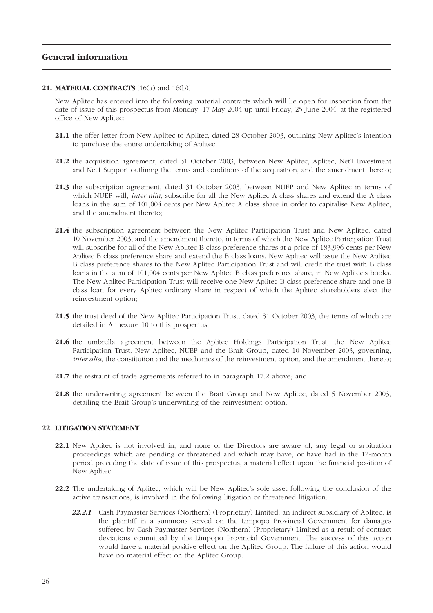## **General information**

#### 21. **MATERIAL CONTRACTS** [16(a) and 16(b)]

New Aplitec has entered into the following material contracts which will lie open for inspection from the date of issue of this prospectus from Monday, 17 May 2004 up until Friday, 25 June 2004, at the registered office of New Aplitec:

- **21.1** the offer letter from New Aplitec to Aplitec, dated 28 October 2003, outlining New Aplitec's intention to purchase the entire undertaking of Aplitec;
- **21.2** the acquisition agreement, dated 31 October 2003, between New Aplitec, Aplitec, Net1 Investment and Net1 Support outlining the terms and conditions of the acquisition, and the amendment thereto;
- **21.3** the subscription agreement, dated 31 October 2003, between NUEP and New Aplitec in terms of which NUEP will, *inter alia,* subscribe for all the New Aplitec A class shares and extend the A class loans in the sum of 101,004 cents per New Aplitec A class share in order to capitalise New Aplitec, and the amendment thereto;
- **21.4** the subscription agreement between the New Aplitec Participation Trust and New Aplitec, dated 10 November 2003, and the amendment thereto, in terms of which the New Aplitec Participation Trust will subscribe for all of the New Aplitec B class preference shares at a price of 183,996 cents per New Aplitec B class preference share and extend the B class loans. New Aplitec will issue the New Aplitec B class preference shares to the New Aplitec Participation Trust and will credit the trust with B class loans in the sum of 101,004 cents per New Aplitec B class preference share, in New Aplitec's books. The New Aplitec Participation Trust will receive one New Aplitec B class preference share and one B class loan for every Aplitec ordinary share in respect of which the Aplitec shareholders elect the reinvestment option;
- **21.5** the trust deed of the New Aplitec Participation Trust, dated 31 October 2003, the terms of which are detailed in Annexure 10 to this prospectus;
- **21.6** the umbrella agreement between the Aplitec Holdings Participation Trust, the New Aplitec Participation Trust, New Aplitec, NUEP and the Brait Group, dated 10 November 2003, governing, *inter alia*, the constitution and the mechanics of the reinvestment option, and the amendment thereto;
- **21.7** the restraint of trade agreements referred to in paragraph 17.2 above; and
- **21.8** the underwriting agreement between the Brait Group and New Aplitec, dated 5 November 2003, detailing the Brait Group's underwriting of the reinvestment option.

## **22. LITIGATION STATEMENT**

- **22.1** New Aplitec is not involved in, and none of the Directors are aware of, any legal or arbitration proceedings which are pending or threatened and which may have, or have had in the 12-month period preceding the date of issue of this prospectus, a material effect upon the financial position of New Aplitec.
- **22.2** The undertaking of Aplitec, which will be New Aplitec's sole asset following the conclusion of the active transactions, is involved in the following litigation or threatened litigation:
	- 22.2.1 Cash Paymaster Services (Northern) (Proprietary) Limited, an indirect subsidiary of Aplitec, is the plaintiff in a summons served on the Limpopo Provincial Government for damages suffered by Cash Paymaster Services (Northern) (Proprietary) Limited as a result of contract deviations committed by the Limpopo Provincial Government. The success of this action would have a material positive effect on the Aplitec Group. The failure of this action would have no material effect on the Aplitec Group.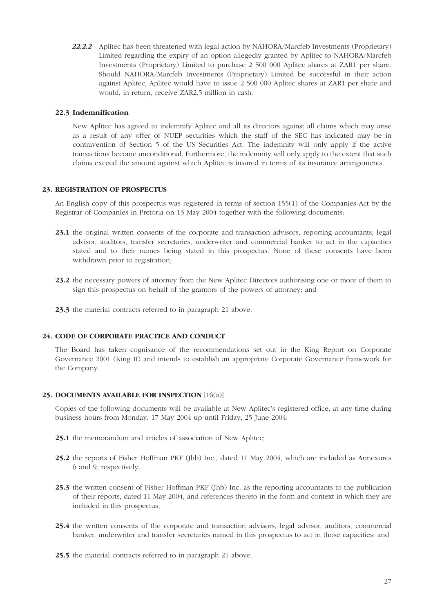22.2.2 Aplitec has been threatened with legal action by NAHORA/Marcfeb Investments (Proprietary) Limited regarding the expiry of an option allegedly granted by Aplitec to NAHORA/Marcfeb Investments (Proprietary) Limited to purchase 2 500 000 Aplitec shares at ZAR1 per share. Should NAHORA/Marcfeb Investments (Proprietary) Limited be successful in their action against Aplitec, Aplitec would have to issue 2 500 000 Aplitec shares at ZAR1 per share and would, in return, receive ZAR2,5 million in cash.

#### **22.3 Indemnification**

New Aplitec has agreed to indemnify Aplitec and all its directors against all claims which may arise as a result of any offer of NUEP securities which the staff of the SEC has indicated may be in contravention of Section 5 of the US Securities Act. The indemnity will only apply if the active transactions become unconditional. Furthermore, the indemnity will only apply to the extent that such claims exceed the amount against which Aplitec is insured in terms of its insurance arrangements.

## **23. REGISTRATION OF PROSPECTUS**

An English copy of this prospectus was registered in terms of section 155(1) of the Companies Act by the Registrar of Companies in Pretoria on 13 May 2004 together with the following documents:

- **23.1** the original written consents of the corporate and transaction advisors, reporting accountants, legal advisor, auditors, transfer secretaries, underwriter and commercial banker to act in the capacities stated and to their names being stated in this prospectus. None of these consents have been withdrawn prior to registration;
- **23.2** the necessary powers of attorney from the New Aplitec Directors authorising one or more of them to sign this prospectus on behalf of the grantors of the powers of attorney; and
- **23.3** the material contracts referred to in paragraph 21 above.

#### **24. CODE OF CORPORATE PRACTICE AND CONDUCT**

The Board has taken cognisance of the recommendations set out in the King Report on Corporate Governance 2001 (King II) and intends to establish an appropriate Corporate Governance framework for the Company.

#### **25. DOCUMENTS AVAILABLE FOR INSPECTION** [16(a)]

Copies of the following documents will be available at New Aplitec's registered office, at any time during business hours from Monday, 17 May 2004 up until Friday, 25 June 2004:

- **25.1** the memorandum and articles of association of New Aplitec;
- **25.2** the reports of Fisher Hoffman PKF (Jhb) Inc., dated 11 May 2004, which are included as Annexures 6 and 9, respectively;
- **25.3** the written consent of Fisher Hoffman PKF (Jhb) Inc. as the reporting accountants to the publication of their reports, dated 11 May 2004, and references thereto in the form and context in which they are included in this prospectus;
- **25.4** the written consents of the corporate and transaction advisors, legal advisor, auditors, commercial banker, underwriter and transfer secretaries named in this prospectus to act in those capacities; and
- **25.5** the material contracts referred to in paragraph 21 above.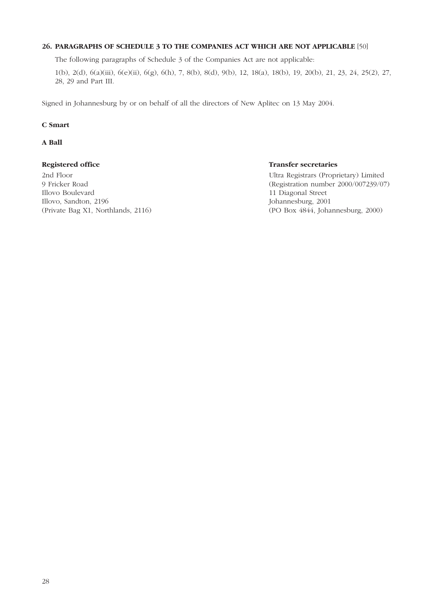## **26. PARAGRAPHS OF SCHEDULE 3 TO THE COMPANIES ACT WHICH ARE NOT APPLICABLE** [50]

The following paragraphs of Schedule 3 of the Companies Act are not applicable:

1(b), 2(d), 6(a)(iii), 6(e)(ii), 6(g), 6(h), 7, 8(b), 8(d), 9(b), 12, 18(a), 18(b), 19, 20(b), 21, 23, 24, 25(2), 27, 28, 29 and Part III.

Signed in Johannesburg by or on behalf of all the directors of New Aplitec on 13 May 2004.

#### **C Smart**

#### **A Ball**

2nd Floor Ultra Registrars (Proprietary) Limited Illovo Boulevard 11 Diagonal Street Illovo, Sandton, 2196 Johannesburg, 2001

## **Registered office** Transfer secretaries

9 Fricker Road (Registration number 2000/007239/07) (Private Bag X1, Northlands, 2116) (PO Box 4844, Johannesburg, 2000)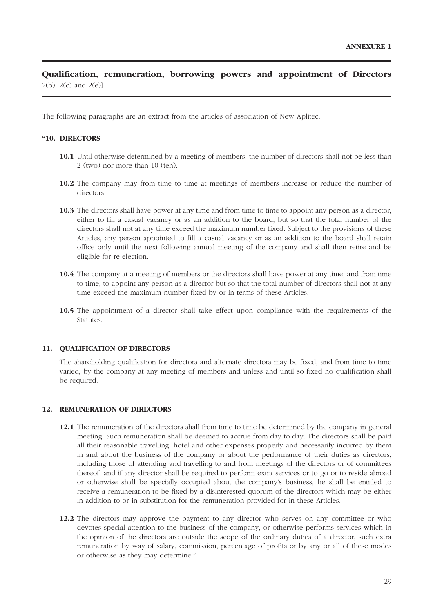## **Qualification, remuneration, borrowing powers and appointment of Directors**  $2(b)$ ,  $2(c)$  and  $2(e)$ ]

The following paragraphs are an extract from the articles of association of New Aplitec:

## **"10. DIRECTORS**

- **10.1** Until otherwise determined by a meeting of members, the number of directors shall not be less than 2 (two) nor more than 10 (ten).
- **10.2** The company may from time to time at meetings of members increase or reduce the number of directors.
- **10.3** The directors shall have power at any time and from time to time to appoint any person as a director, either to fill a casual vacancy or as an addition to the board, but so that the total number of the directors shall not at any time exceed the maximum number fixed. Subject to the provisions of these Articles, any person appointed to fill a casual vacancy or as an addition to the board shall retain office only until the next following annual meeting of the company and shall then retire and be eligible for re-election.
- **10.4** The company at a meeting of members or the directors shall have power at any time, and from time to time, to appoint any person as a director but so that the total number of directors shall not at any time exceed the maximum number fixed by or in terms of these Articles.
- **10.5** The appointment of a director shall take effect upon compliance with the requirements of the Statutes.

#### **11. QUALIFICATION OF DIRECTORS**

The shareholding qualification for directors and alternate directors may be fixed, and from time to time varied, by the company at any meeting of members and unless and until so fixed no qualification shall be required.

#### **12. REMUNERATION OF DIRECTORS**

- **12.1** The remuneration of the directors shall from time to time be determined by the company in general meeting. Such remuneration shall be deemed to accrue from day to day. The directors shall be paid all their reasonable travelling, hotel and other expenses properly and necessarily incurred by them in and about the business of the company or about the performance of their duties as directors, including those of attending and travelling to and from meetings of the directors or of committees thereof, and if any director shall be required to perform extra services or to go or to reside abroad or otherwise shall be specially occupied about the company's business, he shall be entitled to receive a remuneration to be fixed by a disinterested quorum of the directors which may be either in addition to or in substitution for the remuneration provided for in these Articles.
- **12.2** The directors may approve the payment to any director who serves on any committee or who devotes special attention to the business of the company, or otherwise performs services which in the opinion of the directors are outside the scope of the ordinary duties of a director, such extra remuneration by way of salary, commission, percentage of profits or by any or all of these modes or otherwise as they may determine."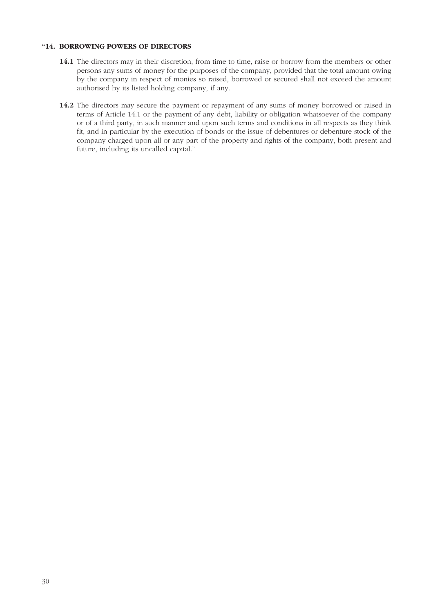## **"14. BORROWING POWERS OF DIRECTORS**

- **14.1** The directors may in their discretion, from time to time, raise or borrow from the members or other persons any sums of money for the purposes of the company, provided that the total amount owing by the company in respect of monies so raised, borrowed or secured shall not exceed the amount authorised by its listed holding company, if any.
- **14.2** The directors may secure the payment or repayment of any sums of money borrowed or raised in terms of Article 14.1 or the payment of any debt, liability or obligation whatsoever of the company or of a third party, in such manner and upon such terms and conditions in all respects as they think fit, and in particular by the execution of bonds or the issue of debentures or debenture stock of the company charged upon all or any part of the property and rights of the company, both present and future, including its uncalled capital."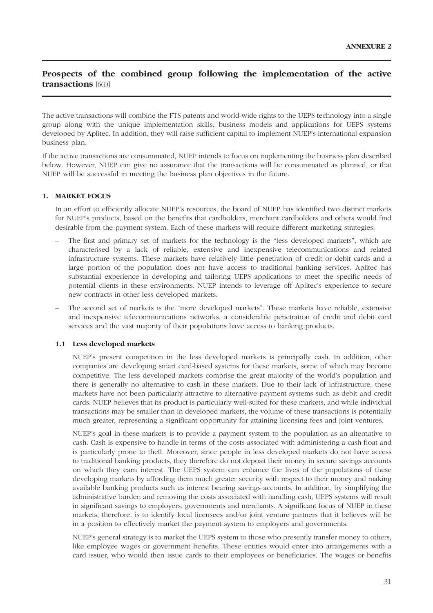## **Prospects of the combined group following the implementation of the active transactions** [6(i)]

The active transactions will combine the FTS patents and world-wide rights to the UEPS technology into a single group along with the unique implementation skills, business models and applications for UEPS systems developed by Aplitec. In addition, they will raise sufficient capital to implement NUEP's international expansion business plan.

If the active transactions are consummated, NUEP intends to focus on implementing the business plan described below. However, NUEP can give no assurance that the transactions will be consummated as planned, or that NUEP will be successful in meeting the business plan objectives in the future.

#### **1. MARKET FOCUS**

In an effort to efficiently allocate NUEP's resources, the board of NUEP has identified two distinct markets for NUEP's products, based on the benefits that cardholders, merchant cardholders and others would find desirable from the payment system. Each of these markets will require different marketing strategies:

- The first and primary set of markets for the technology is the "less developed markets", which are characterised by a lack of reliable, extensive and inexpensive telecommunications and related infrastructure systems. These markets have relatively little penetration of credit or debit cards and a large portion of the population does not have access to traditional banking services. Aplitec has substantial experience in developing and tailoring UEPS applications to meet the specific needs of potential clients in these environments. NUEP intends to leverage off Aplitec's experience to secure new contracts in other less developed markets.
- The second set of markets is the "more developed markets". These markets have reliable, extensive and inexpensive telecommunications networks, a considerable penetration of credit and debit card services and the vast majority of their populations have access to banking products.

#### **1.1 Less developed markets**

NUEP's present competition in the less developed markets is principally cash. In addition, other companies are developing smart card-based systems for these markets, some of which may become competitive. The less developed markets comprise the great majority of the world's population and there is generally no alternative to cash in these markets. Due to their lack of infrastructure, these markets have not been particularly attractive to alternative payment systems such as debit and credit cards. NUEP believes that its product is particularly well-suited for these markets, and while individual transactions may be smaller than in developed markets, the volume of these transactions is potentially much greater, representing a significant opportunity for attaining licensing fees and joint ventures.

NUEP's goal in these markets is to provide a payment system to the population as an alternative to cash. Cash is expensive to handle in terms of the costs associated with administering a cash float and is particularly prone to theft. Moreover, since people in less developed markets do not have access to traditional banking products, they therefore do not deposit their money in secure savings accounts on which they earn interest. The UEPS system can enhance the lives of the populations of these developing markets by affording them much greater security with respect to their money and making available banking products such as interest bearing savings accounts. In addition, by simplifying the administrative burden and removing the costs associated with handling cash, UEPS systems will result in significant savings to employers, governments and merchants. A significant focus of NUEP in these markets, therefore, is to identify local licensees and/or joint venture partners that it believes will be in a position to effectively market the payment system to employers and governments.

NUEP's general strategy is to market the UEPS system to those who presently transfer money to others, like employee wages or government benefits. These entities would enter into arrangements with a card issuer, who would then issue cards to their employees or beneficiaries. The wages or benefits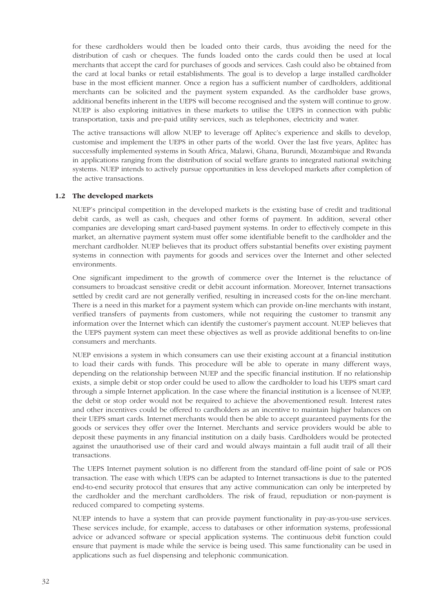for these cardholders would then be loaded onto their cards, thus avoiding the need for the distribution of cash or cheques. The funds loaded onto the cards could then be used at local merchants that accept the card for purchases of goods and services. Cash could also be obtained from the card at local banks or retail establishments. The goal is to develop a large installed cardholder base in the most efficient manner. Once a region has a sufficient number of cardholders, additional merchants can be solicited and the payment system expanded. As the cardholder base grows, additional benefits inherent in the UEPS will become recognised and the system will continue to grow. NUEP is also exploring initiatives in these markets to utilise the UEPS in connection with public transportation, taxis and pre-paid utility services, such as telephones, electricity and water.

The active transactions will allow NUEP to leverage off Aplitec's experience and skills to develop, customise and implement the UEPS in other parts of the world. Over the last five years, Aplitec has successfully implemented systems in South Africa, Malawi, Ghana, Burundi, Mozambique and Rwanda in applications ranging from the distribution of social welfare grants to integrated national switching systems. NUEP intends to actively pursue opportunities in less developed markets after completion of the active transactions.

#### **1.2 The developed markets**

NUEP's principal competition in the developed markets is the existing base of credit and traditional debit cards, as well as cash, cheques and other forms of payment. In addition, several other companies are developing smart card-based payment systems. In order to effectively compete in this market, an alternative payment system must offer some identifiable benefit to the cardholder and the merchant cardholder. NUEP believes that its product offers substantial benefits over existing payment systems in connection with payments for goods and services over the Internet and other selected environments.

One significant impediment to the growth of commerce over the Internet is the reluctance of consumers to broadcast sensitive credit or debit account information. Moreover, Internet transactions settled by credit card are not generally verified, resulting in increased costs for the on-line merchant. There is a need in this market for a payment system which can provide on-line merchants with instant, verified transfers of payments from customers, while not requiring the customer to transmit any information over the Internet which can identify the customer's payment account. NUEP believes that the UEPS payment system can meet these objectives as well as provide additional benefits to on-line consumers and merchants.

NUEP envisions a system in which consumers can use their existing account at a financial institution to load their cards with funds. This procedure will be able to operate in many different ways, depending on the relationship between NUEP and the specific financial institution. If no relationship exists, a simple debit or stop order could be used to allow the cardholder to load his UEPS smart card through a simple Internet application. In the case where the financial institution is a licensee of NUEP, the debit or stop order would not be required to achieve the abovementioned result. Interest rates and other incentives could be offered to cardholders as an incentive to maintain higher balances on their UEPS smart cards. Internet merchants would then be able to accept guaranteed payments for the goods or services they offer over the Internet. Merchants and service providers would be able to deposit these payments in any financial institution on a daily basis. Cardholders would be protected against the unauthorised use of their card and would always maintain a full audit trail of all their transactions.

The UEPS Internet payment solution is no different from the standard off-line point of sale or POS transaction. The ease with which UEPS can be adapted to Internet transactions is due to the patented end-to-end security protocol that ensures that any active communication can only be interpreted by the cardholder and the merchant cardholders. The risk of fraud, repudiation or non-payment is reduced compared to competing systems.

NUEP intends to have a system that can provide payment functionality in pay-as-you-use services. These services include, for example, access to databases or other information systems, professional advice or advanced software or special application systems. The continuous debit function could ensure that payment is made while the service is being used. This same functionality can be used in applications such as fuel dispensing and telephonic communication.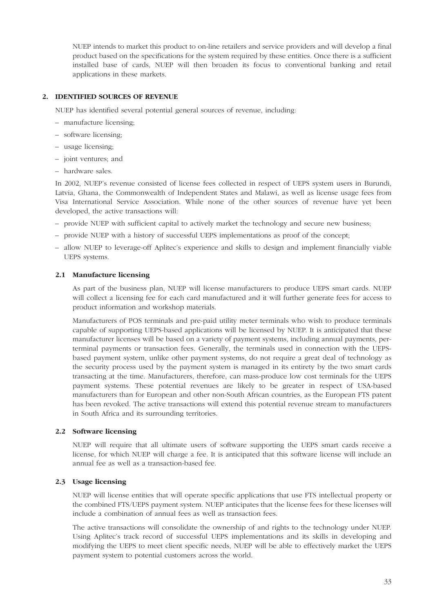NUEP intends to market this product to on-line retailers and service providers and will develop a final product based on the specifications for the system required by these entities. Once there is a sufficient installed base of cards, NUEP will then broaden its focus to conventional banking and retail applications in these markets.

## **2. IDENTIFIED SOURCES OF REVENUE**

NUEP has identified several potential general sources of revenue, including:

- manufacture licensing;
- software licensing;
- usage licensing;
- joint ventures; and
- hardware sales.

In 2002, NUEP's revenue consisted of license fees collected in respect of UEPS system users in Burundi, Latvia, Ghana, the Commonwealth of Independent States and Malawi, as well as license usage fees from Visa International Service Association. While none of the other sources of revenue have yet been developed, the active transactions will:

- provide NUEP with sufficient capital to actively market the technology and secure new business;
- provide NUEP with a history of successful UEPS implementations as proof of the concept;
- allow NUEP to leverage-off Aplitec's experience and skills to design and implement financially viable UEPS systems.

#### **2.1 Manufacture licensing**

As part of the business plan, NUEP will license manufacturers to produce UEPS smart cards. NUEP will collect a licensing fee for each card manufactured and it will further generate fees for access to product information and workshop materials.

Manufacturers of POS terminals and pre-paid utility meter terminals who wish to produce terminals capable of supporting UEPS-based applications will be licensed by NUEP. It is anticipated that these manufacturer licenses will be based on a variety of payment systems, including annual payments, perterminal payments or transaction fees. Generally, the terminals used in connection with the UEPSbased payment system, unlike other payment systems, do not require a great deal of technology as the security process used by the payment system is managed in its entirety by the two smart cards transacting at the time. Manufacturers, therefore, can mass-produce low cost terminals for the UEPS payment systems. These potential revenues are likely to be greater in respect of USA-based manufacturers than for European and other non-South African countries, as the European FTS patent has been revoked. The active transactions will extend this potential revenue stream to manufacturers in South Africa and its surrounding territories.

#### **2.2 Software licensing**

NUEP will require that all ultimate users of software supporting the UEPS smart cards receive a license, for which NUEP will charge a fee. It is anticipated that this software license will include an annual fee as well as a transaction-based fee.

#### **2.3 Usage licensing**

NUEP will license entities that will operate specific applications that use FTS intellectual property or the combined FTS/UEPS payment system. NUEP anticipates that the license fees for these licenses will include a combination of annual fees as well as transaction fees.

The active transactions will consolidate the ownership of and rights to the technology under NUEP. Using Aplitec's track record of successful UEPS implementations and its skills in developing and modifying the UEPS to meet client specific needs, NUEP will be able to effectively market the UEPS payment system to potential customers across the world.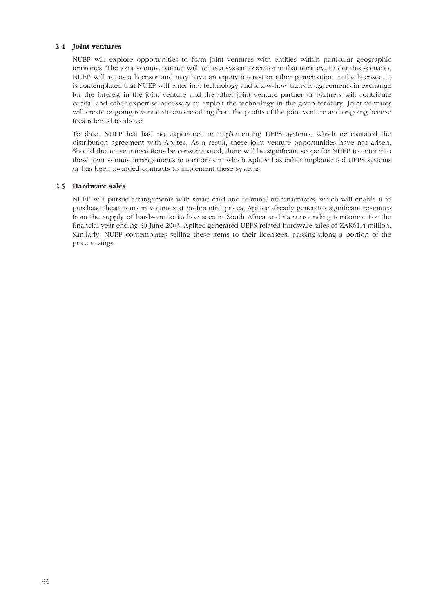#### **2.4 Joint ventures**

NUEP will explore opportunities to form joint ventures with entities within particular geographic territories. The joint venture partner will act as a system operator in that territory. Under this scenario, NUEP will act as a licensor and may have an equity interest or other participation in the licensee. It is contemplated that NUEP will enter into technology and know-how transfer agreements in exchange for the interest in the joint venture and the other joint venture partner or partners will contribute capital and other expertise necessary to exploit the technology in the given territory. Joint ventures will create ongoing revenue streams resulting from the profits of the joint venture and ongoing license fees referred to above.

To date, NUEP has had no experience in implementing UEPS systems, which necessitated the distribution agreement with Aplitec. As a result, these joint venture opportunities have not arisen. Should the active transactions be consummated, there will be significant scope for NUEP to enter into these joint venture arrangements in territories in which Aplitec has either implemented UEPS systems or has been awarded contracts to implement these systems.

#### **2.5 Hardware sales**

NUEP will pursue arrangements with smart card and terminal manufacturers, which will enable it to purchase these items in volumes at preferential prices. Aplitec already generates significant revenues from the supply of hardware to its licensees in South Africa and its surrounding territories. For the financial year ending 30 June 2003, Aplitec generated UEPS-related hardware sales of ZAR61,4 million. Similarly, NUEP contemplates selling these items to their licensees, passing along a portion of the price savings.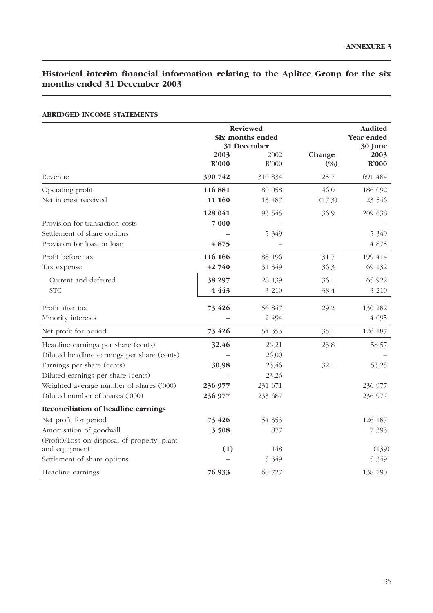## **Historical interim financial information relating to the Aplitec Group for the six months ended 31 December 2003**

|                                              |                           | <b>Reviewed</b><br>Six months ended<br>31 December |                 | <b>Audited</b><br>Year ended<br>30 June |
|----------------------------------------------|---------------------------|----------------------------------------------------|-----------------|-----------------------------------------|
|                                              | 2003<br>$\mathbf{R}^2000$ | 2002<br>R'000                                      | Change<br>(0/0) | 2003<br>$\mathbf{R}^{\prime}000$        |
| Revenue                                      | 390 742                   | 310 834                                            | 25,7            | 691 484                                 |
| Operating profit                             | 116 881                   | 80 058                                             | 46,0            | 186 092                                 |
| Net interest received                        | 11 160                    | 13 487                                             | (17,3)          | 23 546                                  |
|                                              | 128 041                   | 93 545                                             | 36,9            | 209 638                                 |
| Provision for transaction costs              | 7000                      |                                                    |                 |                                         |
| Settlement of share options                  |                           | 5 3 4 9                                            |                 | 5 3 4 9                                 |
| Provision for loss on loan                   | 4875                      |                                                    |                 | 4 875                                   |
| Profit before tax                            | 116 166                   | 88 196                                             | 31,7            | 199 414                                 |
| Tax expense                                  | 42 740                    | 31 349                                             | 36,3            | 69 132                                  |
| Current and deferred                         | 38 297                    | 28 139                                             | 36,1            | 65 922                                  |
| <b>STC</b>                                   | 4 4 4 3                   | 3 2 1 0                                            | 38,4            | 3 2 1 0                                 |
| Profit after tax                             | 73 4 26                   | 56 847                                             | 29,2            | 130 282                                 |
| Minority interests                           |                           | 2 494                                              |                 | 4 0 9 5                                 |
| Net profit for period                        | 73 4 26                   | 54 353                                             | 35,1            | 126 187                                 |
| Headline earnings per share (cents)          | 32,46                     | 26,21                                              | 23,8            | 58,57                                   |
| Diluted headline earnings per share (cents)  |                           | 26,00                                              |                 |                                         |
| Earnings per share (cents)                   | 30,98                     | 23,46                                              | 32,1            | 53,25                                   |
| Diluted earnings per share (cents)           |                           | 23,26                                              |                 |                                         |
| Weighted average number of shares ('000)     | 236 977                   | 231 671                                            |                 | 236 977                                 |
| Diluted number of shares ('000)              | 236 977                   | 233 687                                            |                 | 236 977                                 |
| <b>Reconciliation of headline earnings</b>   |                           |                                                    |                 |                                         |
| Net profit for period                        | 73 4 26                   | 54 353                                             |                 | 126 187                                 |
| Amortisation of goodwill                     | 3 5 0 8                   | 877                                                |                 | 7 3 9 3                                 |
| (Profit)/Loss on disposal of property, plant |                           |                                                    |                 |                                         |
| and equipment                                | (1)                       | 148                                                |                 | (139)                                   |
| Settlement of share options                  |                           | 5 3 4 9                                            |                 | 5 3 4 9                                 |
| Headline earnings                            | 76 933                    | 60 727                                             |                 | 138 790                                 |

## **ABRIDGED INCOME STATEMENTS**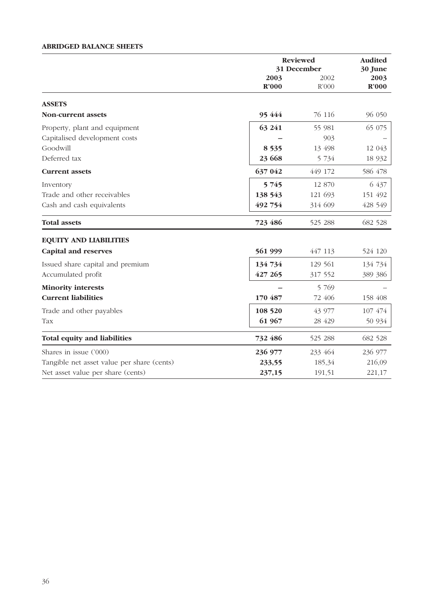## **ABRIDGED BALANCE SHEETS**

|                                            | <b>Reviewed</b><br>31 December |         | <b>Audited</b><br>30 June |  |
|--------------------------------------------|--------------------------------|---------|---------------------------|--|
|                                            | 2003<br>2002                   |         | 2003                      |  |
|                                            | R'000                          | R'000   | R'000                     |  |
| <b>ASSETS</b>                              |                                |         |                           |  |
| Non-current assets                         | 95 444                         | 76 116  | 96 050                    |  |
| Property, plant and equipment              | 63 241                         | 55 981  | 65 075                    |  |
| Capitalised development costs              |                                | 903     |                           |  |
| Goodwill                                   | 8 5 3 5                        | 13 498  | 12 043                    |  |
| Deferred tax                               | 23 668                         | 5 734   | 18 9 32                   |  |
| <b>Current assets</b>                      | 637 042                        | 449 172 | 586 478                   |  |
| Inventory                                  | 5 7 4 5                        | 12 870  | 6 437                     |  |
| Trade and other receivables                | 138 543                        | 121 693 | 151 492                   |  |
| Cash and cash equivalents                  | 492 754                        | 314 609 | 428 549                   |  |
| <b>Total assets</b>                        | 723 486                        | 525 288 | 682 528                   |  |
| <b>EQUITY AND LIABILITIES</b>              |                                |         |                           |  |
| <b>Capital and reserves</b>                | 561 999                        | 447 113 | 524 120                   |  |
| Issued share capital and premium           | 134 734                        | 129 561 | 134 734                   |  |
| Accumulated profit                         | 427 265                        | 317 552 | 389 386                   |  |
| <b>Minority interests</b>                  |                                | 5 7 6 9 |                           |  |
| <b>Current liabilities</b>                 | 170 487                        | 72 406  | 158 408                   |  |
| Trade and other payables                   | 108 520                        | 43 977  | 107 474                   |  |
| Tax                                        | 61 967                         | 28 429  | 50 934                    |  |
| <b>Total equity and liabilities</b>        | 732 486                        | 525 288 | 682 528                   |  |
| Shares in issue ('000)                     | 236 977                        | 233 464 | 236 977                   |  |
| Tangible net asset value per share (cents) | 233,55                         | 185,34  | 216,09                    |  |
| Net asset value per share (cents)          | 237,15                         | 191,51  | 221,17                    |  |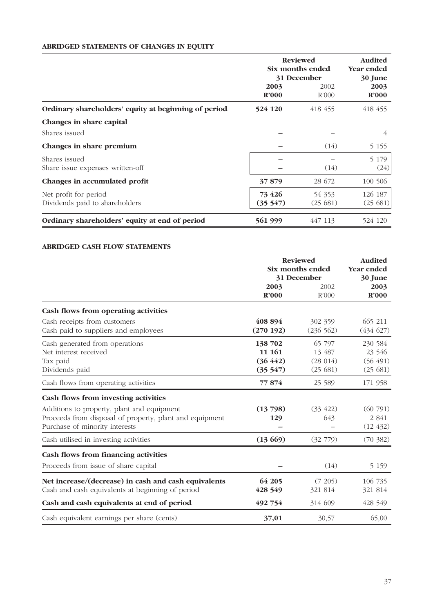## **ABRIDGED STATEMENTS OF CHANGES IN EQUITY**

|                                                         | <b>Reviewed</b><br>Six months ended<br>31 December |                   | <b>Audited</b><br>Year ended<br>30 June |  |
|---------------------------------------------------------|----------------------------------------------------|-------------------|-----------------------------------------|--|
|                                                         | 2003<br>$\mathbf{R}^2000$                          | 2002<br>R'000     | 2003<br>$\mathbf{R}^2000$               |  |
| Ordinary shareholders' equity at beginning of period    | 524 120                                            | 418 455           | 418 455                                 |  |
| Changes in share capital<br>Shares issued               |                                                    |                   | 4                                       |  |
| Changes in share premium                                |                                                    | (14)              | 5 1 5 5                                 |  |
| Shares issued<br>Share issue expenses written-off       |                                                    | (14)              | 5 1 7 9<br>(24)                         |  |
| Changes in accumulated profit                           | 37879                                              | 28 672            | 100 506                                 |  |
| Net profit for period<br>Dividends paid to shareholders | 73 4 26<br>(35547)                                 | 54 353<br>(25681) | 126 187<br>(25681)                      |  |
| Ordinary shareholders' equity at end of period          | 561 999                                            | 447 113           | 524 120                                 |  |

## **ABRIDGED CASH FLOW STATEMENTS**

|                                                         | <b>Reviewed</b><br>Six months ended<br>31 December |           | <b>Audited</b><br><b>Year ended</b><br>30 June |  |
|---------------------------------------------------------|----------------------------------------------------|-----------|------------------------------------------------|--|
|                                                         | 2003                                               | 2002      | 2003                                           |  |
|                                                         | R'000                                              | R'000     | R'000                                          |  |
| Cash flows from operating activities                    |                                                    |           |                                                |  |
| Cash receipts from customers                            | 408 894                                            | 302 359   | 665 211                                        |  |
| Cash paid to suppliers and employees                    | (270192)                                           | (236 562) | (434627)                                       |  |
| Cash generated from operations                          | 138 702                                            | 65 797    | 230 584                                        |  |
| Net interest received                                   | 11 161                                             | 13 487    | 23 546                                         |  |
| Tax paid                                                | (36 442)                                           | (28014)   | (56 491)                                       |  |
| Dividends paid                                          | (35 547)                                           | (25681)   | (25681)                                        |  |
| Cash flows from operating activities                    | 77874                                              | 25 589    | 171 958                                        |  |
| Cash flows from investing activities                    |                                                    |           |                                                |  |
| Additions to property, plant and equipment              | (13798)                                            | (33, 422) | (60791)                                        |  |
| Proceeds from disposal of property, plant and equipment | 129                                                | 643       | 2 841                                          |  |
| Purchase of minority interests                          |                                                    |           | (12, 432)                                      |  |
| Cash utilised in investing activities                   | (13669)                                            | (32779)   | (70, 382)                                      |  |
| Cash flows from financing activities                    |                                                    |           |                                                |  |
| Proceeds from issue of share capital                    |                                                    | (14)      | 5 1 5 9                                        |  |
| Net increase/(decrease) in cash and cash equivalents    | 64 205                                             | (7 205)   | 106 735                                        |  |
| Cash and cash equivalents at beginning of period        | 428 549                                            | 321 814   | 321 814                                        |  |
| Cash and cash equivalents at end of period              | 492 754                                            | 314 609   | 428 549                                        |  |
| Cash equivalent earnings per share (cents)              | 37,01                                              | 30,57     | 65,00                                          |  |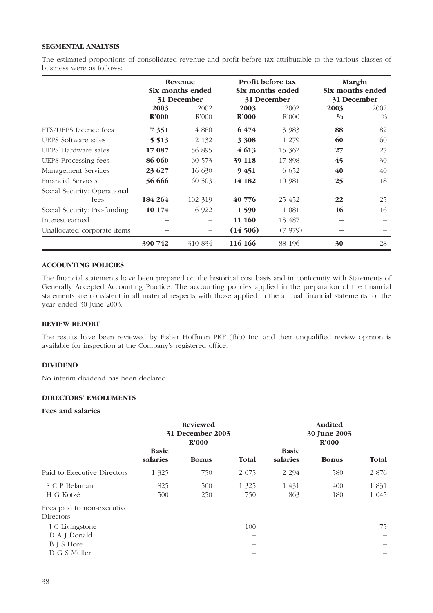## **SEGMENTAL ANALYSIS**

The estimated proportions of consolidated revenue and profit before tax attributable to the various classes of business were as follows:

|                              |         | Revenue<br>Six months ended<br>31 December | <b>Profit before tax</b><br>Six months ended<br>31 December |         | <b>Margin</b><br>Six months ended<br>31 December |      |
|------------------------------|---------|--------------------------------------------|-------------------------------------------------------------|---------|--------------------------------------------------|------|
|                              | 2003    | 2002                                       | 2003                                                        | 2002    | 2003                                             | 2002 |
|                              | R'000   | R'000                                      | $\mathbf{R}^2000$                                           | R'000   | $\frac{0}{0}$                                    | $\%$ |
| FTS/UEPS Licence fees        | 7 3 5 1 | 4 860                                      | 6474                                                        | 3 9 8 3 | 88                                               | 82   |
| UEPS Software sales          | 5 5 1 3 | 2 1 3 2                                    | 3 3 0 8                                                     | 1 279   | 60                                               | 60   |
| UEPS Hardware sales          | 17 087  | 56 895                                     | 4613                                                        | 15 362  | 27                                               | 27   |
| <b>UEPS</b> Processing fees  | 86 060  | 60 573                                     | 39 118                                                      | 17898   | 45                                               | 30   |
| Management Services          | 23 627  | 16 630                                     | 9451                                                        | 6 6 5 2 | 40                                               | 40   |
| Financial Services           | 56 666  | 60 503                                     | 14 182                                                      | 10 981  | 25                                               | 18   |
| Social Security: Operational |         |                                            |                                                             |         |                                                  |      |
| fees                         | 184 264 | 102 319                                    | 40 776                                                      | 25 452  | 22                                               | 25   |
| Social Security: Pre-funding | 10 174  | 6 9 22                                     | 1 5 9 0                                                     | 1 0 8 1 | 16                                               | 16   |
| Interest earned              |         |                                            | 11 160                                                      | 13 487  |                                                  |      |
| Unallocated corporate items  |         | -                                          | (14506)                                                     | (7979)  |                                                  |      |
|                              | 390 742 | 310 834                                    | 116 166                                                     | 88 196  | 30                                               | 28   |

#### **ACCOUNTING POLICIES**

The financial statements have been prepared on the historical cost basis and in conformity with Statements of Generally Accepted Accounting Practice. The accounting policies applied in the preparation of the financial statements are consistent in all material respects with those applied in the annual financial statements for the year ended 30 June 2003.

## **REVIEW REPORT**

The results have been reviewed by Fisher Hoffman PKF (Jhb) Inc. and their unqualified review opinion is available for inspection at the Company's registered office.

### **DIVIDEND**

No interim dividend has been declared.

## **DIRECTORS' EMOLUMENTS**

## **Fees and salaries**

|                                          | <b>Reviewed</b><br>31 December 2003<br>R'000 |              |                |                          | <b>Audited</b><br>30 June 2003<br>R'000 |                 |
|------------------------------------------|----------------------------------------------|--------------|----------------|--------------------------|-----------------------------------------|-----------------|
|                                          | <b>Basic</b><br>salaries                     | <b>Bonus</b> | Total          | <b>Basic</b><br>salaries | <b>Bonus</b>                            | Total           |
| Paid to Executive Directors              | 1 3 2 5                                      | 750          | 2 0 7 5        | 2 2 9 4                  | 580                                     | 2 8 7 6         |
| S C P Belamant<br>H G Kotzé              | 825<br>500                                   | 500<br>250   | 1 3 2 5<br>750 | 1 431<br>863             | 400<br>180                              | 1831<br>1 0 4 5 |
| Fees paid to non-executive<br>Directors: |                                              |              |                |                          |                                         |                 |
| J C Livingstone                          |                                              |              | 100            |                          |                                         | 75              |
| D A J Donald<br>B J S Hore               |                                              |              |                |                          |                                         |                 |
| D G S Muller                             |                                              |              |                |                          |                                         |                 |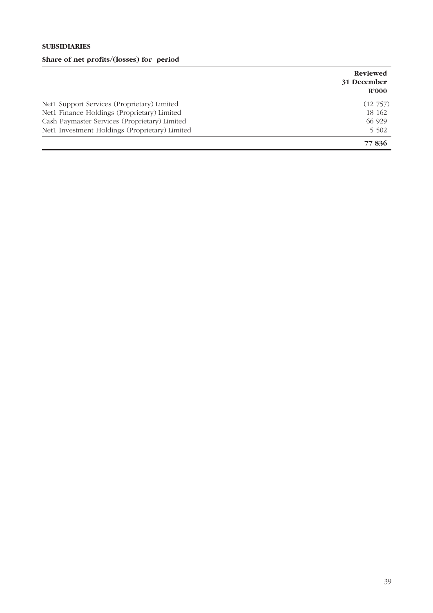# **SUBSIDIARIES Share of net profits/(losses) for period**

|                                                | <b>Reviewed</b><br>31 December<br>R'000 |
|------------------------------------------------|-----------------------------------------|
| Net1 Support Services (Proprietary) Limited    | $(12\,757)$                             |
| Net1 Finance Holdings (Proprietary) Limited    | 18 162                                  |
| Cash Paymaster Services (Proprietary) Limited  | 66 929                                  |
| Net1 Investment Holdings (Proprietary) Limited | 5 5 0 2                                 |
|                                                | 77836                                   |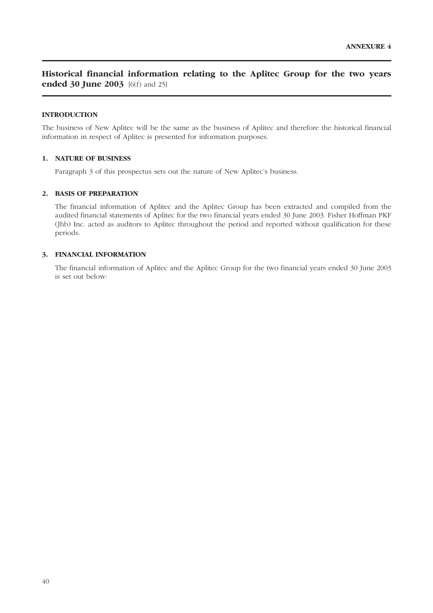## **Historical financial information relating to the Aplitec Group for the two years ended 30 June 2003** [6(f) and 25]

### **INTRODUCTION**

The business of New Aplitec will be the same as the business of Aplitec and therefore the historical financial information in respect of Aplitec is presented for information purposes.

## **1. NATURE OF BUSINESS**

Paragraph 3 of this prospectus sets out the nature of New Aplitec's business.

#### **2. BASIS OF PREPARATION**

The financial information of Aplitec and the Aplitec Group has been extracted and compiled from the audited financial statements of Aplitec for the two financial years ended 30 June 2003. Fisher Hoffman PKF (Jhb) Inc. acted as auditors to Aplitec throughout the period and reported without qualification for these periods.

## **3. FINANCIAL INFORMATION**

The financial information of Aplitec and the Aplitec Group for the two financial years ended 30 June 2003 is set out below: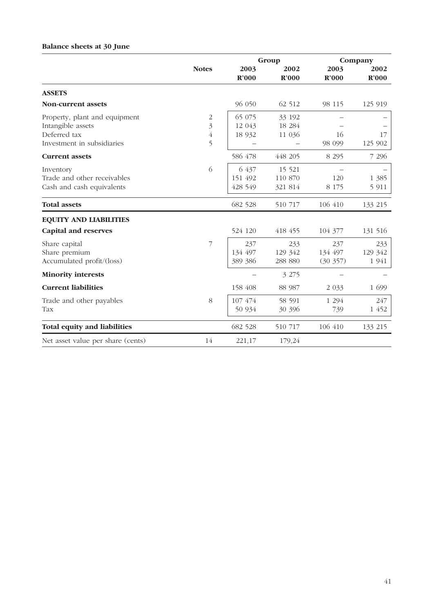## **Balance sheets at 30 June**

|                                                                                                  |                  |                             | Group                         |                            | Company                   |  |
|--------------------------------------------------------------------------------------------------|------------------|-----------------------------|-------------------------------|----------------------------|---------------------------|--|
|                                                                                                  | <b>Notes</b>     | 2003<br>R'000               | 2002<br>R'000                 | 2003<br>R'000              | 2002<br>R'000             |  |
| <b>ASSETS</b>                                                                                    |                  |                             |                               |                            |                           |  |
| <b>Non-current assets</b>                                                                        |                  | 96 050                      | 62 512                        | 98 115                     | 125 919                   |  |
| Property, plant and equipment<br>Intangible assets<br>Deferred tax<br>Investment in subsidiaries | 2<br>3<br>4<br>5 | 65 075<br>12 043<br>18 9 32 | 33 192<br>18 284<br>11 036    | 16<br>98 099               | 17<br>125 902             |  |
| <b>Current assets</b>                                                                            |                  | 586 478                     | 448 205                       | 8 2 9 5                    | 7 2 9 6                   |  |
| Inventory<br>Trade and other receivables<br>Cash and cash equivalents                            | 6                | 6 437<br>151 492<br>428 549 | 15 5 21<br>110 870<br>321 814 | 120<br>8 1 7 5             | 1 3 8 5<br>5 9 1 1        |  |
| <b>Total assets</b>                                                                              |                  | 682 528                     | 510 717                       | 106 410                    | 133 215                   |  |
| <b>EQUITY AND LIABILITIES</b>                                                                    |                  |                             |                               |                            |                           |  |
| <b>Capital and reserves</b>                                                                      |                  | 524 120                     | 418 455                       | 104 377                    | 131 516                   |  |
| Share capital<br>Share premium<br>Accumulated profit/(loss)                                      | 7                | 237<br>134 497<br>389 386   | 233<br>129 342<br>288 880     | 237<br>134 497<br>(30 357) | 233<br>129 342<br>1 9 4 1 |  |
| <b>Minority interests</b>                                                                        |                  |                             | 3 275                         |                            |                           |  |
| <b>Current liabilities</b>                                                                       |                  | 158 408                     | 88 987                        | 2 0 3 3                    | 1 699                     |  |
| Trade and other payables<br>Tax                                                                  | 8                | 107 474<br>50 934           | 58 591<br>30 396              | 1 2 9 4<br>739             | 247<br>1 452              |  |
| <b>Total equity and liabilities</b>                                                              |                  | 682 528                     | 510 717                       | 106 410                    | 133 215                   |  |
| Net asset value per share (cents)                                                                | 14               | 221,17                      | 179,24                        |                            |                           |  |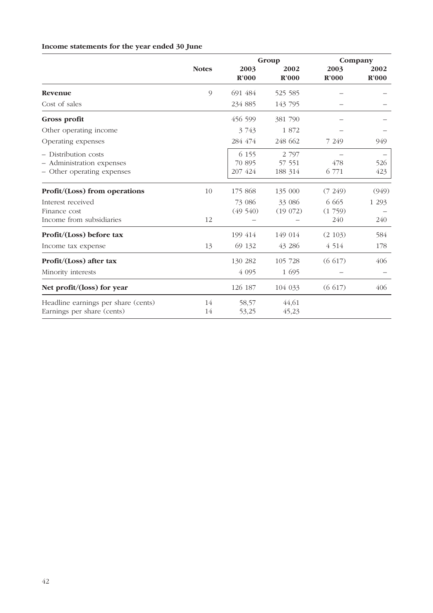|                                                                                 |                | Group                        |                              | Company      |            |
|---------------------------------------------------------------------------------|----------------|------------------------------|------------------------------|--------------|------------|
|                                                                                 | <b>Notes</b>   | 2003                         | 2002                         | 2003         | 2002       |
|                                                                                 |                | R'000                        | R'000                        | R'000        | R'000      |
| Revenue                                                                         | $\overline{9}$ | 691 484                      | 525 585                      |              |            |
| Cost of sales                                                                   |                | 234 885                      | 143 795                      |              |            |
| Gross profit                                                                    |                | 456 599                      | 381 790                      |              |            |
| Other operating income                                                          |                | 3 7 4 3                      | 1872                         |              |            |
| Operating expenses                                                              |                | 284 474                      | 248 662                      | 7 249        | 949        |
| - Distribution costs<br>- Administration expenses<br>- Other operating expenses |                | 6 1 5 5<br>70 895<br>207 424 | 2 7 9 7<br>57 551<br>188 314 | 478<br>6 771 | 526<br>423 |
| Profit/(Loss) from operations                                                   | 10             | 175 868                      | 135 000                      | (7249)       | (949)      |
| Interest received                                                               |                | 73 086                       | 33 086                       | 6 6 6 5      | 1 2 9 3    |
| Finance cost                                                                    |                | (49, 540)                    | (19072)                      | (1759)       |            |
| Income from subsidiaries                                                        | 12             |                              |                              | 240          | 240        |
| Profit/(Loss) before tax                                                        |                | 199 414                      | 149 014                      | (2 103)      | 584        |
| Income tax expense                                                              | 13             | 69 132                       | 43 28 6                      | 4 5 1 4      | 178        |
| Profit/(Loss) after tax                                                         |                | 130 282                      | 105 728                      | (6617)       | 406        |
| Minority interests                                                              |                | 4 0 9 5                      | 1 695                        |              |            |
| Net profit/(loss) for year                                                      |                | 126 187                      | 104 033                      | (6617)       | 406        |
| Headline earnings per share (cents)<br>Earnings per share (cents)               | 14<br>14       | 58,57<br>53,25               | 44,61<br>45,23               |              |            |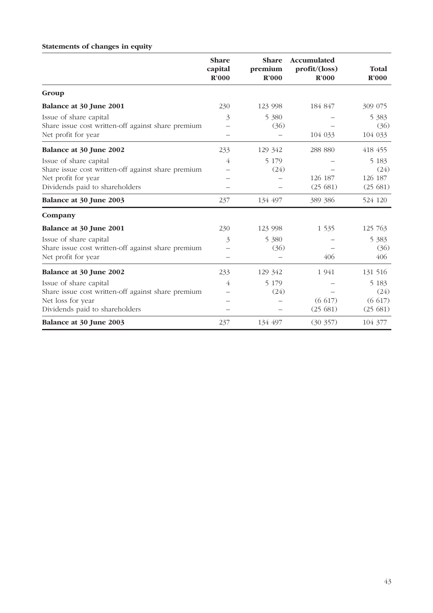# **Share Share Accumulated capital premium profit/(loss) Total R'000 R'000 R'000 R'000 Group Balance at 30 June 2001** 230 230 123 998 184 847 309 075 Issue of share capital  $\frac{3}{5}$   $\frac{5380}{-}$   $\frac{5383}{5383}$ Share issue cost written-off against share premium – (36) – (36) Net profit for year  $104\,033$   $104\,033$ **Balance at 30 June 2002** 233 129 342 288 880 418 455 Issue of share capital  $4 \overline{5} \overline{179} - 5 \overline{183}$ Share issue cost written-off against share premium  $-$  (24)  $-$  (24) Net profit for year – – 126 187 126 187 Dividends paid to shareholders – – (25 681) (25 681) **Balance at 30 June 2003** 237 134 497 389 386 524 120 **Company Balance at 30 June 2001** 230 230 123 998 1 535 125 763 Issue of share capital  $\frac{3}{3}$  5 380  $\frac{5}{383}$ Share issue cost written-off against share premium  $-$  (36) – (36) Net profit for year  $406$   $406$ **Balance at 30 June 2002** 233 129 342 1 941 131 516 Issue of share capital  $4 \overline{5} \overline{179} - 5 \overline{183}$

Share issue cost written-off against share premium  $-$  (24) – (24) (24) Net loss for year  $-$  (6.617) (6.617) (6.617) Dividends paid to shareholders – – (25 681) (25 681) **Balance at 30 June 2003** 237 134 497 (30 357) 104 377

## **Statements of changes in equity**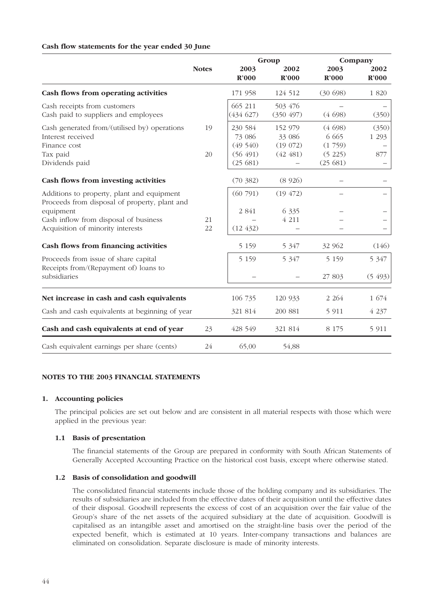#### **Cash flow statements for the year ended 30 June**

|                                                                                                                                                                                        |              | Group                                               |                                          | Company                                           |                           |
|----------------------------------------------------------------------------------------------------------------------------------------------------------------------------------------|--------------|-----------------------------------------------------|------------------------------------------|---------------------------------------------------|---------------------------|
|                                                                                                                                                                                        | <b>Notes</b> | 2003<br>R'000                                       | 2002<br>R'000                            | 2003<br>R'000                                     | 2002<br>$\mathbf{R}^2000$ |
| Cash flows from operating activities                                                                                                                                                   |              | 171 958                                             | 124 512                                  | (30698)                                           | 1 820                     |
| Cash receipts from customers<br>Cash paid to suppliers and employees                                                                                                                   |              | 665 211<br>(434627)                                 | 503 476<br>(350 497)                     | (4698)                                            | (350)                     |
| Cash generated from/(utilised by) operations<br>Interest received<br>Finance cost<br>Tax paid<br>Dividends paid                                                                        | 19<br>20     | 230 584<br>73 086<br>(49540)<br>(56 491)<br>(25681) | 152 979<br>33 086<br>(19072)<br>(42 481) | (4698)<br>6 6 6 5<br>(1759)<br>(5 225)<br>(25681) | (350)<br>1 2 9 3<br>877   |
| Cash flows from investing activities                                                                                                                                                   |              | (70, 382)                                           | (8926)                                   |                                                   |                           |
| Additions to property, plant and equipment<br>Proceeds from disposal of property, plant and<br>equipment<br>Cash inflow from disposal of business<br>Acquisition of minority interests | 21<br>22     | (60791)<br>$2\ 841$<br>(12, 432)                    | (19, 472)<br>6 3 3 5<br>4 2 1 1          |                                                   |                           |
| Cash flows from financing activities                                                                                                                                                   |              | 5 1 5 9                                             | 5 3 4 7                                  | 32 962                                            | (146)                     |
| Proceeds from issue of share capital<br>Receipts from/(Repayment of) loans to<br>subsidiaries                                                                                          |              | 5 1 5 9                                             | 5 3 4 7                                  | 5 1 5 9<br>27 803                                 | 5 3 4 7<br>(5493)         |
| Net increase in cash and cash equivalents                                                                                                                                              |              | 106 735                                             | 120 933                                  | 2 2 6 4                                           | 1 674                     |
| Cash and cash equivalents at beginning of year                                                                                                                                         |              | 321 814                                             | 200 881                                  | 5 9 1 1                                           | 4 2 3 7                   |
| Cash and cash equivalents at end of year                                                                                                                                               | 23           | 428 549                                             | 321 814                                  | 8 1 7 5                                           | 5 9 1 1                   |
| Cash equivalent earnings per share (cents)                                                                                                                                             | 24           | 65,00                                               | 54,88                                    |                                                   |                           |

#### **NOTES TO THE 2003 FINANCIAL STATEMENTS**

### **1. Accounting policies**

The principal policies are set out below and are consistent in all material respects with those which were applied in the previous year:

#### **1.1 Basis of presentation**

The financial statements of the Group are prepared in conformity with South African Statements of Generally Accepted Accounting Practice on the historical cost basis, except where otherwise stated.

#### **1.2 Basis of consolidation and goodwill**

The consolidated financial statements include those of the holding company and its subsidiaries. The results of subsidiaries are included from the effective dates of their acquisition until the effective dates of their disposal. Goodwill represents the excess of cost of an acquisition over the fair value of the Group's share of the net assets of the acquired subsidiary at the date of acquisition. Goodwill is capitalised as an intangible asset and amortised on the straight-line basis over the period of the expected benefit, which is estimated at 10 years. Inter-company transactions and balances are eliminated on consolidation. Separate disclosure is made of minority interests.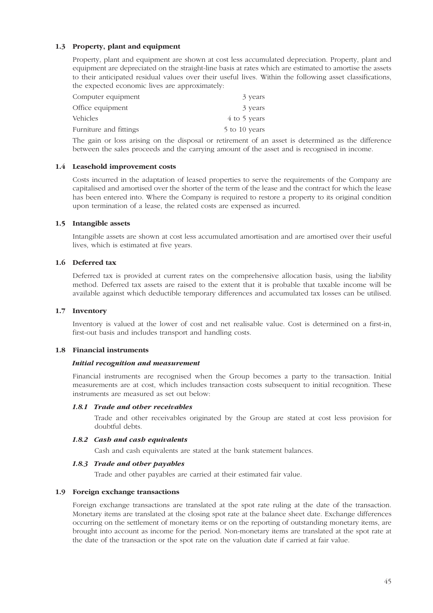## **1.3 Property, plant and equipment**

Property, plant and equipment are shown at cost less accumulated depreciation. Property, plant and equipment are depreciated on the straight-line basis at rates which are estimated to amortise the assets to their anticipated residual values over their useful lives. Within the following asset classifications, the expected economic lives are approximately:

| 3 years       |
|---------------|
| 3 years       |
| 4 to 5 years  |
| 5 to 10 years |
|               |

The gain or loss arising on the disposal or retirement of an asset is determined as the difference between the sales proceeds and the carrying amount of the asset and is recognised in income.

#### **1.4 Leasehold improvement costs**

Costs incurred in the adaptation of leased properties to serve the requirements of the Company are capitalised and amortised over the shorter of the term of the lease and the contract for which the lease has been entered into. Where the Company is required to restore a property to its original condition upon termination of a lease, the related costs are expensed as incurred.

#### **1.5 Intangible assets**

Intangible assets are shown at cost less accumulated amortisation and are amortised over their useful lives, which is estimated at five years.

## **1.6 Deferred tax**

Deferred tax is provided at current rates on the comprehensive allocation basis, using the liability method. Deferred tax assets are raised to the extent that it is probable that taxable income will be available against which deductible temporary differences and accumulated tax losses can be utilised.

#### **1.7 Inventory**

Inventory is valued at the lower of cost and net realisable value. Cost is determined on a first-in, first-out basis and includes transport and handling costs.

### **1.8 Financial instruments**

#### *Initial recognition and measurement*

Financial instruments are recognised when the Group becomes a party to the transaction. Initial measurements are at cost, which includes transaction costs subsequent to initial recognition. These instruments are measured as set out below:

#### *1.8.1 Trade and other receivables*

Trade and other receivables originated by the Group are stated at cost less provision for doubtful debts.

#### *1.8.2 Cash and cash equivalents*

Cash and cash equivalents are stated at the bank statement balances.

#### *1.8.3 Trade and other payables*

Trade and other payables are carried at their estimated fair value.

#### **1.9 Foreign exchange transactions**

Foreign exchange transactions are translated at the spot rate ruling at the date of the transaction. Monetary items are translated at the closing spot rate at the balance sheet date. Exchange differences occurring on the settlement of monetary items or on the reporting of outstanding monetary items, are brought into account as income for the period. Non-monetary items are translated at the spot rate at the date of the transaction or the spot rate on the valuation date if carried at fair value.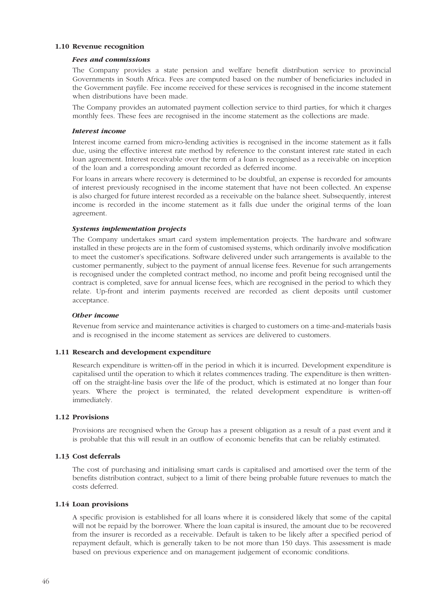#### **1.10 Revenue recognition**

#### *Fees and commissions*

The Company provides a state pension and welfare benefit distribution service to provincial Governments in South Africa. Fees are computed based on the number of beneficiaries included in the Government payfile. Fee income received for these services is recognised in the income statement when distributions have been made.

The Company provides an automated payment collection service to third parties, for which it charges monthly fees. These fees are recognised in the income statement as the collections are made.

#### *Interest income*

Interest income earned from micro-lending activities is recognised in the income statement as it falls due, using the effective interest rate method by reference to the constant interest rate stated in each loan agreement. Interest receivable over the term of a loan is recognised as a receivable on inception of the loan and a corresponding amount recorded as deferred income.

For loans in arrears where recovery is determined to be doubtful, an expense is recorded for amounts of interest previously recognised in the income statement that have not been collected. An expense is also charged for future interest recorded as a receivable on the balance sheet. Subsequently, interest income is recorded in the income statement as it falls due under the original terms of the loan agreement.

#### *Systems implementation projects*

The Company undertakes smart card system implementation projects. The hardware and software installed in these projects are in the form of customised systems, which ordinarily involve modification to meet the customer's specifications. Software delivered under such arrangements is available to the customer permanently, subject to the payment of annual license fees. Revenue for such arrangements is recognised under the completed contract method, no income and profit being recognised until the contract is completed, save for annual license fees, which are recognised in the period to which they relate. Up-front and interim payments received are recorded as client deposits until customer acceptance.

#### *Other income*

Revenue from service and maintenance activities is charged to customers on a time-and-materials basis and is recognised in the income statement as services are delivered to customers.

#### **1.11 Research and development expenditure**

Research expenditure is written-off in the period in which it is incurred. Development expenditure is capitalised until the operation to which it relates commences trading. The expenditure is then writtenoff on the straight-line basis over the life of the product, which is estimated at no longer than four years. Where the project is terminated, the related development expenditure is written-off immediately.

#### **1.12 Provisions**

Provisions are recognised when the Group has a present obligation as a result of a past event and it is probable that this will result in an outflow of economic benefits that can be reliably estimated.

#### **1.13 Cost deferrals**

The cost of purchasing and initialising smart cards is capitalised and amortised over the term of the benefits distribution contract, subject to a limit of there being probable future revenues to match the costs deferred.

#### **1.14 Loan provisions**

A specific provision is established for all loans where it is considered likely that some of the capital will not be repaid by the borrower. Where the loan capital is insured, the amount due to be recovered from the insurer is recorded as a receivable. Default is taken to be likely after a specified period of repayment default, which is generally taken to be not more than 150 days. This assessment is made based on previous experience and on management judgement of economic conditions.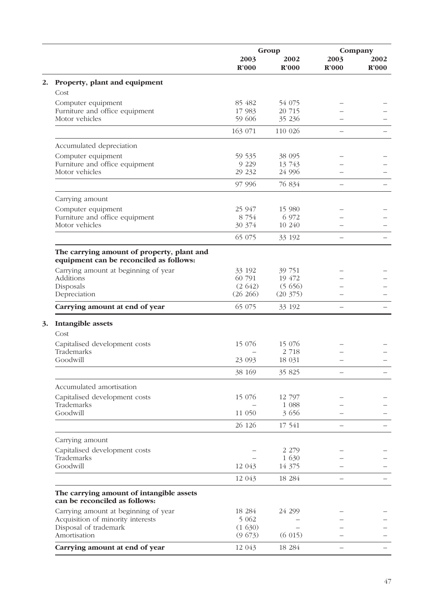|                                                                                       |                    | Group                     |                           | Company                   |
|---------------------------------------------------------------------------------------|--------------------|---------------------------|---------------------------|---------------------------|
|                                                                                       | 2003<br>R'000      | 2002<br>$\mathbb{R}^2000$ | 2003<br>$\mathbb{R}^2000$ | 2002<br>$\mathbf{R}^2000$ |
| Property, plant and equipment                                                         |                    |                           |                           |                           |
| Cost                                                                                  |                    |                           |                           |                           |
| Computer equipment                                                                    | 85 482             | 54 075                    |                           |                           |
| Furniture and office equipment                                                        | 17 983             | 20 715                    |                           |                           |
| Motor vehicles                                                                        | 59 606<br>163 071  | 35 236<br>110 026         |                           |                           |
|                                                                                       |                    |                           |                           |                           |
| Accumulated depreciation                                                              |                    |                           |                           |                           |
| Computer equipment                                                                    | 59 535             | 38 0 95                   |                           |                           |
| Furniture and office equipment<br>Motor vehicles                                      | 9 2 2 9<br>29 23 2 | 13 743<br>24 996          |                           |                           |
|                                                                                       | 97 996             | 76 834                    |                           |                           |
|                                                                                       |                    |                           |                           |                           |
| Carrying amount                                                                       |                    |                           |                           |                           |
| Computer equipment                                                                    | 25 947             | 15 980<br>6 972           |                           |                           |
| Furniture and office equipment<br>Motor vehicles                                      | 8 7 5 4<br>30 374  | 10 240                    |                           |                           |
|                                                                                       | 65 075             | 33 192                    |                           |                           |
|                                                                                       |                    |                           |                           |                           |
| The carrying amount of property, plant and<br>equipment can be reconciled as follows: |                    |                           |                           |                           |
| Carrying amount at beginning of year                                                  | 33 192             | 39 751                    |                           |                           |
| Additions                                                                             | 60 791             | 19 472                    |                           |                           |
| Disposals                                                                             | (2642)             | (5656)                    |                           |                           |
| Depreciation                                                                          | (26 266)           | (20 375)                  |                           |                           |
| Carrying amount at end of year                                                        | 65 075             | 33 192                    |                           |                           |
| Intangible assets                                                                     |                    |                           |                           |                           |
| Cost<br>Capitalised development costs                                                 | 15 076             | 15 076                    |                           |                           |
| Trademarks                                                                            |                    | 2 7 18                    |                           |                           |
| Goodwill                                                                              | 23 093             | 18 031                    |                           |                           |
|                                                                                       | 38 169             | 35 825                    |                           |                           |
| Accumulated amortisation                                                              |                    |                           |                           |                           |
| Capitalised development costs                                                         | 15 076             | 12 797                    |                           |                           |
| Trademarks                                                                            |                    | 1 0 8 8                   |                           |                           |
| Goodwill                                                                              | 11 050             | 3 656                     |                           |                           |
|                                                                                       | 26 126             | 17 541                    |                           |                           |
| Carrying amount                                                                       |                    |                           |                           |                           |
| Capitalised development costs                                                         |                    | 2 2 7 9                   |                           |                           |
| Trademarks<br>Goodwill                                                                |                    | 1 630<br>14 375           |                           |                           |
|                                                                                       | 12 043             |                           |                           |                           |
|                                                                                       | 12 043             | 18 284                    |                           |                           |
| The carrying amount of intangible assets<br>can be reconciled as follows:             |                    |                           |                           |                           |
| Carrying amount at beginning of year                                                  | 18 284             | 24 299                    |                           |                           |
| Acquisition of minority interests                                                     | 5 0 6 2            |                           |                           |                           |
| Disposal of trademark<br>Amortisation                                                 | (1630)<br>(9673)   | (6015)                    |                           |                           |
| Carrying amount at end of year                                                        | 12 043             | 18 284                    |                           |                           |
|                                                                                       |                    |                           |                           |                           |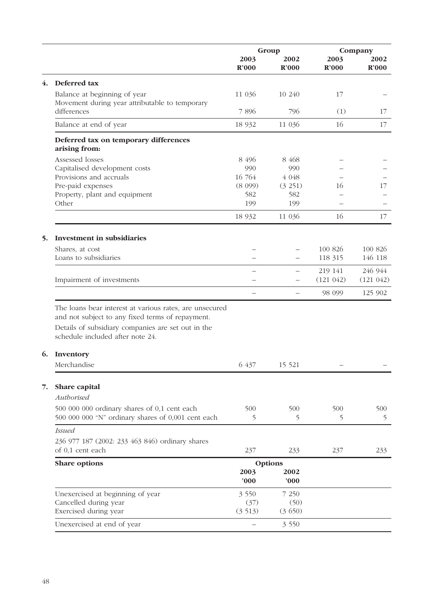|    |                                                                                                             | Group         |               | Company       |               |
|----|-------------------------------------------------------------------------------------------------------------|---------------|---------------|---------------|---------------|
|    |                                                                                                             | 2003<br>R'000 | 2002<br>R'000 | 2003<br>R'000 | 2002<br>R'000 |
| 4. | Deferred tax                                                                                                |               |               |               |               |
|    | Balance at beginning of year<br>Movement during year attributable to temporary                              | 11 036        | 10 240        | 17            |               |
|    | differences                                                                                                 | 7896          | 796           | (1)           | 17            |
|    | Balance at end of year                                                                                      | 18 9 32       | 11 036        | 16            | 17            |
|    | Deferred tax on temporary differences<br>arising from:                                                      |               |               |               |               |
|    | Assessed losses                                                                                             | 8 4 9 6       | 8 4 6 8       |               |               |
|    | Capitalised development costs                                                                               | 990           | 990           |               |               |
|    | Provisions and accruals                                                                                     | 16 764        | $4\ 048$      |               |               |
|    | Pre-paid expenses                                                                                           | (8 099)       | (3 251)       | 16            | 17            |
|    | Property, plant and equipment<br>Other                                                                      | 582<br>199    | 582<br>199    |               |               |
|    |                                                                                                             | 18 9 32       | 11 036        | 16            | 17            |
|    |                                                                                                             |               |               |               |               |
| 5. | <b>Investment in subsidiaries</b>                                                                           |               |               |               |               |
|    | Shares, at cost                                                                                             |               |               | 100 826       | 100 826       |
|    | Loans to subsidiaries                                                                                       |               |               | 118 315       | 146 118       |
|    |                                                                                                             |               |               | 219 141       | 246 944       |
|    | Impairment of investments                                                                                   |               |               | (121 042)     | (121 042)     |
|    |                                                                                                             |               |               | 98 099        | 125 902       |
|    | The loans bear interest at various rates, are unsecured<br>and not subject to any fixed terms of repayment. |               |               |               |               |
|    | Details of subsidiary companies are set out in the<br>schedule included after note 24.                      |               |               |               |               |
| 6. | Inventory                                                                                                   |               |               |               |               |
|    | Merchandise                                                                                                 | 6 437         | 15 5 21       |               |               |
| 7. | Share capital<br>Authorised                                                                                 |               |               |               |               |
|    |                                                                                                             |               |               |               |               |
|    | 500 000 000 ordinary shares of 0,1 cent each<br>500 000 000 "N" ordinary shares of 0,001 cent each          | 500<br>5      | 500<br>5      | 500<br>5      | 500<br>5      |
|    | <b>Issued</b>                                                                                               |               |               |               |               |
|    | 236 977 187 (2002: 233 463 846) ordinary shares<br>of 0,1 cent each                                         | 237           | 233           | 237           | 233           |
|    | Share options                                                                                               |               | Options       |               |               |
|    |                                                                                                             | 2003<br>000   | 2002<br>000'  |               |               |
|    | Unexercised at beginning of year                                                                            | 3 5 5 0       | 7 250         |               |               |
|    | Cancelled during year                                                                                       | (37)          | (50)          |               |               |
|    | Exercised during year                                                                                       | (3513)        | (3650)        |               |               |
|    | Unexercised at end of year                                                                                  |               | 3 5 5 0       |               |               |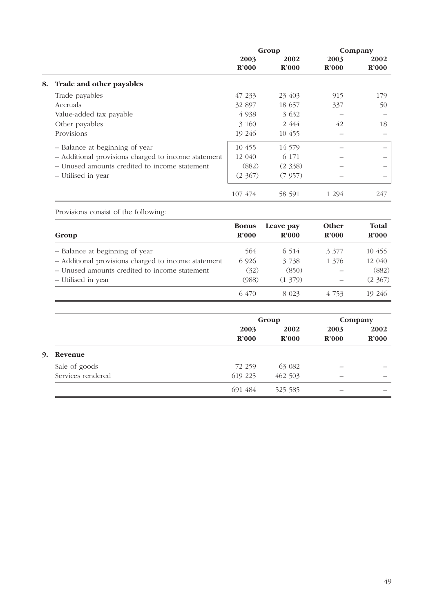|    |                                                     | Group                     |                           | Company                   |               |
|----|-----------------------------------------------------|---------------------------|---------------------------|---------------------------|---------------|
|    |                                                     | 2003<br>$\mathbf{R}^2000$ | 2002<br>$\mathbb{R}^2000$ | 2003<br>$\mathbf{R}^2000$ | 2002<br>R'000 |
| 8. | Trade and other payables                            |                           |                           |                           |               |
|    | Trade payables                                      | 47 233                    | 23 403                    | 915                       | 179           |
|    | Accruals                                            | 32 897                    | 18 657                    | 337                       | 50            |
|    | Value-added tax payable                             | 4 9 38                    | 3 6 3 2                   |                           |               |
|    | Other payables                                      | 3 160                     | 2 4 4 4                   | 42                        | 18            |
|    | Provisions                                          | 19 246                    | 10 455                    |                           |               |
|    | - Balance at beginning of year                      | 10 455                    | 14 579                    |                           |               |
|    | - Additional provisions charged to income statement | 12 040                    | 6 171                     |                           |               |
|    | - Unused amounts credited to income statement       | (882)                     | (2, 338)                  |                           |               |
|    | - Utilised in year                                  | (2, 367)                  | (7957)                    |                           |               |
|    |                                                     | 107 474                   | 58 591                    | 1 294                     | 247           |

Provisions consist of the following: **Bonus Leave pay Other Total Group R'000 R'000 R'000 R'000** – Balance at beginning of year 564 6 514 3 377 10 455 – Additional provisions charged to income statement 6 926 3 738 1 376 12 040 – Unused amounts credited to income statement (32) (850) – (882) – Utilised in year (988) (1 379) – (2 367) 6 470 8 023 4 753 19 246

|      |                   |                   | Group             |       | Company           |
|------|-------------------|-------------------|-------------------|-------|-------------------|
|      |                   | 2003              | 2002              | 2003  | 2002              |
|      |                   | $\mathbb{R}^2000$ | $\mathbf{R}^2000$ | R'000 | $\mathbb{R}^2000$ |
| 9. . | Revenue           |                   |                   |       |                   |
|      | Sale of goods     | 72 259            | 63 082            |       |                   |
|      | Services rendered | 619 225           | 462 503           |       |                   |
|      |                   | 691 484           | 525 585           | –     |                   |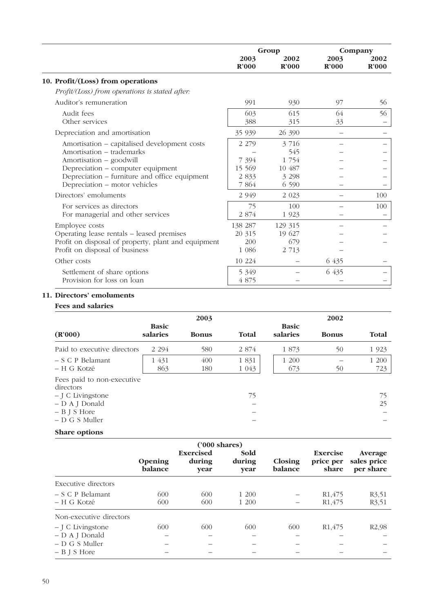|                                                     | Group   |         | Company |                   |
|-----------------------------------------------------|---------|---------|---------|-------------------|
|                                                     | 2003    | 2002    | 2003    | 2002              |
|                                                     | R'000   | R'000   | R'000   | $\mathbf{R}^2000$ |
| 10. Profit/(Loss) from operations                   |         |         |         |                   |
| Profit/(Loss) from operations is stated after:      |         |         |         |                   |
| Auditor's remuneration                              | 991     | 930     | 97      | 56                |
| Audit fees                                          | 603     | 615     | 64      | 56                |
| Other services                                      | 388     | 315     | 33      |                   |
| Depreciation and amortisation                       | 35 939  | 26 390  |         |                   |
| Amortisation – capitalised development costs        | 2 2 7 9 | 3 7 1 6 |         |                   |
| Amortisation - trademarks                           |         | 545     |         |                   |
| Amortisation – goodwill                             | 7 3 9 4 | 1 754   |         |                   |
| Depreciation - computer equipment                   | 15 569  | 10 487  |         |                   |
| Depreciation – furniture and office equipment       | 2 8 3 3 | 3 2 9 8 |         |                   |
| Depreciation - motor vehicles                       | 7 864   | 6 5 9 0 |         |                   |
| Directors' emoluments                               | 2 9 4 9 | 2 0 2 3 |         | 100               |
| For services as directors                           | 75      | 100     |         | 100               |
| For managerial and other services                   | 2 874   | 1 9 2 3 |         |                   |
| Employee costs                                      | 138 287 | 129 315 |         |                   |
| Operating lease rentals - leased premises           | 20 315  | 19 627  |         |                   |
| Profit on disposal of property, plant and equipment | 200     | 679     |         |                   |
| Profit on disposal of business                      | 1 0 8 6 | 2 7 1 3 |         |                   |
| Other costs                                         | 10 224  |         | 6 435   |                   |
| Settlement of share options                         | 5 3 4 9 |         | 6 435   |                   |
| Provision for loss on loan                          | 4 875   |         |         |                   |

#### **11. Directors' emoluments**

#### **Fees and salaries**

|                                                                                                                       |                          | 2003         |                    |                          | 2002         |              |
|-----------------------------------------------------------------------------------------------------------------------|--------------------------|--------------|--------------------|--------------------------|--------------|--------------|
| (R'000)                                                                                                               | <b>Basic</b><br>salaries | <b>Bonus</b> | Total              | <b>Basic</b><br>salaries | <b>Bonus</b> | <b>Total</b> |
| Paid to executive directors                                                                                           | 2 2 9 4                  | 580          | 2 874              | 1 873                    | 50           | 1 9 23       |
| $- S C P$ Belamant<br>$- H G$ Kotzé                                                                                   | 1 431<br>863             | 400<br>180   | 1 8 3 1<br>1 0 4 3 | 1 200<br>673             | 50           | 1 200<br>723 |
| Fees paid to non-executive<br>directors<br>$-$ J C Livingstone<br>- D A J Donald<br>$- B J S Hore$<br>$-D$ G S Muller |                          |              | 75<br>-            |                          |              | 75<br>25     |
| <b>Share options</b>                                                                                                  |                          |              |                    |                          |              |              |

**('000 shares)** Exercised Sold Exercise Average<br>during during Closing price per sales price Opening during during Closing price per sales price<br>balance year balance share per share **balance year year balance share per share** Executive directors – S C P Belamant 600 600 1 200 – R1,475 R3,51 – H G Kotzé 600 600 1 200 – R1,475 R3,51 Non-executive directors – J C Livingstone 600 600 600 600 R1,475 R2,98 – D A J Donald –––––– – D G S Muller –––––– – B J S Hore ––––––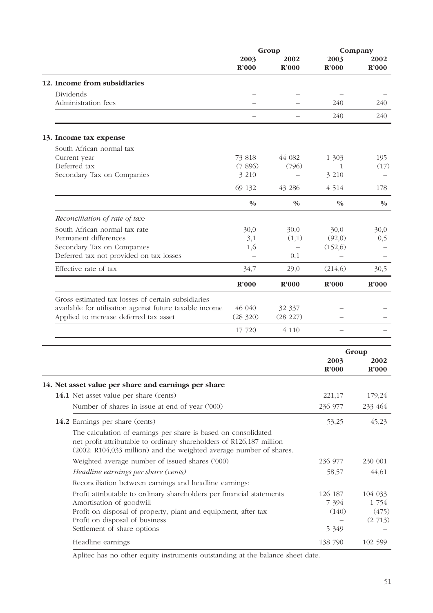|                                                         |                          | Group         |                                  | Company       |  |
|---------------------------------------------------------|--------------------------|---------------|----------------------------------|---------------|--|
|                                                         | 2003<br>R'000            | 2002<br>R'000 | 2003<br>$\mathbf{R}^{\prime}000$ | 2002<br>R'000 |  |
| 12. Income from subsidiaries                            |                          |               |                                  |               |  |
| <b>Dividends</b>                                        |                          |               |                                  |               |  |
| Administration fees                                     |                          |               | 240                              | 240           |  |
|                                                         | $\overline{\phantom{0}}$ |               | 240                              | 240           |  |
| 13. Income tax expense                                  |                          |               |                                  |               |  |
| South African normal tax                                |                          |               |                                  |               |  |
| Current year                                            | 73 818                   | 44 082        | 1 303                            | 195           |  |
| Deferred tax                                            | (7896)                   | (796)         | $\mathbf{1}$                     | (17)          |  |
| Secondary Tax on Companies                              | 3 2 1 0                  |               | 3 2 1 0                          |               |  |
|                                                         | 69 132                   | 43 286        | 4 5 1 4                          | 178           |  |
|                                                         | $\frac{0}{0}$            | 0/0           | 0/0                              | $\frac{0}{0}$ |  |
| Reconciliation of rate of tax:                          |                          |               |                                  |               |  |
| South African normal tax rate                           | 30,0                     | 30,0          | 30,0                             | 30,0          |  |
| Permanent differences                                   | 3,1                      | (1,1)         | (92,0)                           | 0,5           |  |
| Secondary Tax on Companies                              | 1,6                      |               | (152, 6)                         |               |  |
| Deferred tax not provided on tax losses                 |                          | 0,1           |                                  |               |  |
| Effective rate of tax                                   | 34,7                     | 29,0          | (214, 6)                         | 30,5          |  |
|                                                         | R'000                    | R'000         | R'000                            | <b>R'000</b>  |  |
| Gross estimated tax losses of certain subsidiaries      |                          |               |                                  |               |  |
| available for utilisation against future taxable income | 46 040                   | 32 337        |                                  |               |  |
| Applied to increase deferred tax asset                  | (28 320)                 | (28 227)      |                                  |               |  |
|                                                         | 17 720                   | 4 1 1 0       |                                  |               |  |
|                                                         |                          |               |                                  | Group         |  |
|                                                         |                          |               | 2003                             | 2002          |  |
|                                                         |                          |               | R'000                            | <b>R'000</b>  |  |

|                                                                                                                                                                                                               | K OOO                       | <b>K'000</b>              |
|---------------------------------------------------------------------------------------------------------------------------------------------------------------------------------------------------------------|-----------------------------|---------------------------|
| 14. Net asset value per share and earnings per share                                                                                                                                                          |                             |                           |
| <b>14.1</b> Net asset value per share (cents)                                                                                                                                                                 | 221,17                      | 179,24                    |
| Number of shares in issue at end of year ('000)                                                                                                                                                               | 236 977                     | 233 464                   |
| <b>14.2</b> Earnings per share (cents)                                                                                                                                                                        | 53,25                       | 45,23                     |
| The calculation of earnings per share is based on consolidated<br>net profit attributable to ordinary shareholders of R126,187 million<br>(2002: R104,033 million) and the weighted average number of shares. |                             |                           |
| Weighted average number of issued shares ('000)                                                                                                                                                               | 236 977                     | 230 001                   |
| Headline earnings per share (cents)                                                                                                                                                                           | 58,57                       | 44,61                     |
| Reconciliation between earnings and headline earnings:                                                                                                                                                        |                             |                           |
| Profit attributable to ordinary shareholders per financial statements<br>Amortisation of goodwill<br>Profit on disposal of property, plant and equipment, after tax                                           | 126 187<br>7 3 9 4<br>(140) | 104 033<br>1 754<br>(475) |
| Profit on disposal of business                                                                                                                                                                                |                             | (2713)                    |
| Settlement of share options                                                                                                                                                                                   | 5 349                       |                           |
| Headline earnings                                                                                                                                                                                             | 138 790                     | 102 599                   |
|                                                                                                                                                                                                               |                             |                           |

Aplitec has no other equity instruments outstanding at the balance sheet date.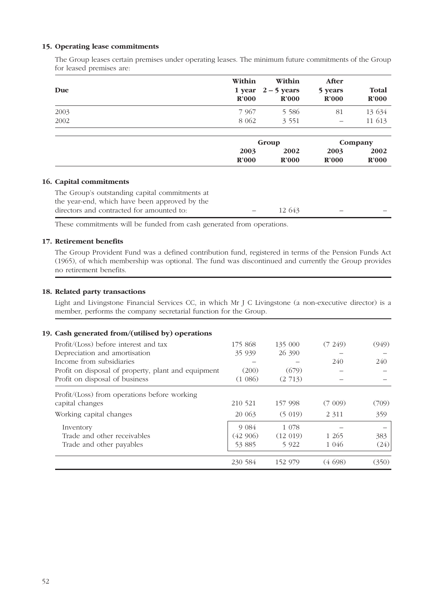### **15. Operating lease commitments**

The Group leases certain premises under operating leases. The minimum future commitments of the Group for leased premises are:

| Due  | Within<br>$\mathbf{R}^2000$ | Within<br>1 year $2 - 5$ years<br>$\mathbf{R}^2000$ | After<br>5 years<br>$\mathbf{R}^2000$ | Total<br>$\mathbf{R}^2000$ |
|------|-----------------------------|-----------------------------------------------------|---------------------------------------|----------------------------|
| 2003 | 7 9 6 7                     | 5 5 8 6                                             | 81                                    | 13 634                     |
| 2002 | 8 0 6 2                     | 3 5 5 1                                             |                                       | 11 613                     |
|      |                             | Group                                               |                                       | Company                    |
|      | 2003<br>$\mathbf{R}^2000$   | 2002<br>$\mathbf{R}^2000$                           | 2003<br>$\mathbf{R}^2000$             | 2002<br>$\mathbf{R}^2000$  |

## **16. Capital commitments**

The Group's outstanding capital commitments at the year-end, which have been approved by the directors and contracted for amounted to:  $\qquad - \qquad 12\,643$ 

These commitments will be funded from cash generated from operations.

## **17. Retirement benefits**

The Group Provident Fund was a defined contribution fund, registered in terms of the Pension Funds Act (1965), of which membership was optional. The fund was discontinued and currently the Group provides no retirement benefits.

## **18. Related party transactions**

Light and Livingstone Financial Services CC, in which Mr J C Livingstone (a non-executive director) is a member, performs the company secretarial function for the Group.

| 19. Cash generated from/(utilised by) operations    |         |          |          |       |
|-----------------------------------------------------|---------|----------|----------|-------|
| Profit/(Loss) before interest and tax               | 175 868 | 135 000  | (7, 249) | (949) |
| Depreciation and amortisation                       | 35 939  | 26 390   |          |       |
| Income from subsidiaries                            |         |          | 240      | 240   |
| Profit on disposal of property, plant and equipment | (200)   | (679)    |          |       |
| Profit on disposal of business                      | (1.086) | (2713)   |          |       |
| Profit/(Loss) from operations before working        |         |          |          |       |
| capital changes                                     | 210 521 | 157 998  | (7 009)  | (709) |
| Working capital changes                             | 20 063  | (5019)   | 2 3 1 1  | 359   |
| Inventory                                           | 9 0 8 4 | 1 078    |          |       |
| Trade and other receivables                         | (42906) | (12 019) | 1 2 6 5  | 383   |
| Trade and other payables                            | 53 885  | 5 9 2 2  | 1 046    | (24)  |
|                                                     | 230 584 | 152 979  | (4.698)  | (350) |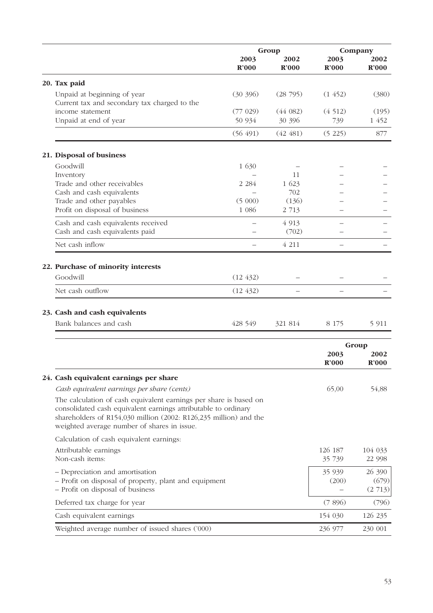|                                                                                                                                                                                                                                                         | Group                    |                   | Company         |                           |
|---------------------------------------------------------------------------------------------------------------------------------------------------------------------------------------------------------------------------------------------------------|--------------------------|-------------------|-----------------|---------------------------|
|                                                                                                                                                                                                                                                         | 2003<br>R'000            | 2002<br>R'000     | 2003<br>R'000   | 2002<br>R'000             |
| 20. Tax paid                                                                                                                                                                                                                                            |                          |                   |                 |                           |
| Unpaid at beginning of year<br>Current tax and secondary tax charged to the                                                                                                                                                                             | (30, 396)                | (28795)           | (1, 452)        | (380)                     |
| income statement<br>Unpaid at end of year                                                                                                                                                                                                               | (77 029)<br>50 934       | (44082)<br>30 396 | (4512)<br>739   | (195)<br>1 452            |
|                                                                                                                                                                                                                                                         | (56 491)                 | (42, 481)         | (5 225)         | 877                       |
| 21. Disposal of business                                                                                                                                                                                                                                |                          |                   |                 |                           |
| Goodwill                                                                                                                                                                                                                                                | 1 630                    |                   |                 |                           |
| Inventory                                                                                                                                                                                                                                               |                          | 11                |                 |                           |
| Trade and other receivables                                                                                                                                                                                                                             | 2 2 8 4                  | 1 623             |                 |                           |
| Cash and cash equivalents                                                                                                                                                                                                                               |                          | 702               |                 |                           |
| Trade and other payables                                                                                                                                                                                                                                | (5000)                   | (136)             |                 |                           |
| Profit on disposal of business                                                                                                                                                                                                                          | 1 0 8 6                  | 2 7 1 3           |                 |                           |
| Cash and cash equivalents received                                                                                                                                                                                                                      |                          | 4 9 13            |                 |                           |
| Cash and cash equivalents paid                                                                                                                                                                                                                          |                          | (702)             |                 |                           |
| Net cash inflow                                                                                                                                                                                                                                         | $\overline{\phantom{0}}$ | 4 2 1 1           |                 |                           |
|                                                                                                                                                                                                                                                         |                          |                   |                 |                           |
| 22. Purchase of minority interests                                                                                                                                                                                                                      |                          |                   |                 |                           |
| Goodwill                                                                                                                                                                                                                                                | (12, 432)                |                   |                 |                           |
| Net cash outflow                                                                                                                                                                                                                                        | (12, 432)                |                   |                 |                           |
|                                                                                                                                                                                                                                                         |                          |                   |                 |                           |
| 23. Cash and cash equivalents                                                                                                                                                                                                                           |                          |                   |                 |                           |
| Bank balances and cash                                                                                                                                                                                                                                  | 428 549                  | 321 814           | 8 1 7 5         | 5 9 1 1                   |
|                                                                                                                                                                                                                                                         |                          |                   |                 |                           |
|                                                                                                                                                                                                                                                         |                          |                   |                 | Group                     |
|                                                                                                                                                                                                                                                         |                          |                   | 2003            | 2002                      |
|                                                                                                                                                                                                                                                         |                          |                   | R'000           | $\mathbf{R}^2000$         |
| 24. Cash equivalent earnings per share                                                                                                                                                                                                                  |                          |                   |                 |                           |
| Cash equivalent earnings per share (cents)                                                                                                                                                                                                              |                          |                   | 65,00           | 54,88                     |
| The calculation of cash equivalent earnings per share is based on<br>consolidated cash equivalent earnings attributable to ordinary<br>shareholders of R154,030 million (2002: R126,235 million) and the<br>weighted average number of shares in issue. |                          |                   |                 |                           |
| Calculation of cash equivalent earnings:                                                                                                                                                                                                                |                          |                   |                 |                           |
| Attributable earnings                                                                                                                                                                                                                                   |                          |                   | 126 187         | 104 033                   |
| Non-cash items:                                                                                                                                                                                                                                         |                          |                   | 35 739          | 22 998                    |
| - Depreciation and amortisation<br>- Profit on disposal of property, plant and equipment<br>- Profit on disposal of business                                                                                                                            |                          |                   | 35 939<br>(200) | 26 390<br>(679)<br>(2713) |
| Deferred tax charge for year                                                                                                                                                                                                                            |                          |                   | (7896)          | (796)                     |
| Cash equivalent earnings                                                                                                                                                                                                                                |                          |                   | 154 030         | 126 235                   |
| Weighted average number of issued shares ('000)                                                                                                                                                                                                         |                          |                   | 236 977         | 230 001                   |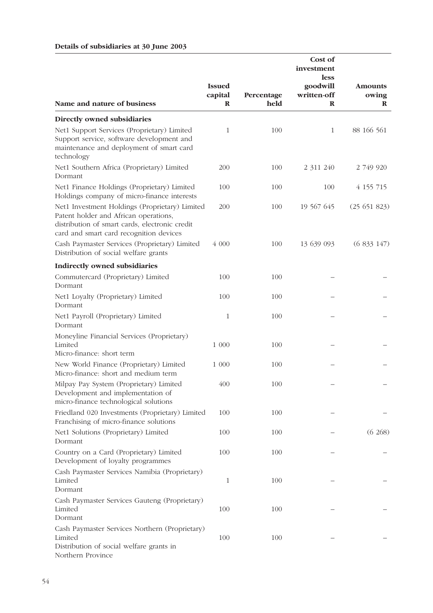## **Details of subsidiaries at 30 June 2003**

|                                                                                                                                                                                      | <b>Issued</b><br>capital | Percentage | Cost of<br>investment<br><b>less</b><br>goodwill<br>written-off | <b>Amounts</b><br>owing |
|--------------------------------------------------------------------------------------------------------------------------------------------------------------------------------------|--------------------------|------------|-----------------------------------------------------------------|-------------------------|
| Name and nature of business                                                                                                                                                          | $\mathbf R$              | held       | R                                                               | R                       |
| Directly owned subsidiaries                                                                                                                                                          |                          |            |                                                                 |                         |
| Net1 Support Services (Proprietary) Limited<br>Support service, software development and<br>maintenance and deployment of smart card<br>technology                                   | 1                        | 100        | $\mathbf{1}$                                                    | 88 166 561              |
| Net1 Southern Africa (Proprietary) Limited<br>Dormant                                                                                                                                | 200                      | 100        | 2 311 240                                                       | 2 749 920               |
| Net1 Finance Holdings (Proprietary) Limited<br>Holdings company of micro-finance interests                                                                                           | 100                      | 100        | 100                                                             | 4 155 715               |
| Net1 Investment Holdings (Proprietary) Limited<br>Patent holder and African operations,<br>distribution of smart cards, electronic credit<br>card and smart card recognition devices | 200                      | 100        | 19 567 645                                                      | (25651823)              |
| Cash Paymaster Services (Proprietary) Limited<br>Distribution of social welfare grants                                                                                               | 4 000                    | 100        | 13 639 093                                                      | (6833147)               |
| <b>Indirectly owned subsidiaries</b>                                                                                                                                                 |                          |            |                                                                 |                         |
| Commutercard (Proprietary) Limited<br>Dormant                                                                                                                                        | 100                      | 100        |                                                                 |                         |
| Net1 Loyalty (Proprietary) Limited<br>Dormant                                                                                                                                        | 100                      | 100        |                                                                 |                         |
| Net1 Payroll (Proprietary) Limited<br>Dormant                                                                                                                                        | $\mathbf{1}$             | 100        |                                                                 |                         |
| Moneyline Financial Services (Proprietary)<br>Limited<br>Micro-finance: short term                                                                                                   | 1 000                    | 100        |                                                                 |                         |
| New World Finance (Proprietary) Limited<br>Micro-finance: short and medium term                                                                                                      | 1 000                    | 100        |                                                                 |                         |
| Milpay Pay System (Proprietary) Limited<br>Development and implementation of<br>micro-finance technological solutions                                                                | 400                      | 100        |                                                                 |                         |
| Friedland 020 Investments (Proprietary) Limited<br>Franchising of micro-finance solutions                                                                                            | 100                      | 100        |                                                                 |                         |
| Net1 Solutions (Proprietary) Limited<br>Dormant                                                                                                                                      | 100                      | 100        |                                                                 | (6.268)                 |
| Country on a Card (Proprietary) Limited<br>Development of loyalty programmes                                                                                                         | 100                      | 100        |                                                                 |                         |
| Cash Paymaster Services Namibia (Proprietary)<br>Limited<br>Dormant                                                                                                                  | $\mathbf{1}$             | 100        |                                                                 |                         |
| Cash Paymaster Services Gauteng (Proprietary)<br>Limited<br>Dormant                                                                                                                  | 100                      | 100        |                                                                 |                         |
| Cash Paymaster Services Northern (Proprietary)<br>Limited<br>Distribution of social welfare grants in<br>Northern Province                                                           | 100                      | 100        |                                                                 |                         |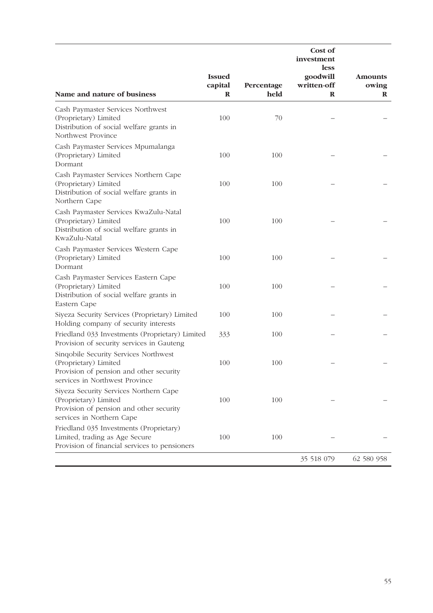|                                                                                                                                             |                                         |                    | Cost of<br>investment<br><b>less</b> |                              |
|---------------------------------------------------------------------------------------------------------------------------------------------|-----------------------------------------|--------------------|--------------------------------------|------------------------------|
| Name and nature of business                                                                                                                 | <b>Issued</b><br>capital<br>$\mathbf R$ | Percentage<br>held | goodwill<br>written-off<br>$\bf{R}$  | <b>Amounts</b><br>owing<br>R |
| Cash Paymaster Services Northwest<br>(Proprietary) Limited<br>Distribution of social welfare grants in<br>Northwest Province                | 100                                     | 70                 |                                      |                              |
| Cash Paymaster Services Mpumalanga<br>(Proprietary) Limited<br>Dormant                                                                      | 100                                     | 100                |                                      |                              |
| Cash Paymaster Services Northern Cape<br>(Proprietary) Limited<br>Distribution of social welfare grants in<br>Northern Cape                 | 100                                     | 100                |                                      |                              |
| Cash Paymaster Services KwaZulu-Natal<br>(Proprietary) Limited<br>Distribution of social welfare grants in<br>KwaZulu-Natal                 | 100                                     | 100                |                                      |                              |
| Cash Paymaster Services Western Cape<br>(Proprietary) Limited<br>Dormant                                                                    | 100                                     | 100                |                                      |                              |
| Cash Paymaster Services Eastern Cape<br>(Proprietary) Limited<br>Distribution of social welfare grants in<br>Eastern Cape                   | 100                                     | 100                |                                      |                              |
| Siyeza Security Services (Proprietary) Limited<br>Holding company of security interests                                                     | 100                                     | 100                |                                      |                              |
| Friedland 033 Investments (Proprietary) Limited<br>Provision of security services in Gauteng                                                | 333                                     | 100                |                                      |                              |
| Singobile Security Services Northwest<br>(Proprietary) Limited<br>Provision of pension and other security<br>services in Northwest Province | 100                                     | 100                |                                      |                              |
| Siyeza Security Services Northern Cape<br>(Proprietary) Limited<br>Provision of pension and other security<br>services in Northern Cape     | 100                                     | 100                |                                      |                              |
| Friedland 035 Investments (Proprietary)<br>Limited, trading as Age Secure<br>Provision of financial services to pensioners                  | 100                                     | 100                |                                      |                              |
|                                                                                                                                             |                                         |                    | 35 518 079                           | 62 580 958                   |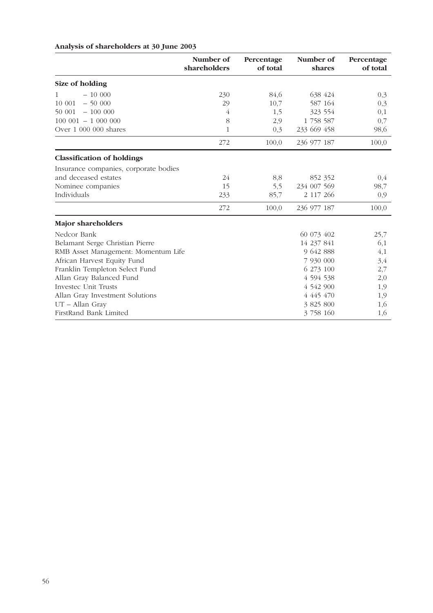## **Analysis of shareholders at 30 June 2003**

|                                       | Number of<br>shareholders | Percentage<br>of total | Number of<br>shares | Percentage<br>of total |
|---------------------------------------|---------------------------|------------------------|---------------------|------------------------|
| Size of holding                       |                           |                        |                     |                        |
| $-10000$                              | 230                       | 84,6                   | 638 424             | 0,3                    |
| $-50000$<br>10 001                    | 29                        | 10,7                   | 587 164             | 0,3                    |
| $-100000$<br>50 001                   | 4                         | 1,5                    | 323 554             | 0,1                    |
| $100001 - 1000000$                    | 8                         | 2,9                    | 1 758 587           | 0,7                    |
| Over 1 000 000 shares                 | $\mathbf{1}$              | 0,3                    | 233 669 458         | 98,6                   |
|                                       | 272                       | 100,0                  | 236 977 187         | 100,0                  |
| <b>Classification of holdings</b>     |                           |                        |                     |                        |
| Insurance companies, corporate bodies |                           |                        |                     |                        |
| and deceased estates                  | 24                        | 8,8                    | 852 352             | 0,4                    |
| Nominee companies                     | 15                        | 5,5                    | 234 007 569         | 98,7                   |
| Individuals                           | 233                       | 85,7                   | 2 117 266           | 0,9                    |
|                                       | 272                       | 100,0                  | 236 977 187         | 100,0                  |
| <b>Major shareholders</b>             |                           |                        |                     |                        |
| Nedcor Bank                           |                           |                        | 60 073 402          | 25,7                   |
| Belamant Serge Christian Pierre       |                           |                        | 14 237 841          | 6,1                    |
| RMB Asset Management: Momentum Life   |                           |                        | 9 642 888           | 4,1                    |
| African Harvest Equity Fund           |                           |                        | 7 930 000           | 3,4                    |
| Franklin Templeton Select Fund        |                           |                        | 6 273 100           | 2,7                    |
| Allan Gray Balanced Fund              |                           |                        | 4 5 9 4 5 3 8       | 2,0                    |
| Investec Unit Trusts                  |                           |                        | 4 542 900           | 1,9                    |
| Allan Gray Investment Solutions       |                           |                        | 4 445 470           | 1,9                    |
| UT - Allan Gray                       |                           |                        | 3 825 800           | 1,6                    |
| FirstRand Bank Limited                |                           |                        | 3 758 160           | 1,6                    |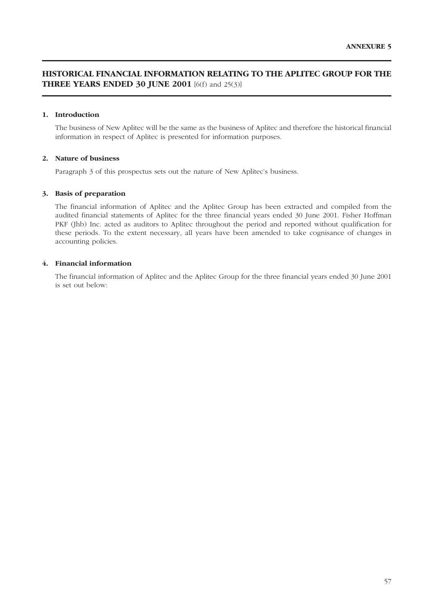## **HISTORICAL FINANCIAL INFORMATION RELATING TO THE APLITEC GROUP FOR THE THREE YEARS ENDED 30 JUNE 2001** [6(f) and 25(3)]

#### **1. Introduction**

The business of New Aplitec will be the same as the business of Aplitec and therefore the historical financial information in respect of Aplitec is presented for information purposes.

#### **2. Nature of business**

Paragraph 3 of this prospectus sets out the nature of New Aplitec's business.

#### **3. Basis of preparation**

The financial information of Aplitec and the Aplitec Group has been extracted and compiled from the audited financial statements of Aplitec for the three financial years ended 30 June 2001. Fisher Hoffman PKF (Jhb) Inc. acted as auditors to Aplitec throughout the period and reported without qualification for these periods. To the extent necessary, all years have been amended to take cognisance of changes in accounting policies.

#### **4. Financial information**

The financial information of Aplitec and the Aplitec Group for the three financial years ended 30 June 2001 is set out below: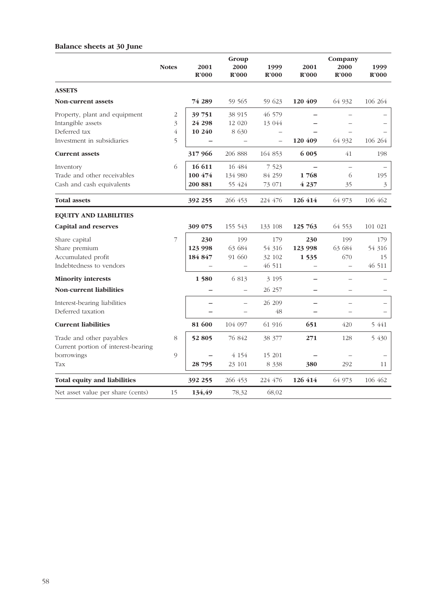## **Balance sheets at 30 June**

|                                                                 | <b>Notes</b>   | 2001<br>$\mathbf{R}^{\prime}000$ | Group<br>2000<br>$\mathbf{R}^{\prime}000$ | 1999<br>$\mathbf{R}^{\prime}000$ | 2001<br>R'000 | Company<br>2000<br>R'000 | 1999<br>R'000 |
|-----------------------------------------------------------------|----------------|----------------------------------|-------------------------------------------|----------------------------------|---------------|--------------------------|---------------|
| <b>ASSETS</b>                                                   |                |                                  |                                           |                                  |               |                          |               |
| <b>Non-current assets</b>                                       |                | 74 289                           | 59 565                                    | 59 623                           | 120 409       | 64 932                   | 106 264       |
| Property, plant and equipment                                   | 2              | 39 751                           | 38 915                                    | 46 579                           |               |                          |               |
| Intangible assets                                               | 3              | 24 298                           | 12 020                                    | 13 044                           |               |                          |               |
| Deferred tax                                                    | 4              | 10 240                           | 8 630                                     |                                  |               |                          |               |
| Investment in subsidiaries                                      | 5              |                                  |                                           |                                  | 120 409       | 64 932                   | 106 264       |
| <b>Current assets</b>                                           |                | 317 966                          | 206 888                                   | 164 853                          | 6 0 0 5       | 41                       | 198           |
| Inventory                                                       | 6              | 16 611                           | 16 484                                    | 7 5 2 3                          |               |                          |               |
| Trade and other receivables                                     |                | 100 474                          | 134 980                                   | 84 259                           | 1768          | 6                        | 195           |
| Cash and cash equivalents                                       |                | 200 881                          | 55 424                                    | 73 071                           | 4 2 3 7       | 35                       | 3             |
| <b>Total assets</b>                                             |                | 392 255                          | 266 453                                   | 224 476                          | 126 414       | 64 973                   | 106 462       |
| <b>EQUITY AND LIABILITIES</b>                                   |                |                                  |                                           |                                  |               |                          |               |
| <b>Capital and reserves</b>                                     |                | 309 075                          | 155 543                                   | 133 108                          | 125 763       | 64 553                   | 101 021       |
| Share capital                                                   | $\overline{7}$ | 230                              | 199                                       | 179                              | 230           | 199                      | 179           |
| Share premium                                                   |                | 123 998                          | 63 684                                    | 54 316                           | 123 998       | 63 684                   | 54 316        |
| Accumulated profit                                              |                | 184 847                          | 91 660                                    | 32 102                           | 1 5 3 5       | 670                      | 15            |
| Indebtedness to vendors                                         |                |                                  | $\overline{\phantom{0}}$                  | 46 511                           |               | $\equiv$                 | 46 511        |
| <b>Minority interests</b>                                       |                | 1580                             | 6 813                                     | 3 1 9 5                          |               |                          |               |
| Non-current liabilities                                         |                |                                  |                                           | 26 257                           |               |                          |               |
| Interest-bearing liabilities                                    |                |                                  |                                           | 26 209                           |               | $\overline{\phantom{0}}$ |               |
| Deferred taxation                                               |                |                                  |                                           | 48                               |               |                          |               |
| <b>Current liabilities</b>                                      |                | 81 600                           | 104 097                                   | 61 916                           | 651           | 420                      | 5 441         |
| Trade and other payables<br>Current portion of interest-bearing | 8              | 52 805                           | 76 842                                    | 38 377                           | 271           | 128                      | 5 430         |
| borrowings                                                      | 9              |                                  | 4 1 5 4                                   | 15 201                           |               |                          |               |
| Tax                                                             |                | 28 795                           | 23 101                                    | 8 3 3 8                          | 380           | 292                      | 11            |
| <b>Total equity and liabilities</b>                             |                | 392 255                          | 266 453                                   | 224 476                          | 126 414       | 64 973                   | 106 462       |
| Net asset value per share (cents)                               | 15             | 134,49                           | 78,32                                     | 68,02                            |               |                          |               |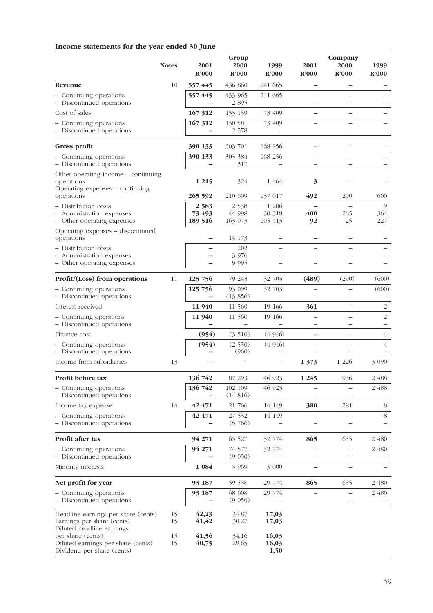## **Income statements for the year ended 30 June**

|                                                                                                | <b>Notes</b> | 2001               | Group<br>2000      | 1999                   | 2001                     | Company<br>2000          | 1999           |
|------------------------------------------------------------------------------------------------|--------------|--------------------|--------------------|------------------------|--------------------------|--------------------------|----------------|
|                                                                                                |              | $\mathbf{R}^2$ 000 | <b>R'000</b>       | R'000                  | R'000                    | R'000                    | R'000          |
| Revenue                                                                                        | 10           | 557 445            | 436 860            | 241 665<br>241 665     |                          |                          |                |
| - Continuing operations<br>- Discontinued operations                                           |              | 557 445<br>—       | 433 965<br>2 8 9 5 |                        |                          |                          |                |
| Cost of sales                                                                                  |              | 167 312            | 133 159            | 73 409                 |                          |                          |                |
| - Continuing operations<br>- Discontinued operations                                           |              | 167 312            | 130 581<br>2 578   | 73 409                 |                          | $\overline{\phantom{0}}$ | —              |
| Gross profit                                                                                   |              | 390 133            | 303 701            | 168 256                | $\overline{\phantom{0}}$ |                          |                |
| - Continuing operations<br>- Discontinued operations                                           |              | 390 133            | 303 384<br>317     | 168 256                |                          |                          |                |
| Other operating income – continuing<br>operations<br>Operating expenses - continuing           |              | 1 2 1 5            | 324                | 1 464                  | 3                        |                          |                |
| operations<br>- Distribution costs                                                             |              | 265 592<br>2583    | 210 609<br>2 5 3 8 | 137 017<br>1 2 8 6     | 492                      | 290                      | 600<br>9       |
| - Administration expenses<br>- Other operating expenses                                        |              | 73 493<br>189 516  | 44 998<br>163 073  | 30 318<br>105 413      | 400<br>92                | 265<br>25                | 364<br>227     |
| Operating expenses - discontinued<br>operations                                                |              |                    | 14 173             |                        |                          |                          |                |
| - Distribution costs<br>- Administration expenses                                              |              |                    | 202<br>3 9 7 6     |                        |                          |                          |                |
| - Other operating expenses                                                                     |              |                    | 9 9 9 5            |                        |                          |                          |                |
| Profit/(Loss) from operations                                                                  | 11           | 125 756            | 79 243             | 32 703                 | (489)                    | (290)                    | (600)          |
| - Continuing operations<br>- Discontinued operations                                           |              | 125 756            | 93 099<br>(13856)  | 32 703                 |                          |                          | (600)          |
| Interest received                                                                              |              | 11 940             | 11 560             | 19 16 6                | 361                      | $\qquad \qquad -$        | 2              |
| - Continuing operations<br>- Discontinued operations                                           |              | 11 940             | 11 560             | 19 16 6                |                          |                          | $\overline{2}$ |
| Finance cost                                                                                   |              | (954)              | (3510)             | (4946)                 |                          |                          | $\overline{4}$ |
| - Continuing operations<br>- Discontinued operations                                           |              | (954)              | (2550)<br>(960)    | (4946)                 |                          |                          | $\overline{4}$ |
| Income from subsidiaries                                                                       | 13           |                    |                    |                        | 1 3 7 3                  | 1 2 2 6                  | 3 0 9 0        |
| Profit before tax                                                                              |              | 136 742            | 87 293             | 46 923                 | 1 2 4 5                  | 936                      | 2 488          |
| - Continuing operations<br>- Discontinued operations                                           |              | 136 742            | 102 109<br>(14816) | 46 923                 |                          | $\overline{\phantom{0}}$ | 2 488          |
| Income tax expense                                                                             | 14           | 42 471             | 21 766             | 14 149                 | 380                      | 281                      | 8              |
| - Continuing operations<br>- Discontinued operations                                           |              | 42 471             | 27 532<br>(5766)   | 14 149                 |                          |                          | 8              |
| Profit after tax                                                                               |              | 94 271             | 65 527             | 32 774                 | 865                      | 655                      | 2 480          |
| - Continuing operations<br>- Discontinued operations                                           |              | 94 271             | 74 577<br>(9 050)  | 32 774                 |                          |                          | 2 480          |
| Minority interests                                                                             |              | 1 0 8 4            | 5 9 6 9            | 3 000                  |                          |                          |                |
| Net profit for year                                                                            |              | 93 187             | 59 558             | 29 774                 | 865                      | 655                      | 2 480          |
| - Continuing operations<br>- Discontinued operations                                           |              | 93 187             | 68 608<br>(9 050)  | 29 774                 |                          |                          | 2 480          |
| Headline earnings per share (cents)<br>Earnings per share (cents)<br>Diluted headline earnings | 15<br>15     | 42,23<br>41,42     | 34,87<br>30,27     | 17,03<br>17,03         |                          |                          |                |
| per share (cents)<br>Diluted earnings per share (cents)<br>Dividend per share (cents)          | 15<br>15     | 41,56<br>40,75     | 34,16<br>29,65     | 16,03<br>16,03<br>1,50 |                          |                          |                |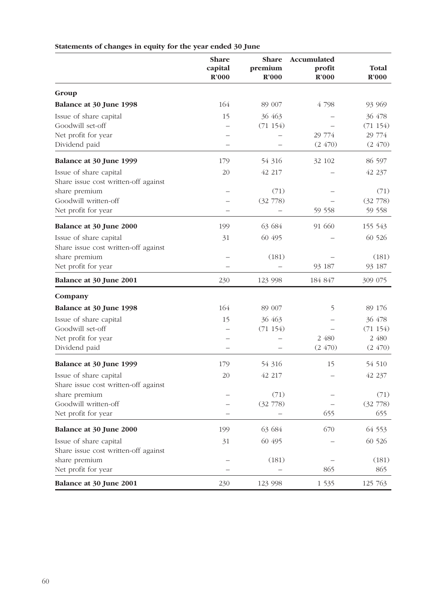|                                      | <b>Share</b><br>capital<br>R'000 | Share<br>premium<br>$\mathbb{R}^2000$ | Accumulated<br>profit<br>R'000 | <b>Total</b><br>R'000 |
|--------------------------------------|----------------------------------|---------------------------------------|--------------------------------|-----------------------|
| Group                                |                                  |                                       |                                |                       |
| Balance at 30 June 1998              | 164                              | 89 007                                | 4 798                          | 93 969                |
| Issue of share capital               | 15                               | 36 463                                |                                | 36 478                |
| Goodwill set-off                     |                                  | (71154)                               |                                | (71154)               |
| Net profit for year                  |                                  |                                       | 29 774                         | 29 774                |
| Dividend paid                        |                                  |                                       | (2, 470)                       | (2470)                |
| Balance at 30 June 1999              | 179                              | 54 316                                | 32 102                         | 86 597                |
| Issue of share capital               | 20                               | 42 217                                |                                | 42 237                |
| Share issue cost written-off against |                                  |                                       |                                |                       |
| share premium                        |                                  | (71)                                  |                                | (71)                  |
| Goodwill written-off                 |                                  | (32 778)                              |                                | (32 778)              |
| Net profit for year                  |                                  |                                       | 59 558                         | 59 558                |
| Balance at 30 June 2000              | 199                              | 63 684                                | 91 660                         | 155 543               |
| Issue of share capital               | 31                               | 60 495                                |                                | 60 526                |
| Share issue cost written-off against |                                  |                                       |                                |                       |
| share premium                        |                                  | (181)                                 |                                | (181)                 |
| Net profit for year                  |                                  |                                       | 93 187                         | 93 187                |
| <b>Balance at 30 June 2001</b>       | 230                              | 123 998                               | 184 847                        | 309 075               |
| Company                              |                                  |                                       |                                |                       |
| Balance at 30 June 1998              | 164                              | 89 007                                | 5                              | 89 176                |
| Issue of share capital               | 15                               | 36 463                                |                                | 36 478                |
| Goodwill set-off                     |                                  | (71154)                               |                                | (71154)               |
| Net profit for year                  |                                  |                                       | 2 480                          | 2 480                 |
| Dividend paid                        |                                  |                                       | (2470)                         | (2470)                |
| Balance at 30 June 1999              | 179                              | 54 316                                | 15                             | 54 510                |
| Issue of share capital               | 20                               | 42 217                                |                                | 42 237                |
| Share issue cost written-off against |                                  |                                       |                                |                       |
| share premium                        |                                  | (71)                                  |                                | (71)                  |
| Goodwill written-off                 |                                  | (32 778)                              |                                | (32 778)              |
| Net profit for year                  |                                  |                                       | 655                            | 655                   |
| <b>Balance at 30 June 2000</b>       | 199                              | 63 684                                | 670                            | 64 553                |
| Issue of share capital               | 31                               | 60 495                                |                                | 60 526                |
| Share issue cost written-off against |                                  |                                       |                                |                       |
| share premium                        |                                  | (181)                                 |                                | (181)                 |
| Net profit for year                  |                                  |                                       | 865                            | 865                   |
| Balance at 30 June 2001              | 230                              | 123 998                               | 1 5 3 5                        | 125 763               |

# **Statements of changes in equity for the year ended 30 June**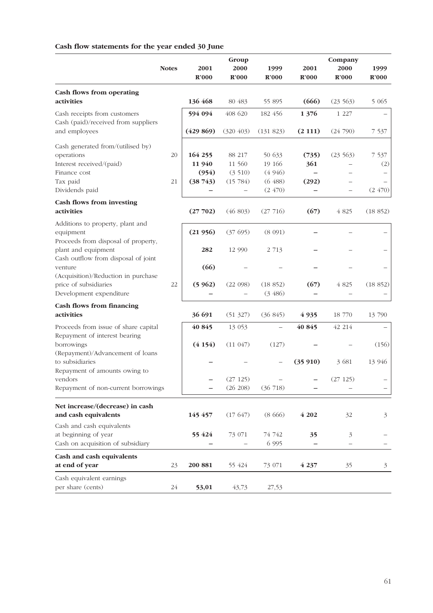# **Cash flow statements for the year ended 30 June**

|                                                                                                   |              |           | Group      |                     |         | Company                  |                |
|---------------------------------------------------------------------------------------------------|--------------|-----------|------------|---------------------|---------|--------------------------|----------------|
|                                                                                                   | <b>Notes</b> | 2001      | 2000       | 1999                | 2001    | 2000                     | 1999           |
|                                                                                                   |              | R'000     | R'000      | R'000               | R'000   | R'000                    | R'000          |
| Cash flows from operating                                                                         |              |           |            |                     |         |                          |                |
| activities                                                                                        |              | 136 468   | 80 483     | 55 895              | (666)   | (23, 563)                | 5 0 6 5        |
| Cash receipts from customers<br>Cash (paid)/received from suppliers                               |              | 594 094   | 408 620    | 182 456             | 1 376   | 1 2 2 7                  |                |
| and employees                                                                                     |              | (429 869) | (320, 403) | (131 823)           | (2111)  | (24790)                  | 7 5 3 7        |
| Cash generated from/(utilised by)                                                                 |              |           |            |                     |         |                          |                |
| operations                                                                                        | 20           | 164 255   | 88 217     | 50 633              | (735)   | (23, 563)                | 7 5 3 7        |
| Interest received/(paid)                                                                          |              | 11 940    | 11 560     | 19 16 6             | 361     |                          | (2)            |
| Finance cost                                                                                      |              | (954)     | (3510)     | (4946)              |         |                          |                |
| Tax paid                                                                                          | 21           | (38743)   | (15784)    | (6, 488)            | (292)   |                          |                |
| Dividends paid                                                                                    |              |           |            | (2, 470)            |         | $\overline{\phantom{0}}$ | (2, 470)       |
| Cash flows from investing                                                                         |              |           |            |                     |         |                          |                |
| activities                                                                                        |              | (27702)   | (46803)    | (27716)             | (67)    | 4 8 25                   | (18852)        |
| Additions to property, plant and<br>equipment                                                     |              | (21956)   | (37695)    | (8 091)             |         |                          |                |
| Proceeds from disposal of property,<br>plant and equipment<br>Cash outflow from disposal of joint |              | 282       | 12 990     | 2 7 1 3             |         |                          |                |
| venture<br>(Acquisition)/Reduction in purchase                                                    |              | (66)      |            |                     |         |                          |                |
| price of subsidiaries<br>Development expenditure                                                  | 22           | (5962)    | (22 098)   | (18852)<br>(3, 486) | (67)    | 4 8 25                   | (18852)        |
| <b>Cash flows from financing</b>                                                                  |              |           |            |                     |         |                          |                |
| activities                                                                                        |              | 36 691    | (51 327)   | (36 845)            | 4 9 35  | 18 770                   | 13 790         |
| Proceeds from issue of share capital<br>Repayment of interest bearing                             |              | 40 845    | 13 053     |                     | 40 845  | 42 214                   |                |
| borrowings                                                                                        |              | (4154)    | (11047)    | (127)               |         |                          | (156)          |
| (Repayment)/Advancement of loans<br>to subsidiaries<br>Repayment of amounts owing to              |              |           |            |                     | (35910) | 3681                     | 13 946         |
| vendors                                                                                           |              |           | (27125)    |                     |         | (27125)                  |                |
| Repayment of non-current borrowings                                                               |              |           | (26 208)   | (36718)             |         |                          |                |
| Net increase/(decrease) in cash                                                                   |              |           |            |                     |         |                          |                |
| and cash equivalents                                                                              |              | 145 457   | (17647)    | (8666)              | 4 202   | 32                       | $\mathfrak{Z}$ |
| Cash and cash equivalents                                                                         |              |           |            |                     |         |                          |                |
| at beginning of year                                                                              |              | 55 424    | 73 071     | 74 742<br>6 9 9 5   | 35      | 3                        |                |
| Cash on acquisition of subsidiary                                                                 |              |           |            |                     |         | $\overline{\phantom{0}}$ |                |
| Cash and cash equivalents<br>at end of year                                                       | 23           | 200 881   | 55 424     | 73 071              | 4 2 3 7 | 35                       | $\mathfrak{Z}$ |
| Cash equivalent earnings<br>per share (cents)                                                     | $24\,$       | 53,01     | 43,73      | 27,53               |         |                          |                |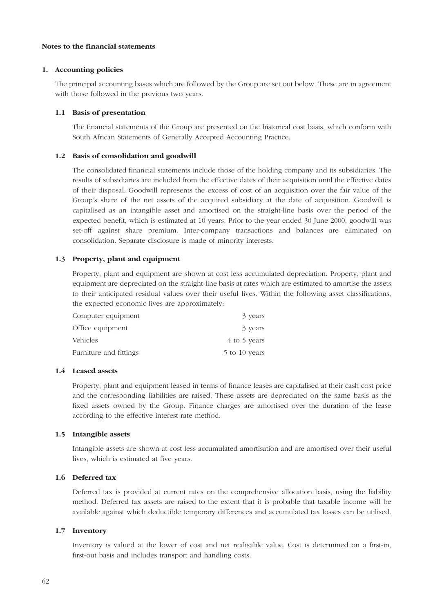### **Notes to the financial statements**

#### **1. Accounting policies**

The principal accounting bases which are followed by the Group are set out below. These are in agreement with those followed in the previous two years.

#### **1.1 Basis of presentation**

The financial statements of the Group are presented on the historical cost basis, which conform with South African Statements of Generally Accepted Accounting Practice.

#### **1.2 Basis of consolidation and goodwill**

The consolidated financial statements include those of the holding company and its subsidiaries. The results of subsidiaries are included from the effective dates of their acquisition until the effective dates of their disposal. Goodwill represents the excess of cost of an acquisition over the fair value of the Group's share of the net assets of the acquired subsidiary at the date of acquisition. Goodwill is capitalised as an intangible asset and amortised on the straight-line basis over the period of the expected benefit, which is estimated at 10 years. Prior to the year ended 30 June 2000, goodwill was set-off against share premium. Inter-company transactions and balances are eliminated on consolidation. Separate disclosure is made of minority interests.

#### **1.3 Property, plant and equipment**

Property, plant and equipment are shown at cost less accumulated depreciation. Property, plant and equipment are depreciated on the straight-line basis at rates which are estimated to amortise the assets to their anticipated residual values over their useful lives. Within the following asset classifications, the expected economic lives are approximately:

| Computer equipment     | 3 years       |
|------------------------|---------------|
| Office equipment       | 3 years       |
| Vehicles               | 4 to 5 years  |
| Furniture and fittings | 5 to 10 years |

#### **1.4 Leased assets**

Property, plant and equipment leased in terms of finance leases are capitalised at their cash cost price and the corresponding liabilities are raised. These assets are depreciated on the same basis as the fixed assets owned by the Group. Finance charges are amortised over the duration of the lease according to the effective interest rate method.

#### **1.5 Intangible assets**

Intangible assets are shown at cost less accumulated amortisation and are amortised over their useful lives, which is estimated at five years.

### **1.6 Deferred tax**

Deferred tax is provided at current rates on the comprehensive allocation basis, using the liability method. Deferred tax assets are raised to the extent that it is probable that taxable income will be available against which deductible temporary differences and accumulated tax losses can be utilised.

#### **1.7 Inventory**

Inventory is valued at the lower of cost and net realisable value. Cost is determined on a first-in, first-out basis and includes transport and handling costs.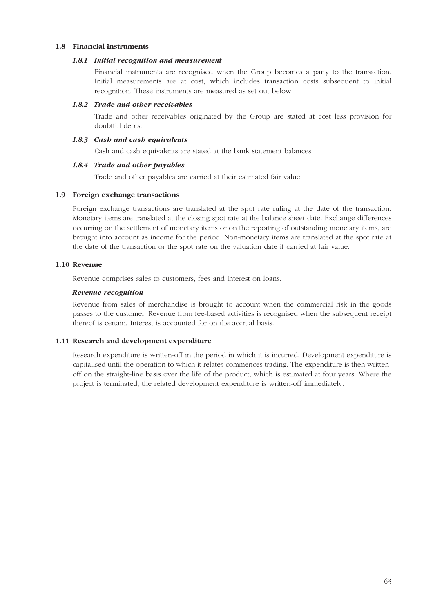## **1.8 Financial instruments**

#### *1.8.1 Initial recognition and measurement*

Financial instruments are recognised when the Group becomes a party to the transaction. Initial measurements are at cost, which includes transaction costs subsequent to initial recognition. These instruments are measured as set out below.

#### *1.8.2 Trade and other receivables*

Trade and other receivables originated by the Group are stated at cost less provision for doubtful debts.

## *1.8.3 Cash and cash equivalents*

Cash and cash equivalents are stated at the bank statement balances.

#### *1.8.4 Trade and other payables*

Trade and other payables are carried at their estimated fair value.

#### **1.9 Foreign exchange transactions**

Foreign exchange transactions are translated at the spot rate ruling at the date of the transaction. Monetary items are translated at the closing spot rate at the balance sheet date. Exchange differences occurring on the settlement of monetary items or on the reporting of outstanding monetary items, are brought into account as income for the period. Non-monetary items are translated at the spot rate at the date of the transaction or the spot rate on the valuation date if carried at fair value.

#### **1.10 Revenue**

Revenue comprises sales to customers, fees and interest on loans.

#### *Revenue recognition*

Revenue from sales of merchandise is brought to account when the commercial risk in the goods passes to the customer. Revenue from fee-based activities is recognised when the subsequent receipt thereof is certain. Interest is accounted for on the accrual basis.

## **1.11 Research and development expenditure**

Research expenditure is written-off in the period in which it is incurred. Development expenditure is capitalised until the operation to which it relates commences trading. The expenditure is then writtenoff on the straight-line basis over the life of the product, which is estimated at four years. Where the project is terminated, the related development expenditure is written-off immediately.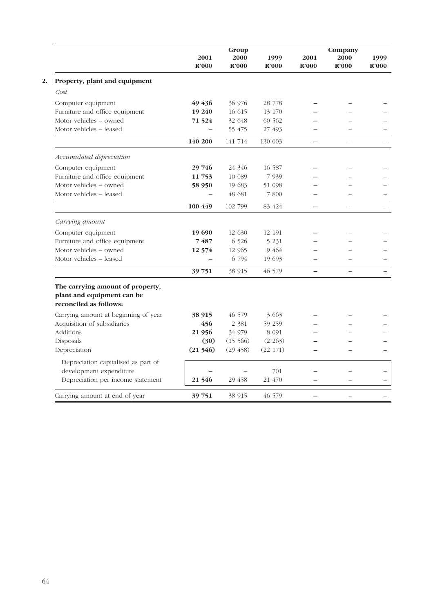|                                                                                          | 2001<br>R'000 | Group<br>2000<br>R'000 | 1999<br>R'000 | 2001<br>R'000            | Company<br>2000<br>R'000 | 1999<br>R'000 |
|------------------------------------------------------------------------------------------|---------------|------------------------|---------------|--------------------------|--------------------------|---------------|
| Property, plant and equipment                                                            |               |                        |               |                          |                          |               |
| Cost                                                                                     |               |                        |               |                          |                          |               |
| Computer equipment                                                                       | 49 436        | 36 976                 | 28 778        |                          |                          |               |
| Furniture and office equipment                                                           | 19 240        | 16 615                 | 13 170        |                          |                          |               |
| Motor vehicles - owned                                                                   | 71 5 24       | 32 648                 | 60 562        |                          |                          |               |
| Motor vehicles - leased                                                                  |               | 55 475                 | 27 493        |                          |                          |               |
|                                                                                          | 140 200       | 141 714                | 130 003       | $\qquad \qquad -$        |                          |               |
| Accumulated depreciation                                                                 |               |                        |               |                          |                          |               |
| Computer equipment                                                                       | 29 746        | 24 346                 | 16 587        |                          |                          |               |
| Furniture and office equipment                                                           | 11 753        | 10 089                 | 7 9 3 9       |                          |                          |               |
| Motor vehicles - owned                                                                   | 58 950        | 19 683                 | 51 098        |                          |                          |               |
| Motor vehicles - leased                                                                  |               | 48 681                 | 7 800         |                          |                          |               |
|                                                                                          | 100 449       | 102 799                | 83 424        |                          |                          |               |
| Carrying amount                                                                          |               |                        |               |                          |                          |               |
| Computer equipment                                                                       | 19 690        | 12 630                 | 12 191        |                          |                          |               |
| Furniture and office equipment                                                           | 7487          | 6 5 2 6                | 5 2 3 1       |                          |                          |               |
| Motor vehicles – owned                                                                   | 12 574        | 12 9 65                | 9 4 6 4       |                          |                          |               |
| Motor vehicles - leased                                                                  |               | 6 794                  | 19 693        |                          |                          |               |
|                                                                                          | 39 751        | 38 915                 | 46 579        | $\overline{\phantom{0}}$ |                          |               |
| The carrying amount of property,<br>plant and equipment can be<br>reconciled as follows: |               |                        |               |                          |                          |               |
| Carrying amount at beginning of year                                                     | 38 915        | 46 579                 | 3 663         |                          |                          |               |
| Acquisition of subsidiaries                                                              | 456           | 2 3 8 1                | 59 259        |                          |                          |               |
| Additions                                                                                | 21 956        | 34 979                 | 8 0 9 1       |                          |                          |               |
| Disposals                                                                                | (30)          | (15566)                | (2 263)       |                          |                          |               |
| Depreciation                                                                             | (21546)       | (29, 458)              | (22 171)      |                          |                          |               |
| Depreciation capitalised as part of<br>development expenditure                           |               |                        | 701           |                          |                          |               |
| Depreciation per income statement                                                        | 21 546        | 29 458                 | 21 470        |                          |                          |               |
| Carrying amount at end of year                                                           | 39 751        | 38 915                 | 46 579        |                          |                          |               |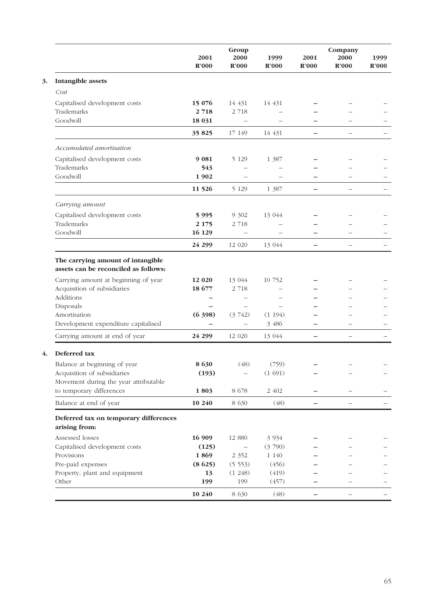|                                                                                                                                                      | 2001                        | Group<br>2000                                           | 1999                      | 2001                     | Company<br>2000          | 1999  |
|------------------------------------------------------------------------------------------------------------------------------------------------------|-----------------------------|---------------------------------------------------------|---------------------------|--------------------------|--------------------------|-------|
|                                                                                                                                                      | R'000                       | R'000                                                   | R'000                     | R'000                    | R'000                    | R'000 |
| <b>Intangible assets</b>                                                                                                                             |                             |                                                         |                           |                          |                          |       |
| Cost                                                                                                                                                 |                             |                                                         |                           |                          |                          |       |
| Capitalised development costs                                                                                                                        | 15 0 76                     | 14 431                                                  | 14 431                    |                          |                          |       |
| Trademarks                                                                                                                                           | 2718                        | 2 7 1 8                                                 |                           |                          |                          |       |
| Goodwill                                                                                                                                             | 18 0 31                     | $\overline{\phantom{0}}$                                |                           |                          |                          |       |
|                                                                                                                                                      | 35 825                      | 17 149                                                  | 14 431                    | —                        | $\overline{\phantom{0}}$ |       |
| Accumulated amortisation                                                                                                                             |                             |                                                         |                           |                          |                          |       |
| Capitalised development costs                                                                                                                        | 9 0 8 1                     | 5 1 2 9                                                 | 1 387                     |                          |                          |       |
| Trademarks                                                                                                                                           | 543                         |                                                         |                           |                          |                          |       |
| Goodwill                                                                                                                                             | 1902                        | $\overline{\phantom{0}}$                                |                           |                          |                          |       |
|                                                                                                                                                      | 11 5 26                     | 5 1 2 9                                                 | 1 3 8 7                   | —                        | $\overline{\phantom{0}}$ |       |
| Carrying amount                                                                                                                                      |                             |                                                         |                           |                          |                          |       |
| Capitalised development costs                                                                                                                        | 5995                        | 9 3 0 2                                                 | 13 044                    |                          |                          |       |
| Trademarks                                                                                                                                           | 2 1 7 5                     | 2 7 18                                                  |                           |                          |                          |       |
| Goodwill                                                                                                                                             | 16 129                      | $\overline{\phantom{0}}$                                |                           |                          |                          |       |
|                                                                                                                                                      | 24 299                      | 12 020                                                  | 13 044                    |                          | $\overline{\phantom{0}}$ |       |
| Carrying amount at beginning of year<br>Acquisition of subsidiaries<br>Additions<br>Disposals<br>Amortisation<br>Development expenditure capitalised | 12 0 20<br>18 677<br>(6398) | 13 044<br>2 7 1 8<br>(3742)<br>$\overline{\phantom{0}}$ | 10 752<br>(1194)<br>3 486 |                          |                          |       |
| Carrying amount at end of year                                                                                                                       | 24 299                      | 12 020                                                  | 13 044                    | -                        | $\overline{\phantom{0}}$ |       |
| Deferred tax                                                                                                                                         |                             |                                                         |                           |                          |                          |       |
| Balance at beginning of year                                                                                                                         | 8630                        | (48)                                                    | (759)                     |                          |                          |       |
| Acquisition of subsidiaries<br>Movement during the year attributable                                                                                 | (193)                       |                                                         | (1691)                    |                          |                          |       |
| to temporary differences                                                                                                                             | 1803                        | 8 6 7 8                                                 | 2 402                     | $\overline{\phantom{0}}$ |                          |       |
| Balance at end of year                                                                                                                               | 10 240                      | 8 6 3 0                                                 | (48)                      |                          |                          |       |
| Deferred tax on temporary differences<br>arising from:                                                                                               |                             |                                                         |                           |                          |                          |       |
| Assessed losses                                                                                                                                      | 16 909                      | 12 880                                                  | 3 9 3 4                   |                          |                          |       |
| Capitalised development costs                                                                                                                        | (125)                       |                                                         | (3790)                    |                          |                          |       |
| Provisions                                                                                                                                           | 1869                        | 2 3 5 2                                                 | 1 140                     |                          |                          |       |
| Pre-paid expenses                                                                                                                                    | (8625)                      | (5553)                                                  | (456)                     |                          |                          |       |
| Property, plant and equipment                                                                                                                        | 13                          | (1248)                                                  | (419)                     |                          |                          |       |
| Other                                                                                                                                                | 199                         | 199                                                     | (457)                     |                          |                          |       |
|                                                                                                                                                      | 10 240                      | 8 630                                                   | (48)                      | —                        | $\overline{\phantom{0}}$ |       |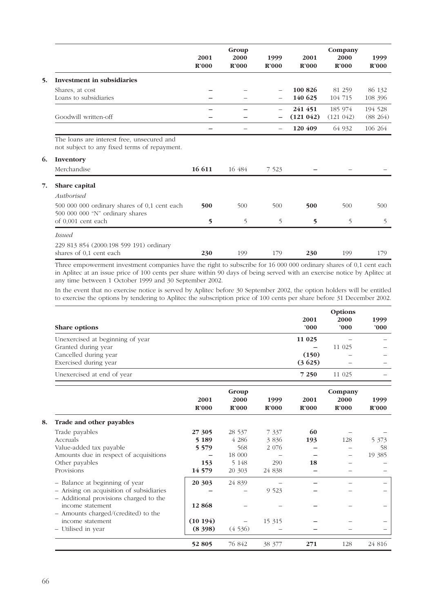|                                                                                            | 2001<br>R'000 | Group<br>2000<br>R'000 | 1999<br>R'000 | 2001<br>R'000        | Company<br>2000<br>R'000 | 1999<br>R'000          |
|--------------------------------------------------------------------------------------------|---------------|------------------------|---------------|----------------------|--------------------------|------------------------|
| Investment in subsidiaries<br>5.                                                           |               |                        |               |                      |                          |                        |
| Shares, at cost<br>Loans to subsidiaries                                                   |               |                        |               | 100 826<br>140 625   | 81 259<br>104 715        | 86 132<br>108 396      |
| Goodwill written-off                                                                       |               |                        |               | 241 451<br>(121 042) | 185 974<br>$(121\;042)$  | 194 528<br>$(88\ 264)$ |
|                                                                                            |               |                        |               | 120 409              | 64 932                   | 106 264                |
| The loans are interest free, unsecured and<br>not subject to any fixed terms of repayment. |               |                        |               |                      |                          |                        |
| 6.<br>Inventory                                                                            |               |                        |               |                      |                          |                        |
| Merchandise                                                                                | 16 611        | 16 484                 | 7 5 2 3       |                      |                          |                        |
| 7.<br>Share capital<br>Authorised                                                          |               |                        |               |                      |                          |                        |
| 500 000 000 ordinary shares of 0,1 cent each<br>500 000 000 "N" ordinary shares            | 500           | 500                    | 500           | 500                  | 500                      | 500                    |
| of 0,001 cent each                                                                         | 5             | 5                      | 5             | $\overline{5}$       | 5                        | 5                      |
| <i>Issued</i>                                                                              |               |                        |               |                      |                          |                        |
| 229 813 854 (2000:198 599 191) ordinary<br>shares of 0,1 cent each                         | 230           | 199                    | 179           | 230                  | 199                      | 179                    |

Three empowerment investment companies have the right to subscribe for 16 000 000 ordinary shares of 0,1 cent each in Aplitec at an issue price of 100 cents per share within 90 days of being served with an exercise notice by Aplitec at any time between 1 October 1999 and 30 September 2002.

In the event that no exercise notice is served by Aplitec before 30 September 2002, the option holders will be entitled to exercise the options by tendering to Aplitec the subscription price of 100 cents per share before 31 December 2002.

| Share options                                                                      |         |         |         | 2001<br>'000 | Options<br>2000<br>'000 | 1999<br>000' |
|------------------------------------------------------------------------------------|---------|---------|---------|--------------|-------------------------|--------------|
| Unexercised at beginning of year                                                   |         |         |         | 11 0 25      |                         |              |
| Granted during year                                                                |         |         |         |              | 11 025                  |              |
| Cancelled during year                                                              |         |         |         | (150)        |                         |              |
| Exercised during year                                                              |         |         |         | (3625)       |                         |              |
| Unexercised at end of year                                                         |         |         |         | 7 2 5 0      | 11 025                  |              |
|                                                                                    |         | Group   |         |              | Company                 |              |
|                                                                                    | 2001    | 2000    | 1999    | 2001         | 2000                    | 1999         |
|                                                                                    | R'000   | R'000   | R'000   | R'000        | R'000                   | R'000        |
| Trade and other payables                                                           |         |         |         |              |                         |              |
| Trade payables                                                                     | 27 305  | 28 537  | 7 3 3 7 | 60           |                         |              |
| <b>Accruals</b>                                                                    | 5 1 8 9 | 4 2 8 6 | 3836    | 193          | 128                     | 5 3 7 3      |
| Value-added tax payable                                                            | 5 5 7 9 | 568     | 2 0 7 6 |              |                         | 58           |
| Amounts due in respect of acquisitions                                             |         | 18 000  |         |              |                         | 19 385       |
| Other payables                                                                     | 153     | 5 1 48  | 290     | 18           |                         |              |
| Provisions                                                                         | 14 579  | 20 303  | 24 838  |              |                         |              |
| - Balance at beginning of year                                                     | 20 30 3 | 24 839  |         |              |                         |              |
| - Arising on acquisition of subsidiaries<br>- Additional provisions charged to the |         |         | 9 5 23  |              |                         |              |
| income statement                                                                   | 12868   |         |         |              |                         |              |
| - Amounts charged/(credited) to the                                                |         |         |         |              |                         |              |
| income statement                                                                   | (10194) |         | 15 315  |              |                         |              |
| - Utilised in year                                                                 | (8,398) | (4536)  |         |              |                         |              |
|                                                                                    | 52 805  | 76 842  | 38 377  | 271          | 128                     | 24 816       |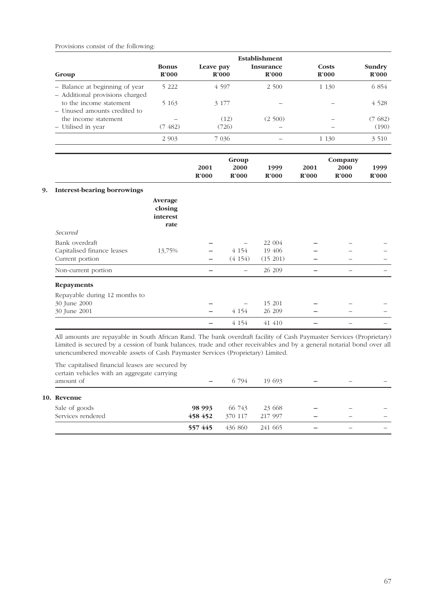## Provisions consist of the following:

| Group                                                             | <b>Bonus</b><br>R'000                  | Leave pay                | R'000                         | Establishment<br><b>Insurance</b><br>R'000 |               | Costs<br>R'000           | Sundry<br>R'000 |
|-------------------------------------------------------------------|----------------------------------------|--------------------------|-------------------------------|--------------------------------------------|---------------|--------------------------|-----------------|
| - Balance at beginning of year<br>- Additional provisions charged | 5 2 2 2                                |                          | 4 5 9 7                       | 2 500                                      | 1 1 3 0       |                          | 6 854           |
| to the income statement<br>- Unused amounts credited to           | 5 1 6 3                                |                          | 3 177                         |                                            |               |                          | 4 5 2 8         |
| the income statement                                              |                                        |                          | (12)                          | (2500)                                     |               |                          | (7682)          |
| - Utilised in year                                                | (7, 482)                               |                          | (726)                         |                                            |               |                          | (190)           |
|                                                                   | 2 9 0 3                                |                          | 7 0 3 6                       |                                            | 1 1 3 0       |                          | 3 5 1 0         |
|                                                                   |                                        | 2001<br><b>R'000</b>     | Group<br>2000<br><b>R'000</b> | 1999<br>R'000                              | 2001<br>R'000 | Company<br>2000<br>R'000 | 1999<br>R'000   |
|                                                                   |                                        |                          |                               |                                            |               |                          |                 |
| <b>Interest-bearing borrowings</b>                                | Average<br>closing<br>interest<br>rate |                          |                               |                                            |               |                          |                 |
| Secured                                                           |                                        |                          |                               |                                            |               |                          |                 |
| Bank overdraft                                                    |                                        |                          |                               | 22 004                                     |               |                          |                 |
| Capitalised finance leases                                        | 13,75%                                 |                          | 4 1 5 4                       | 19 406                                     |               |                          |                 |
| Current portion                                                   |                                        |                          | (4154)                        | (15 201)                                   |               |                          |                 |
| Non-current portion                                               |                                        | $\overline{\phantom{0}}$ | $\overline{\phantom{m}}$      | 26 209                                     |               | $\qquad \qquad -$        |                 |
| <b>Repayments</b>                                                 |                                        |                          |                               |                                            |               |                          |                 |
| Repayable during 12 months to                                     |                                        |                          |                               |                                            |               |                          |                 |
| 30 June 2000                                                      |                                        |                          |                               | 15 201                                     |               |                          |                 |
| 30 June 2001                                                      |                                        |                          | 4 1 5 4                       | 26 209                                     |               |                          |                 |
|                                                                   |                                        | $\overline{\phantom{0}}$ | 4 1 5 4                       | 41 410                                     |               |                          |                 |

All amounts are repayable in South African Rand. The bank overdraft facility of Cash Paymaster Services (Proprietary) Limited is secured by a cession of bank balances, trade and other receivables and by a general notarial bond over all unencumbered moveable assets of Cash Paymaster Services (Proprietary) Limited.

| The capitalised financial leases are secured by<br>certain vehicles with an aggregate carrying<br>amount of |         | 6 794   | 19 693  |  |  |
|-------------------------------------------------------------------------------------------------------------|---------|---------|---------|--|--|
| 10. Revenue                                                                                                 |         |         |         |  |  |
| Sale of goods                                                                                               | 98 993  | 66 743  | 23 668  |  |  |
| Services rendered                                                                                           | 458 452 | 370 117 | 217 997 |  |  |
|                                                                                                             | 557445  | 436 860 | 241 665 |  |  |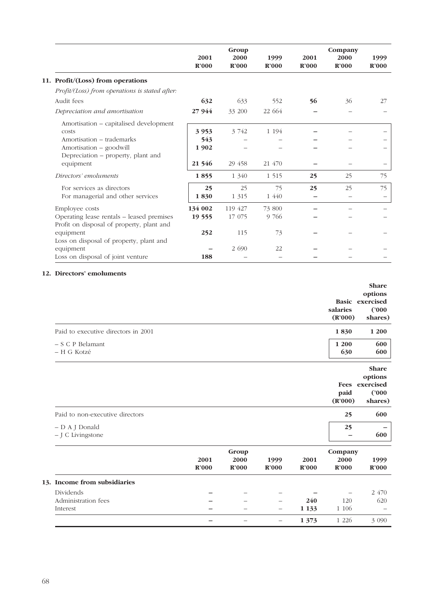|                                                                                            | 2001<br>R'000  | Group<br>2000<br>R'000 | 1999<br>R'000 | 2001<br>R'000 | Company<br>2000<br>R'000 | 1999<br>R'000 |
|--------------------------------------------------------------------------------------------|----------------|------------------------|---------------|---------------|--------------------------|---------------|
| 11. Profit/(Loss) from operations                                                          |                |                        |               |               |                          |               |
| Profit/(Loss) from operations is stated after:                                             |                |                        |               |               |                          |               |
| Audit fees                                                                                 | 632            | 633                    | 552           | 56            | 36                       | 27            |
| Depreciation and amortisation                                                              | 27 944         | 33 200                 | 22 664        |               |                          |               |
| Amortisation – capitalised development<br>costs                                            | 3953           | 3 742                  | 1 1 9 4       |               |                          |               |
| Amortisation – trademarks<br>Amortisation - goodwill<br>Depreciation – property, plant and | 543<br>1 9 0 2 |                        |               |               |                          |               |
| equipment                                                                                  | 21 546         | 29 458                 | 21 470        |               |                          |               |
| Directors' emoluments                                                                      | 1855           | 1 340                  | 1 5 1 5       | 25            | 25                       | 75            |
| For services as directors<br>For managerial and other services                             | 25<br>1830     | 25<br>1 3 1 5          | 75<br>1 440   | 25            | 25                       | 75            |
| Employee costs                                                                             | 134 002        | 119 427                | 73 800        |               |                          |               |
| Operating lease rentals – leased premises<br>Profit on disposal of property, plant and     | 19 555         | 17 075                 | 9 766         |               |                          |               |
| equipment<br>Loss on disposal of property, plant and                                       | 252            | 115                    | 73            |               |                          |               |
| equipment                                                                                  |                | 2 6 9 0                | 22            |               |                          |               |
| Loss on disposal of joint venture                                                          | 188            |                        |               |               |                          |               |

## **12. Directors' emoluments**

|                                     |               |                               |                   |                | salaries<br>(R'000)             | <b>Share</b><br>options<br><b>Basic</b> exercised<br>(2000)<br>shares) |
|-------------------------------------|---------------|-------------------------------|-------------------|----------------|---------------------------------|------------------------------------------------------------------------|
| Paid to executive directors in 2001 |               |                               |                   |                | 1830                            | 1 200                                                                  |
| - S C P Belamant<br>- H G Kotzé     |               |                               |                   |                | 1 200<br>630                    | 600<br>600                                                             |
|                                     |               |                               |                   |                | paid                            | <b>Share</b><br>options<br>Fees exercised<br>(2000)                    |
|                                     |               |                               |                   |                | (R'000)                         | shares)                                                                |
| Paid to non-executive directors     |               |                               |                   |                | 25                              | 600                                                                    |
| - D A J Donald<br>- J C Livingstone |               |                               |                   |                | 25                              | 600                                                                    |
|                                     | 2001<br>R'000 | Group<br>2000<br><b>R'000</b> | 1999<br>R'000     | 2001<br>R'000  | Company<br>2000<br><b>R'000</b> | 1999<br>R'000                                                          |
| 13. Income from subsidiaries        |               |                               |                   |                |                                 |                                                                        |
| Dividends                           |               |                               |                   |                |                                 | 2 470                                                                  |
| Administration fees<br>Interest     |               | -                             | $\qquad \qquad -$ | 240<br>1 1 3 3 | 120<br>1 1 0 6                  | 620                                                                    |
|                                     |               |                               | $\qquad \qquad -$ | 1 3 7 3        | 1 2 2 6                         | 3 0 9 0                                                                |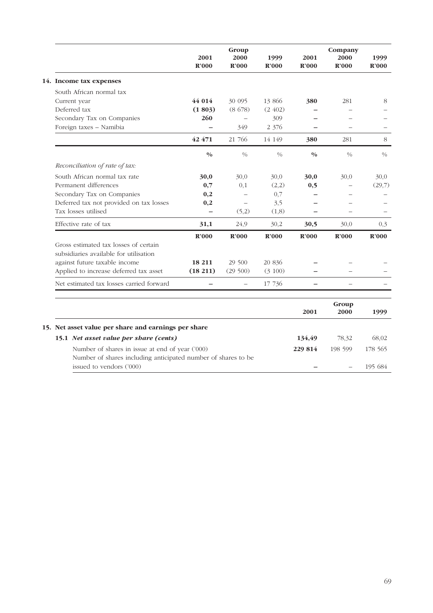|                                                                                 | 2001<br>R'000 | Group<br>2000<br>R'000 | 1999<br>R'000 | 2001<br>R'000 | Company<br>2000<br>R'000 | 1999<br>$\mathbb{R}^2000$ |
|---------------------------------------------------------------------------------|---------------|------------------------|---------------|---------------|--------------------------|---------------------------|
| 14. Income tax expenses                                                         |               |                        |               |               |                          |                           |
| South African normal tax                                                        |               |                        |               |               |                          |                           |
| Current year                                                                    | 44 014        | 30 095                 | 13 866        | 380           | 281                      | 8                         |
| Deferred tax                                                                    | (1803)        | (8678)                 | (2, 402)      |               |                          |                           |
| Secondary Tax on Companies                                                      | 260           |                        | 309           |               |                          |                           |
| Foreign taxes - Namibia                                                         |               | 349                    | 2 3 7 6       |               |                          |                           |
|                                                                                 | 42 471        | 21 766                 | 14 149        | 380           | 281                      | 8                         |
|                                                                                 | 0/0           | 0/0                    | $\frac{0}{0}$ | 0/0           | 0/0                      | $\frac{0}{0}$             |
| Reconciliation of rate of tax:                                                  |               |                        |               |               |                          |                           |
| South African normal tax rate                                                   | 30,0          | 30,0                   | 30,0          | 30,0          | 30,0                     | 30,0                      |
| Permanent differences                                                           | 0,7           | 0,1                    | (2,2)         | 0,5           |                          | (29,7)                    |
| Secondary Tax on Companies                                                      | 0,2           |                        | 0,7           |               |                          |                           |
| Deferred tax not provided on tax losses                                         | 0,2           |                        | 3,5           |               |                          |                           |
| Tax losses utilised                                                             |               | (5,2)                  | (1,8)         |               |                          |                           |
| Effective rate of tax                                                           | 31,1          | 24,9                   | 30,2          | 30,5          | 30,0                     | 0,3                       |
|                                                                                 | R'000         | R'000                  | R'000         | R'000         | R'000                    | R'000                     |
| Gross estimated tax losses of certain<br>subsidiaries available for utilisation |               |                        |               |               |                          |                           |
| against future taxable income                                                   | 18 211        | 29 500                 | 20 836        |               |                          |                           |
| Applied to increase deferred tax asset                                          | (18211)       | (29500)                | (3 100)       |               |                          |                           |
| Net estimated tax losses carried forward                                        |               |                        | 17 736        |               |                          |                           |
|                                                                                 |               |                        |               |               | $G$ roun                 |                           |

|                                                      |                                                               | Group<br>2000<br>2001 |         | 1999    |
|------------------------------------------------------|---------------------------------------------------------------|-----------------------|---------|---------|
|                                                      |                                                               |                       |         |         |
| 15. Net asset value per share and earnings per share |                                                               |                       |         |         |
| 15.1 Net asset value per share (cents)               |                                                               | 134,49                | 78,32   | 68,02   |
| Number of shares in issue at end of year ('000)      |                                                               | 229 814               | 198 599 | 178 565 |
|                                                      | Number of shares including anticipated number of shares to be |                       |         |         |
| issued to vendors ('000)                             |                                                               |                       |         | 195 684 |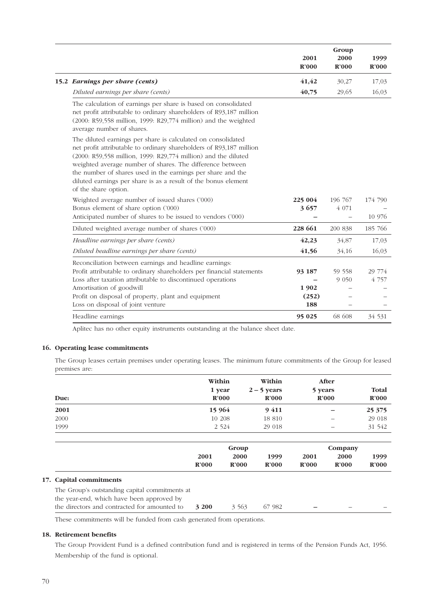|                                                                                                                                                                                                                                                                                                                                                                                                                             | 2001<br><b>R'000</b> | Group<br>2000<br>R'000 | 1999<br>R'000 |
|-----------------------------------------------------------------------------------------------------------------------------------------------------------------------------------------------------------------------------------------------------------------------------------------------------------------------------------------------------------------------------------------------------------------------------|----------------------|------------------------|---------------|
| 15.2 Earnings per share (cents)                                                                                                                                                                                                                                                                                                                                                                                             | 41,42                | 30,27                  | 17,03         |
| Diluted earnings per share (cents)                                                                                                                                                                                                                                                                                                                                                                                          | 40,75                | 29,65                  | 16,03         |
| The calculation of earnings per share is based on consolidated<br>net profit attributable to ordinary shareholders of R93,187 million<br>(2000: R59,558 million, 1999: R29,774 million) and the weighted<br>average number of shares.                                                                                                                                                                                       |                      |                        |               |
| The diluted earnings per share is calculated on consolidated<br>net profit attributable to ordinary shareholders of R93,187 million<br>(2000: R59,558 million, 1999: R29,774 million) and the diluted<br>weighted average number of shares. The difference between<br>the number of shares used in the earnings per share and the<br>diluted earnings per share is as a result of the bonus element<br>of the share option. |                      |                        |               |
| Weighted average number of issued shares ('000)                                                                                                                                                                                                                                                                                                                                                                             | 225 004              | 196 767                | 174 790       |
| Bonus element of share option ('000)                                                                                                                                                                                                                                                                                                                                                                                        | 3657                 | 4 0 7 1                |               |
| Anticipated number of shares to be issued to vendors ('000)                                                                                                                                                                                                                                                                                                                                                                 |                      |                        | 10 976        |
| Diluted weighted average number of shares ('000)                                                                                                                                                                                                                                                                                                                                                                            | 228 661              | 200 838                | 185 766       |
| Headline earnings per share (cents)                                                                                                                                                                                                                                                                                                                                                                                         | 42,23                | 34,87                  | 17,03         |
| Diluted beadline earnings per share (cents)                                                                                                                                                                                                                                                                                                                                                                                 | 41,56                | 34,16                  | 16,03         |
| Reconciliation between earnings and headline earnings:                                                                                                                                                                                                                                                                                                                                                                      |                      |                        |               |
| Profit attributable to ordinary shareholders per financial statements                                                                                                                                                                                                                                                                                                                                                       | 93 187               | 59 558                 | 29 774        |
| Loss after taxation attributable to discontinued operations                                                                                                                                                                                                                                                                                                                                                                 |                      | 9 0 5 0                | 4 7 5 7       |
| Amortisation of goodwill                                                                                                                                                                                                                                                                                                                                                                                                    | 1902                 |                        |               |
| Profit on disposal of property, plant and equipment                                                                                                                                                                                                                                                                                                                                                                         | (252)                |                        |               |
| Loss on disposal of joint venture                                                                                                                                                                                                                                                                                                                                                                                           | 188                  |                        |               |
| Headline earnings                                                                                                                                                                                                                                                                                                                                                                                                           | 95 025               | 68 608                 | 34 531        |

Aplitec has no other equity instruments outstanding at the balance sheet date.

#### **16. Operating lease commitments**

The Group leases certain premises under operating leases. The minimum future commitments of the Group for leased premises are:

| Due:                                                                                                                                        | Within<br>1 year           | R'000                      | Within<br>$2 - 5$ years<br>R'000 | 5 years                   | After<br>R'000            | Total<br>$\mathbf{R}^{\prime}000$ |
|---------------------------------------------------------------------------------------------------------------------------------------------|----------------------------|----------------------------|----------------------------------|---------------------------|---------------------------|-----------------------------------|
| 2001                                                                                                                                        | 15 9 64                    |                            | 9411                             |                           |                           | 25 375                            |
| 2000                                                                                                                                        |                            | 10 208                     | 18 810                           |                           |                           | 29 018                            |
| 1999                                                                                                                                        |                            | 2 5 2 4                    | 29 018                           |                           |                           | 31 542                            |
|                                                                                                                                             |                            | Group                      |                                  |                           | Company                   |                                   |
|                                                                                                                                             | 2001<br>$\mathbf{R}^2$ 000 | 2000<br>$\mathbf{R}^2$ 000 | 1999<br>$\mathbf{R}^2000$        | 2001<br>$\mathbf{R}^2000$ | 2000<br>$\mathbf{R}^2000$ | 1999<br>$\mathbf{R}^2000$         |
| 17. Capital commitments                                                                                                                     |                            |                            |                                  |                           |                           |                                   |
| The Group's outstanding capital commitments at<br>the year-end, which have been approved by<br>the directors and contracted for amounted to | 3 200                      | 3 5 6 3                    | 67 982                           |                           |                           |                                   |

These commitments will be funded from cash generated from operations.

#### **18. Retirement benefits**

The Group Provident Fund is a defined contribution fund and is registered in terms of the Pension Funds Act, 1956. Membership of the fund is optional.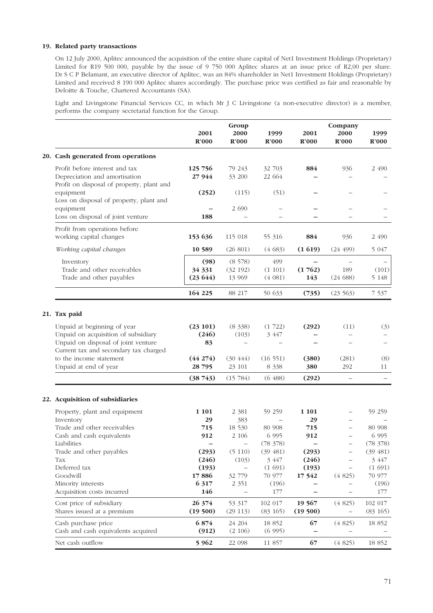#### **19. Related party transactions**

On 12 July 2000, Aplitec announced the acquisition of the entire share capital of Net1 Investment Holdings (Proprietary) Limited for R19 500 000, payable by the issue of 9 750 000 Aplitec shares at an issue price of R2,00 per share. Dr S C P Belamant, an executive director of Aplitec, was an 84% shareholder in Net1 Investment Holdings (Proprietary) Limited and received 8 190 000 Aplitec shares accordingly. The purchase price was certified as fair and reasonable by Deloitte & Touche, Chartered Accountants (SA).

Light and Livingstone Financial Services CC, in which Mr J C Livingstone (a non-executive director) is a member, performs the company secretarial function for the Group.

|  |                                                                                                           | 2001<br>R'000             | Group<br>2000<br>R'000                        | 1999<br>R'000                 | 2001<br>R'000                             | Company<br>2000<br>R'000    | 1999<br>$\mathbb{R}^2000$     |
|--|-----------------------------------------------------------------------------------------------------------|---------------------------|-----------------------------------------------|-------------------------------|-------------------------------------------|-----------------------------|-------------------------------|
|  | 20. Cash generated from operations                                                                        |                           |                                               |                               |                                           |                             |                               |
|  | Profit before interest and tax<br>Depreciation and amortisation                                           | 125 756<br>27 944         | 79 243<br>33 200                              | 32 703<br>22 664              | 884                                       | 936                         | 2 490                         |
|  | Profit on disposal of property, plant and<br>equipment<br>Loss on disposal of property, plant and         | (252)                     | (115)                                         | (51)                          |                                           |                             |                               |
|  | equipment<br>Loss on disposal of joint venture                                                            | 188                       | 2 6 9 0                                       |                               |                                           |                             |                               |
|  | Profit from operations before<br>working capital changes                                                  | 153 636                   | 115 018                                       | 55 316                        | 884                                       | 936                         | 2 490                         |
|  | Working capital changes                                                                                   | 10 589                    | (26801)                                       | (4683)                        | (1619)                                    | (24, 499)                   | 5 0 4 7                       |
|  | Inventory<br>Trade and other receivables<br>Trade and other payables                                      | (98)<br>34 331<br>(23644) | (8578)<br>(32 192)<br>13 969                  | 499<br>(1 101)<br>(4081)      | $\overline{\phantom{0}}$<br>(1762)<br>143 | 189<br>(24688)              | (101)<br>5 1 4 8              |
|  |                                                                                                           | 164 225                   | 88 217                                        | 50 633                        | (735)                                     | (23563)                     | 7 5 3 7                       |
|  | 21. Tax paid                                                                                              |                           |                                               |                               |                                           |                             |                               |
|  | Unpaid at beginning of year<br>Unpaid on acquisition of subsidiary<br>Unpaid on disposal of joint venture | (23101)<br>(246)<br>83    | (8, 338)<br>(103)<br>$\overline{\phantom{0}}$ | (1722)<br>3 447               | (292)                                     | (11)                        | (3)                           |
|  | Current tax and secondary tax charged<br>to the income statement<br>Unpaid at end of year                 | (44274)<br>28 795         | (30, 444)<br>23 101                           | (16551)<br>8 3 3 8            | (380)<br>380                              | (281)<br>292                | (8)<br>11                     |
|  |                                                                                                           | (38743)                   | (15784)                                       | (6488)                        | (292)                                     | $\overline{\phantom{0}}$    |                               |
|  | 22. Acquisition of subsidiaries                                                                           |                           |                                               |                               |                                           |                             |                               |
|  | Property, plant and equipment<br>Inventory                                                                | 1 1 0 1<br>29             | 2 3 8 1<br>383                                | 59 259                        | 1 1 0 1<br>29                             |                             | 59 259                        |
|  | Trade and other receivables<br>Cash and cash equivalents<br>Liabilities                                   | 715<br>912                | 18 530<br>2 10 6<br>$\qquad \qquad -$         | 80 908<br>6 9 9 5<br>(78 378) | 715<br>912                                |                             | 80 908<br>6 9 9 5<br>(78 378) |
|  | Trade and other payables<br>Tax                                                                           | (293)<br>(246)            | (5 110)<br>(103)                              | (39, 481)<br>3 447            | (293)<br>(246)                            |                             | (39, 481)<br>3 447            |
|  | Deferred tax<br>Goodwill<br>Minority interests                                                            | (193)<br>17886<br>6 3 1 7 | $\overline{\phantom{0}}$<br>32 779<br>2 3 5 1 | (1691)<br>70 977<br>(196)     | (193)<br>17542                            | (4825)                      | (1691)<br>70 977<br>(196)     |
|  | Acquisition costs incurred                                                                                | 146                       | $\overline{\phantom{0}}$                      | 177                           |                                           |                             | 177                           |
|  | Cost price of subsidiary<br>Shares issued at a premium                                                    | 26 374<br>(19500)         | 53 317<br>$(29\ 113)$                         | 102 017<br>$(83\ 165)$        | 19 567<br>(19500)                         | (4825)                      | $102\ 017$<br>$(83\ 165)$     |
|  | Cash purchase price<br>Cash and cash equivalents acquired                                                 | 6874<br>(912)             | 24 204<br>(2 106)                             | 18 852<br>(6995)              | 67                                        | (4825)<br>$\qquad \qquad -$ | 18 852                        |
|  | Net cash outflow                                                                                          | 5 9 6 2                   | 22 098                                        | 11 857                        | 67                                        | (4825)                      | 18 852                        |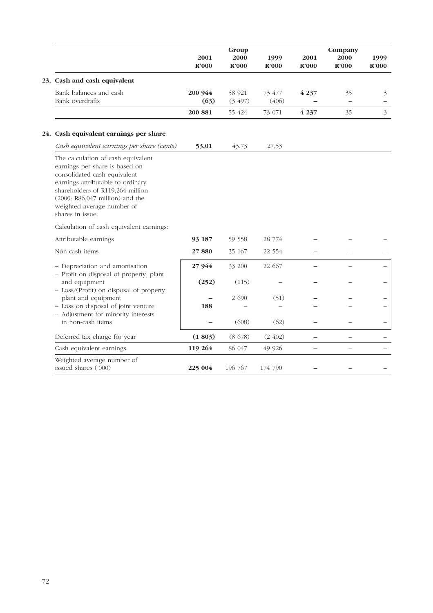|                                                                                                                                                                                                                                                                        | 2001<br>R'000   | Group<br>2000<br>$\mathbf{R}^{\prime}000$ | 1999<br>$\mathbf{R}^2000$ | 2001<br>$\mathbb{R}^2000$ | Company<br>2000<br>R'000 | 1999<br>$\mathbf{R}^2000$ |
|------------------------------------------------------------------------------------------------------------------------------------------------------------------------------------------------------------------------------------------------------------------------|-----------------|-------------------------------------------|---------------------------|---------------------------|--------------------------|---------------------------|
| 23. Cash and cash equivalent                                                                                                                                                                                                                                           |                 |                                           |                           |                           |                          |                           |
| Bank balances and cash<br>Bank overdrafts                                                                                                                                                                                                                              | 200 944<br>(63) | 58 921<br>(3, 497)                        | 73 477<br>(406)           | 4 2 3 7                   | 35                       | 3                         |
|                                                                                                                                                                                                                                                                        | 200 881         | 55 424                                    | 73 071                    | 4 2 3 7                   | 35                       | $\overline{3}$            |
| 24. Cash equivalent earnings per share                                                                                                                                                                                                                                 |                 |                                           |                           |                           |                          |                           |
| Cash equivalent earnings per share (cents)                                                                                                                                                                                                                             | 53,01           | 43,73                                     | 27,53                     |                           |                          |                           |
| The calculation of cash equivalent<br>earnings per share is based on<br>consolidated cash equivalent<br>earnings attributable to ordinary<br>shareholders of R119,264 million<br>$(2000: R86, 047)$ million) and the<br>weighted average number of<br>shares in issue. |                 |                                           |                           |                           |                          |                           |
| Calculation of cash equivalent earnings:                                                                                                                                                                                                                               |                 |                                           |                           |                           |                          |                           |
| Attributable earnings                                                                                                                                                                                                                                                  | 93 187          | 59 558                                    | 28 774                    |                           |                          |                           |
| Non-cash items                                                                                                                                                                                                                                                         | 27880           | 35 167                                    | 22 5 5 4                  |                           |                          |                           |
| - Depreciation and amortisation<br>- Profit on disposal of property, plant                                                                                                                                                                                             | 27944           | 33 200                                    | 22 667                    |                           |                          |                           |
| and equipment<br>- Loss/(Profit) on disposal of property,                                                                                                                                                                                                              | (252)           | (115)                                     |                           |                           |                          |                           |
| plant and equipment<br>- Loss on disposal of joint venture                                                                                                                                                                                                             |                 | 2 6 9 0                                   | (51)                      |                           |                          |                           |
| - Adjustment for minority interests                                                                                                                                                                                                                                    | 188             |                                           |                           |                           |                          |                           |
| in non-cash items                                                                                                                                                                                                                                                      |                 | (608)                                     | (62)                      |                           |                          |                           |
| Deferred tax charge for year                                                                                                                                                                                                                                           | (1803)          | (8678)                                    | (2, 402)                  |                           |                          |                           |
| Cash equivalent earnings                                                                                                                                                                                                                                               | 119 264         | 86 047                                    | 49 9 26                   |                           | $\equiv$                 |                           |
| Weighted average number of<br>issued shares ('000)                                                                                                                                                                                                                     | 225 004         | 196 767                                   | 174 790                   |                           |                          |                           |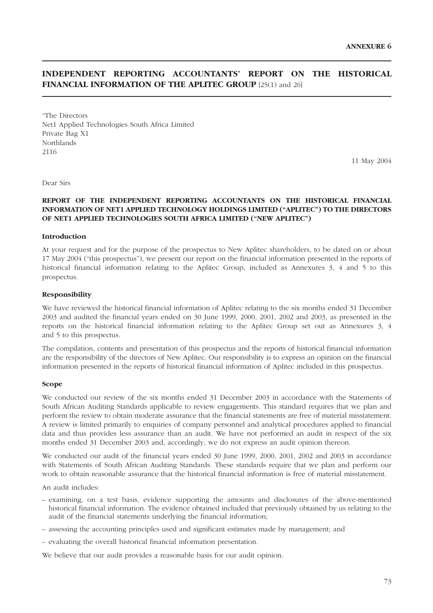# **INDEPENDENT REPORTING ACCOUNTANTS' REPORT ON THE HISTORICAL FINANCIAL INFORMATION OF THE APLITEC GROUP** [25(1) and 26]

"The Directors Net1 Applied Technologies South Africa Limited Private Bag X1 Northlands 2116

11 May 2004

Dear Sirs

#### **REPORT OF THE INDEPENDENT REPORTING ACCOUNTANTS ON THE HISTORICAL FINANCIAL INFORMATION OF NET1 APPLIED TECHNOLOGY HOLDINGS LIMITED ("APLITEC") TO THE DIRECTORS OF NET1 APPLIED TECHNOLOGIES SOUTH AFRICA LIMITED ("NEW APLITEC")**

#### **Introduction**

At your request and for the purpose of the prospectus to New Aplitec shareholders, to be dated on or about 17 May 2004 ("this prospectus"), we present our report on the financial information presented in the reports of historical financial information relating to the Aplitec Group, included as Annexures 3, 4 and 5 to this prospectus.

#### **Responsibility**

We have reviewed the historical financial information of Aplitec relating to the six months ended 31 December 2003 and audited the financial years ended on 30 June 1999, 2000, 2001, 2002 and 2003, as presented in the reports on the historical financial information relating to the Aplitec Group set out as Annexures 3, 4 and 5 to this prospectus.

The compilation, contents and presentation of this prospectus and the reports of historical financial information are the responsibility of the directors of New Aplitec. Our responsibility is to express an opinion on the financial information presented in the reports of historical financial information of Aplitec included in this prospectus.

#### **Scope**

We conducted our review of the six months ended 31 December 2003 in accordance with the Statements of South African Auditing Standards applicable to review engagements. This standard requires that we plan and perform the review to obtain moderate assurance that the financial statements are free of material misstatement. A review is limited primarily to enquiries of company personnel and analytical procedures applied to financial data and thus provides less assurance than an audit. We have not performed an audit in respect of the six months ended 31 December 2003 and, accordingly, we do not express an audit opinion thereon.

We conducted our audit of the financial years ended 30 June 1999, 2000, 2001, 2002 and 2003 in accordance with Statements of South African Auditing Standards. These standards require that we plan and perform our work to obtain reasonable assurance that the historical financial information is free of material misstatement.

An audit includes:

- examining, on a test basis, evidence supporting the amounts and disclosures of the above-mentioned historical financial information. The evidence obtained included that previously obtained by us relating to the audit of the financial statements underlying the financial information;
- assessing the accounting principles used and significant estimates made by management; and
- evaluating the overall historical financial information presentation.

We believe that our audit provides a reasonable basis for our audit opinion.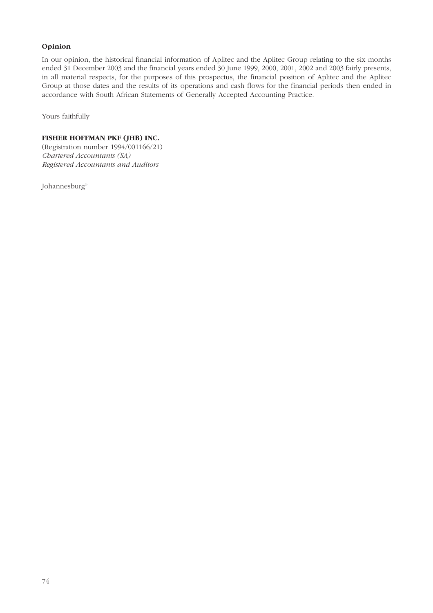## **Opinion**

In our opinion, the historical financial information of Aplitec and the Aplitec Group relating to the six months ended 31 December 2003 and the financial years ended 30 June 1999, 2000, 2001, 2002 and 2003 fairly presents, in all material respects, for the purposes of this prospectus, the financial position of Aplitec and the Aplitec Group at those dates and the results of its operations and cash flows for the financial periods then ended in accordance with South African Statements of Generally Accepted Accounting Practice.

Yours faithfully

## **FISHER HOFFMAN PKF (JHB) INC.**

(Registration number 1994/001166/21) *Chartered Accountants (SA) Registered Accountants and Auditors*

Johannesburg"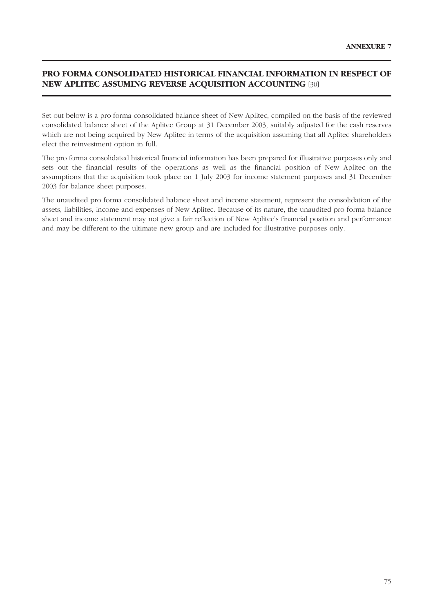# **PRO FORMA CONSOLIDATED HISTORICAL FINANCIAL INFORMATION IN RESPECT OF NEW APLITEC ASSUMING REVERSE ACQUISITION ACCOUNTING** [30]

Set out below is a pro forma consolidated balance sheet of New Aplitec, compiled on the basis of the reviewed consolidated balance sheet of the Aplitec Group at 31 December 2003, suitably adjusted for the cash reserves which are not being acquired by New Aplitec in terms of the acquisition assuming that all Aplitec shareholders elect the reinvestment option in full.

The pro forma consolidated historical financial information has been prepared for illustrative purposes only and sets out the financial results of the operations as well as the financial position of New Aplitec on the assumptions that the acquisition took place on 1 July 2003 for income statement purposes and 31 December 2003 for balance sheet purposes.

The unaudited pro forma consolidated balance sheet and income statement, represent the consolidation of the assets, liabilities, income and expenses of New Aplitec. Because of its nature, the unaudited pro forma balance sheet and income statement may not give a fair reflection of New Aplitec's financial position and performance and may be different to the ultimate new group and are included for illustrative purposes only.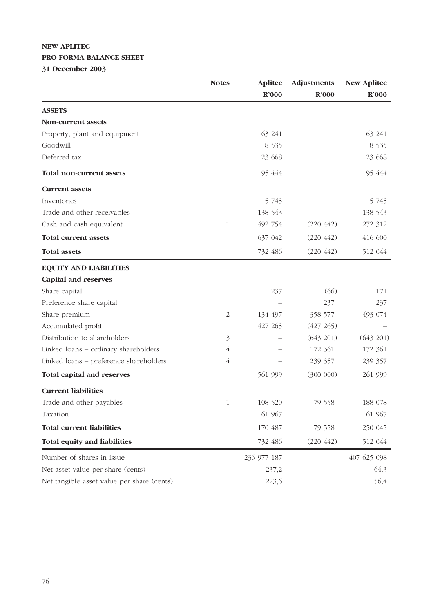# **NEW APLITEC PRO FORMA BALANCE SHEET**

**31 December 2003**

|                                            | <b>Notes</b>   | <b>Aplitec</b> | <b>Adjustments</b> | <b>New Aplitec</b> |
|--------------------------------------------|----------------|----------------|--------------------|--------------------|
|                                            |                | R'000          | R'000              | $\mathbf{R}^2000$  |
| <b>ASSETS</b>                              |                |                |                    |                    |
| <b>Non-current assets</b>                  |                |                |                    |                    |
| Property, plant and equipment              |                | 63 241         |                    | 63 241             |
| Goodwill                                   |                | 8 5 3 5        |                    | 8 5 3 5            |
| Deferred tax                               |                | 23 668         |                    | 23 668             |
| <b>Total non-current assets</b>            |                | 95 444         |                    | 95 444             |
| <b>Current assets</b>                      |                |                |                    |                    |
| Inventories                                |                | 5 7 4 5        |                    | 5 745              |
| Trade and other receivables                |                | 138 543        |                    | 138 543            |
| Cash and cash equivalent                   | 1              | 492 754        | (220 442)          | 272 312            |
| <b>Total current assets</b>                |                | 637 042        | (220 442)          | 416 600            |
| <b>Total assets</b>                        |                | 732 486        | (220 442)          | 512 044            |
| <b>EQUITY AND LIABILITIES</b>              |                |                |                    |                    |
| <b>Capital and reserves</b>                |                |                |                    |                    |
| Share capital                              |                | 237            | (66)               | 171                |
| Preference share capital                   |                |                | 237                | 237                |
| Share premium                              | 2              | 134 497        | 358 577            | 493 074            |
| Accumulated profit                         |                | 427 265        | (427 265)          |                    |
| Distribution to shareholders               | 3              |                | (643 201)          | (643 201)          |
| Linked loans - ordinary shareholders       | 4              |                | 172 361            | 172 361            |
| Linked loans - preference shareholders     | $\overline{4}$ |                | 239 357            | 239 357            |
| <b>Total capital and reserves</b>          |                | 561 999        | (300 000)          | 261 999            |
| <b>Current liabilities</b>                 |                |                |                    |                    |
| Trade and other payables                   |                | 108 520        | 79 558             | 188 078            |
| Taxation                                   |                | 61 967         |                    | 61 967             |
| <b>Total current liabilities</b>           |                | 170 487        | 79 558             | 250 045            |
| Total equity and liabilities               |                | 732 486        | (220 442)          | 512 044            |
| Number of shares in issue                  |                | 236 977 187    |                    | 407 625 098        |
| Net asset value per share (cents)          |                | 237,2          |                    | 64,3               |
| Net tangible asset value per share (cents) |                | 223,6          |                    | 56,4               |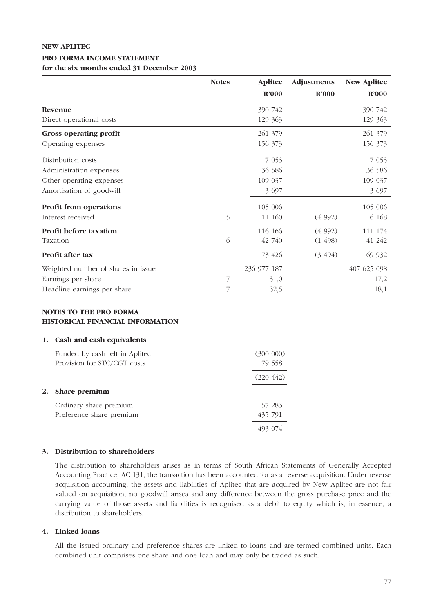## **NEW APLITEC**

#### **PRO FORMA INCOME STATEMENT**

#### **for the six months ended 31 December 2003**

|                                    | <b>Notes</b> | <b>Aplitec</b> | Adjustments       | <b>New Aplitec</b> |
|------------------------------------|--------------|----------------|-------------------|--------------------|
|                                    |              | R'000          | $\mathbb{R}^2000$ | $\mathbf{R}^2000$  |
| Revenue                            |              | 390 742        |                   | 390 742            |
| Direct operational costs           |              | 129 363        |                   | 129 363            |
| <b>Gross operating profit</b>      |              | 261 379        |                   | 261 379            |
| Operating expenses                 |              | 156 373        |                   | 156 373            |
| Distribution costs                 |              | 7 0 5 3        |                   | 7 0 5 3            |
| Administration expenses            |              | 36 586         |                   | 36 586             |
| Other operating expenses           |              | 109 037        |                   | 109 037            |
| Amortisation of goodwill           |              | 3 6 9 7        |                   | 3 697              |
| <b>Profit from operations</b>      |              | 105 006        |                   | 105 006            |
| Interest received                  | 5            | 11 160         | (4992)            | 6 1 6 8            |
| <b>Profit before taxation</b>      |              | 116 166        | (4992)            | 111 174            |
| Taxation                           | 6            | 42 740         | (1498)            | 41 242             |
| Profit after tax                   |              | 73 426         | (3, 494)          | 69 932             |
| Weighted number of shares in issue |              | 236 977 187    |                   | 407 625 098        |
| Earnings per share                 |              | 31,0           |                   | 17,2               |
| Headline earnings per share        |              | 32,5           |                   | 18,1               |

## **NOTES TO THE PRO FORMA HISTORICAL FINANCIAL INFORMATION**

#### **1. Cash and cash equivalents**

| Funded by cash left in Aplitec<br>Provision for STC/CGT costs | (300 000)<br>79 558 |
|---------------------------------------------------------------|---------------------|
|                                                               | (220, 442)          |
| 2. Share premium                                              |                     |
| Ordinary share premium<br>Preference share premium            | 57 283<br>435 791   |
|                                                               |                     |

#### **3. Distribution to shareholders**

The distribution to shareholders arises as in terms of South African Statements of Generally Accepted Accounting Practice, AC 131, the transaction has been accounted for as a reverse acquisition. Under reverse acquisition accounting, the assets and liabilities of Aplitec that are acquired by New Aplitec are not fair valued on acquisition, no goodwill arises and any difference between the gross purchase price and the carrying value of those assets and liabilities is recognised as a debit to equity which is, in essence, a distribution to shareholders.

## **4. Linked loans**

All the issued ordinary and preference shares are linked to loans and are termed combined units. Each combined unit comprises one share and one loan and may only be traded as such.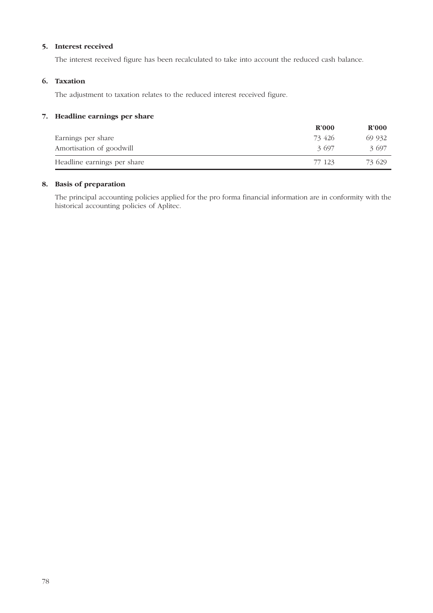## **5. Interest received**

The interest received figure has been recalculated to take into account the reduced cash balance.

## **6. Taxation**

The adjustment to taxation relates to the reduced interest received figure.

## **7. Headline earnings per share**

|                             | $\mathbf{R}^2$ 000 | $\mathbf{R}^2000$ |
|-----------------------------|--------------------|-------------------|
| Earnings per share          | 73 426             | 69 932            |
| Amortisation of goodwill    | 3 697              | 3.697             |
| Headline earnings per share | 77 123             | 73 629            |

## **8. Basis of preparation**

The principal accounting policies applied for the pro forma financial information are in conformity with the historical accounting policies of Aplitec.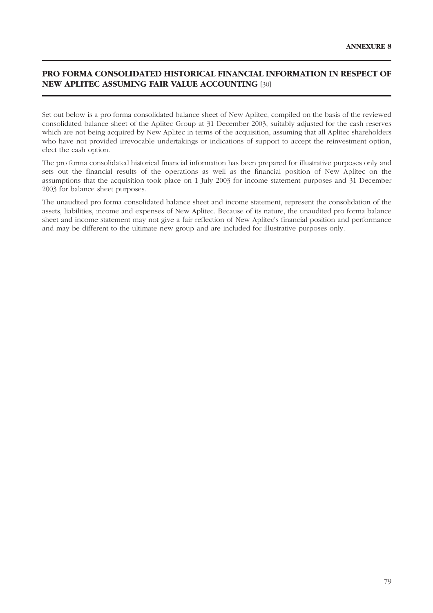# **PRO FORMA CONSOLIDATED HISTORICAL FINANCIAL INFORMATION IN RESPECT OF NEW APLITEC ASSUMING FAIR VALUE ACCOUNTING** [30]

Set out below is a pro forma consolidated balance sheet of New Aplitec, compiled on the basis of the reviewed consolidated balance sheet of the Aplitec Group at 31 December 2003, suitably adjusted for the cash reserves which are not being acquired by New Aplitec in terms of the acquisition, assuming that all Aplitec shareholders who have not provided irrevocable undertakings or indications of support to accept the reinvestment option, elect the cash option.

The pro forma consolidated historical financial information has been prepared for illustrative purposes only and sets out the financial results of the operations as well as the financial position of New Aplitec on the assumptions that the acquisition took place on 1 July 2003 for income statement purposes and 31 December 2003 for balance sheet purposes.

The unaudited pro forma consolidated balance sheet and income statement, represent the consolidation of the assets, liabilities, income and expenses of New Aplitec. Because of its nature, the unaudited pro forma balance sheet and income statement may not give a fair reflection of New Aplitec's financial position and performance and may be different to the ultimate new group and are included for illustrative purposes only.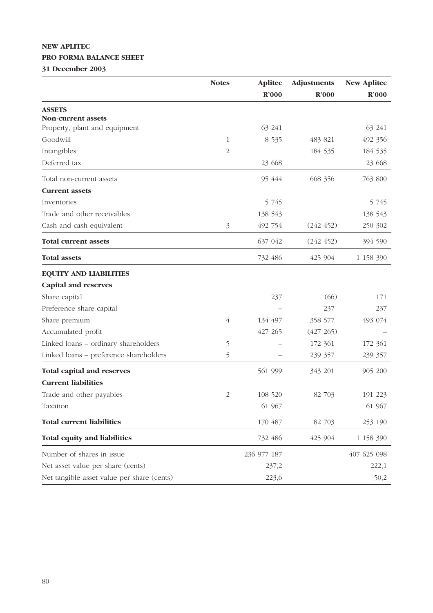# **NEW APLITEC PRO FORMA BALANCE SHEET**

**31 December 2003**

|                                            | <b>Notes</b>   | <b>Aplitec</b> | <b>Adjustments</b> | <b>New Aplitec</b> |
|--------------------------------------------|----------------|----------------|--------------------|--------------------|
|                                            |                | R'000          | R'000              | $\mathbf{R}^2000$  |
| <b>ASSETS</b>                              |                |                |                    |                    |
| <b>Non-current assets</b>                  |                |                |                    |                    |
| Property, plant and equipment              |                | 63 241         |                    | 63 241             |
| Goodwill                                   | 1              | 8 5 3 5        | 483 821            | 492 356            |
| Intangibles                                | 2              |                | 184 535            | 184 535            |
| Deferred tax                               |                | 23 668         |                    | 23 668             |
| Total non-current assets                   |                | 95 444         | 668 356            | 763 800            |
| <b>Current assets</b>                      |                |                |                    |                    |
| Inventories                                |                | 5 7 4 5        |                    | 5 7 4 5            |
| Trade and other receivables                |                | 138 543        |                    | 138 543            |
| Cash and cash equivalent                   | 3              | 492 754        | (242 452)          | 250 302            |
| <b>Total current assets</b>                |                | 637 042        | (242 452)          | 394 590            |
| <b>Total assets</b>                        |                | 732 486        | 425 904            | 1 158 390          |
| <b>EQUITY AND LIABILITIES</b>              |                |                |                    |                    |
| <b>Capital and reserves</b>                |                |                |                    |                    |
| Share capital                              |                | 237            | (66)               | 171                |
| Preference share capital                   |                |                | 237                | 237                |
| Share premium                              | $\overline{4}$ | 134 497        | 358 577            | 493 074            |
| Accumulated profit                         |                | 427 265        | (427 265)          |                    |
| Linked loans - ordinary shareholders       | 5              |                | 172 361            | 172 361            |
| Linked loans - preference shareholders     | 5              |                | 239 357            | 239 357            |
| <b>Total capital and reserves</b>          |                | 561 999        | 343 201            | 905 200            |
| <b>Current liabilities</b>                 |                |                |                    |                    |
| Trade and other payables                   | $\overline{2}$ | 108 520        | 82 703             | 191 223            |
| Taxation                                   |                | 61 967         |                    | 61 967             |
| <b>Total current liabilities</b>           |                | 170 487        | 82 703             | 253 190            |
| <b>Total equity and liabilities</b>        |                | 732 486        | 425 904            | 1 158 390          |
| Number of shares in issue                  |                | 236 977 187    |                    | 407 625 098        |
| Net asset value per share (cents)          |                | 237,2          |                    | 222,1              |
| Net tangible asset value per share (cents) |                | 223,6          |                    | 50,2               |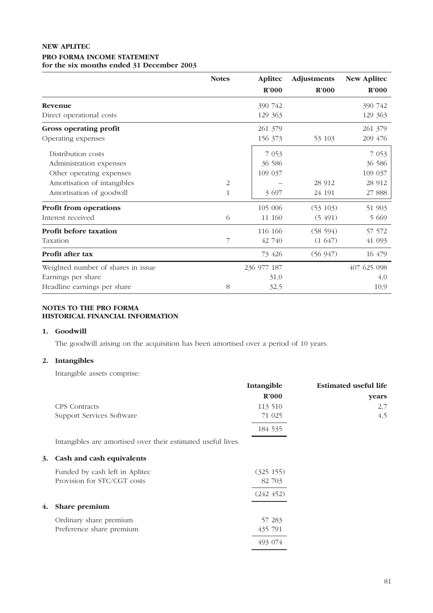## **NEW APLITEC PRO FORMA INCOME STATEMENT for the six months ended 31 December 2003**

|                                    | <b>Notes</b> | <b>Aplitec</b> | Adjustments       | <b>New Aplitec</b> |
|------------------------------------|--------------|----------------|-------------------|--------------------|
|                                    |              | R'000          | $\mathbf{R}^2000$ | $\mathbf{R}^2000$  |
| Revenue                            |              | 390 742        |                   | 390 742            |
| Direct operational costs           |              | 129 363        |                   | 129 363            |
| Gross operating profit             |              | 261 379        |                   | 261 379            |
| Operating expenses                 |              | 156 373        | 53 103            | 209 476            |
| Distribution costs                 |              | 7 0 5 3        |                   | 7 0 5 3            |
| Administration expenses            |              | 36 586         |                   | 36 586             |
| Other operating expenses           |              | 109 037        |                   | 109 037            |
| Amortisation of intangibles        | 2            |                | 28 912            | 28 912             |
| Amortisation of goodwill           | 1            | 3 697          | 24 191            | 27 888             |
| <b>Profit from operations</b>      |              | 105 006        | (53 103)          | 51 903             |
| Interest received                  | 6            | 11 160         | (5, 491)          | 5 6 6 9            |
| Profit before taxation             |              | 116 166        | (58 594)          | 57 572             |
| Taxation                           | 7            | 42 740         | (1647)            | 41 093             |
| Profit after tax                   |              | 73 426         | (56947)           | 16 479             |
| Weighted number of shares in issue |              | 236 977 187    |                   | 407 625 098        |
| Earnings per share                 |              | 31,0           |                   | 4,0                |
| Headline earnings per share        | 8            | 32,5           |                   | 10,9               |

### **NOTES TO THE PRO FORMA HISTORICAL FINANCIAL INFORMATION**

#### **1. Goodwill**

The goodwill arising on the acquisition has been amortised over a period of 10 years.

## **2. Intangibles**

Intangible assets comprise:

|    |                                                              | Intangible | <b>Estimated useful life</b> |
|----|--------------------------------------------------------------|------------|------------------------------|
|    |                                                              | R'000      | years                        |
|    | CPS Contracts                                                | 113 510    | 2,7                          |
|    | Support Services Software                                    | 71 025     | 4,5                          |
|    |                                                              | 184 535    |                              |
|    | Intangibles are amortised over their estimated useful lives. |            |                              |
| 3. | Cash and cash equivalents                                    |            |                              |
|    | Funded by cash left in Aplitec                               | (325 155)  |                              |
|    | Provision for STC/CGT costs                                  | 82 703     |                              |
|    |                                                              | (242 452)  |                              |
| 4. | Share premium                                                |            |                              |
|    | Ordinary share premium                                       | 57 283     |                              |
|    | Preference share premium                                     | 435 791    |                              |
|    |                                                              | 493 074    |                              |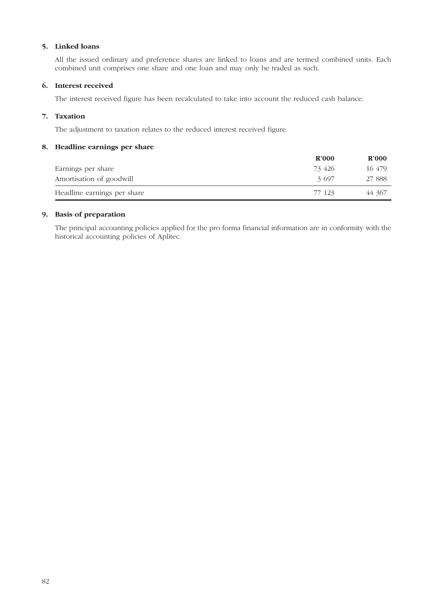## **5. Linked loans**

All the issued ordinary and preference shares are linked to loans and are termed combined units. Each combined unit comprises one share and one loan and may only be traded as such.

## **6. Interest received**

The interest received figure has been recalculated to take into account the reduced cash balance.

## **7. Taxation**

The adjustment to taxation relates to the reduced interest received figure.

#### **8. Headline earnings per share**

|                             | $\mathbf{R}^2$ 000 | $\mathbf{R}^2000$ |
|-----------------------------|--------------------|-------------------|
| Earnings per share          | 73 426             | 16 479            |
| Amortisation of goodwill    | 3.697              | 27 888            |
| Headline earnings per share | 77 123             | 44 367            |

#### **9. Basis of preparation**

The principal accounting policies applied for the pro forma financial information are in conformity with the historical accounting policies of Aplitec.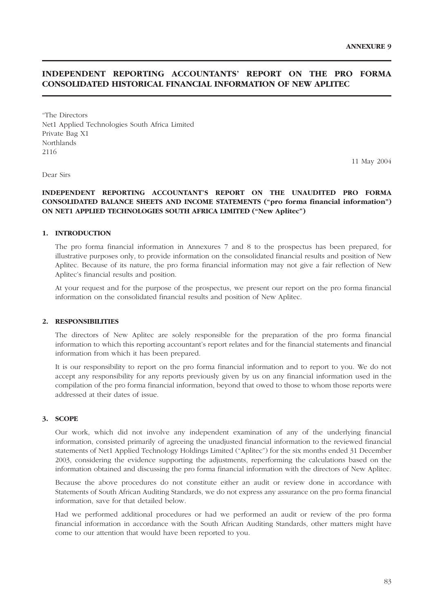# **INDEPENDENT REPORTING ACCOUNTANTS' REPORT ON THE PRO FORMA CONSOLIDATED HISTORICAL FINANCIAL INFORMATION OF NEW APLITEC**

"The Directors Net1 Applied Technologies South Africa Limited Private Bag X1 Northlands 2116

11 May 2004

Dear Sirs

#### **INDEPENDENT REPORTING ACCOUNTANT'S REPORT ON THE UNAUDITED PRO FORMA CONSOLIDATED BALANCE SHEETS AND INCOME STATEMENTS ("pro forma financial information") ON NET1 APPLIED TECHNOLOGIES SOUTH AFRICA LIMITED ("New Aplitec")**

#### **1. INTRODUCTION**

The pro forma financial information in Annexures 7 and 8 to the prospectus has been prepared, for illustrative purposes only, to provide information on the consolidated financial results and position of New Aplitec. Because of its nature, the pro forma financial information may not give a fair reflection of New Aplitec's financial results and position.

At your request and for the purpose of the prospectus, we present our report on the pro forma financial information on the consolidated financial results and position of New Aplitec.

#### **2. RESPONSIBILITIES**

The directors of New Aplitec are solely responsible for the preparation of the pro forma financial information to which this reporting accountant's report relates and for the financial statements and financial information from which it has been prepared.

It is our responsibility to report on the pro forma financial information and to report to you. We do not accept any responsibility for any reports previously given by us on any financial information used in the compilation of the pro forma financial information, beyond that owed to those to whom those reports were addressed at their dates of issue.

#### **3. SCOPE**

Our work, which did not involve any independent examination of any of the underlying financial information, consisted primarily of agreeing the unadjusted financial information to the reviewed financial statements of Net1 Applied Technology Holdings Limited ("Aplitec") for the six months ended 31 December 2003, considering the evidence supporting the adjustments, reperforming the calculations based on the information obtained and discussing the pro forma financial information with the directors of New Aplitec.

Because the above procedures do not constitute either an audit or review done in accordance with Statements of South African Auditing Standards, we do not express any assurance on the pro forma financial information, save for that detailed below.

Had we performed additional procedures or had we performed an audit or review of the pro forma financial information in accordance with the South African Auditing Standards, other matters might have come to our attention that would have been reported to you.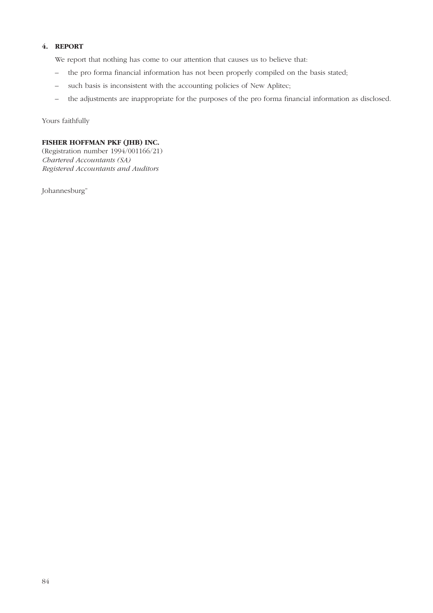# **4. REPORT**

We report that nothing has come to our attention that causes us to believe that:

- the pro forma financial information has not been properly compiled on the basis stated;
- such basis is inconsistent with the accounting policies of New Aplitec;
- the adjustments are inappropriate for the purposes of the pro forma financial information as disclosed.

Yours faithfully

### **FISHER HOFFMAN PKF (JHB) INC.**

(Registration number 1994/001166/21) *Chartered Accountants (SA) Registered Accountants and Auditors*

Johannesburg"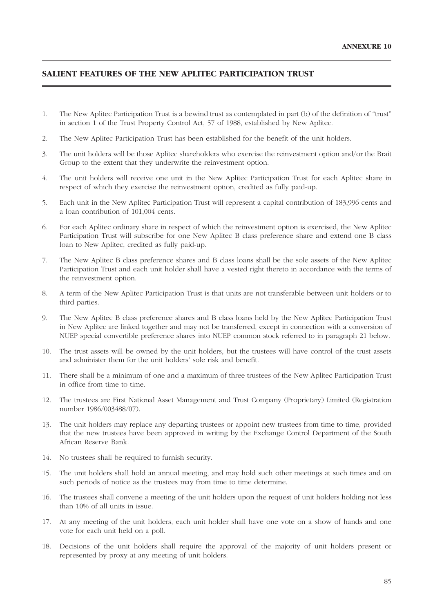# **SALIENT FEATURES OF THE NEW APLITEC PARTICIPATION TRUST**

- 1. The New Aplitec Participation Trust is a bewind trust as contemplated in part (b) of the definition of "trust" in section 1 of the Trust Property Control Act, 57 of 1988, established by New Aplitec.
- 2. The New Aplitec Participation Trust has been established for the benefit of the unit holders.
- 3. The unit holders will be those Aplitec shareholders who exercise the reinvestment option and/or the Brait Group to the extent that they underwrite the reinvestment option.
- 4. The unit holders will receive one unit in the New Aplitec Participation Trust for each Aplitec share in respect of which they exercise the reinvestment option, credited as fully paid-up.
- 5. Each unit in the New Aplitec Participation Trust will represent a capital contribution of 183,996 cents and a loan contribution of 101,004 cents.
- 6. For each Aplitec ordinary share in respect of which the reinvestment option is exercised, the New Aplitec Participation Trust will subscribe for one New Aplitec B class preference share and extend one B class loan to New Aplitec, credited as fully paid-up.
- 7. The New Aplitec B class preference shares and B class loans shall be the sole assets of the New Aplitec Participation Trust and each unit holder shall have a vested right thereto in accordance with the terms of the reinvestment option.
- 8. A term of the New Aplitec Participation Trust is that units are not transferable between unit holders or to third parties.
- 9. The New Aplitec B class preference shares and B class loans held by the New Aplitec Participation Trust in New Aplitec are linked together and may not be transferred, except in connection with a conversion of NUEP special convertible preference shares into NUEP common stock referred to in paragraph 21 below.
- 10. The trust assets will be owned by the unit holders, but the trustees will have control of the trust assets and administer them for the unit holders' sole risk and benefit.
- 11. There shall be a minimum of one and a maximum of three trustees of the New Aplitec Participation Trust in office from time to time.
- 12. The trustees are First National Asset Management and Trust Company (Proprietary) Limited (Registration number 1986/003488/07).
- 13. The unit holders may replace any departing trustees or appoint new trustees from time to time, provided that the new trustees have been approved in writing by the Exchange Control Department of the South African Reserve Bank.
- 14. No trustees shall be required to furnish security.
- 15. The unit holders shall hold an annual meeting, and may hold such other meetings at such times and on such periods of notice as the trustees may from time to time determine.
- 16. The trustees shall convene a meeting of the unit holders upon the request of unit holders holding not less than 10% of all units in issue.
- 17. At any meeting of the unit holders, each unit holder shall have one vote on a show of hands and one vote for each unit held on a poll.
- 18. Decisions of the unit holders shall require the approval of the majority of unit holders present or represented by proxy at any meeting of unit holders.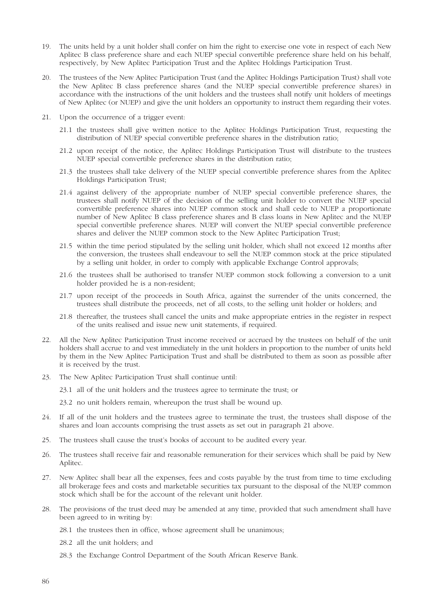- 19. The units held by a unit holder shall confer on him the right to exercise one vote in respect of each New Aplitec B class preference share and each NUEP special convertible preference share held on his behalf, respectively, by New Aplitec Participation Trust and the Aplitec Holdings Participation Trust.
- 20. The trustees of the New Aplitec Participation Trust (and the Aplitec Holdings Participation Trust) shall vote the New Aplitec B class preference shares (and the NUEP special convertible preference shares) in accordance with the instructions of the unit holders and the trustees shall notify unit holders of meetings of New Aplitec (or NUEP) and give the unit holders an opportunity to instruct them regarding their votes.
- 21. Upon the occurrence of a trigger event:
	- 21.1 the trustees shall give written notice to the Aplitec Holdings Participation Trust, requesting the distribution of NUEP special convertible preference shares in the distribution ratio;
	- 21.2 upon receipt of the notice, the Aplitec Holdings Participation Trust will distribute to the trustees NUEP special convertible preference shares in the distribution ratio;
	- 21.3 the trustees shall take delivery of the NUEP special convertible preference shares from the Aplitec Holdings Participation Trust;
	- 21.4 against delivery of the appropriate number of NUEP special convertible preference shares, the trustees shall notify NUEP of the decision of the selling unit holder to convert the NUEP special convertible preference shares into NUEP common stock and shall cede to NUEP a proportionate number of New Aplitec B class preference shares and B class loans in New Aplitec and the NUEP special convertible preference shares. NUEP will convert the NUEP special convertible preference shares and deliver the NUEP common stock to the New Aplitec Participation Trust;
	- 21.5 within the time period stipulated by the selling unit holder, which shall not exceed 12 months after the conversion, the trustees shall endeavour to sell the NUEP common stock at the price stipulated by a selling unit holder, in order to comply with applicable Exchange Control approvals;
	- 21.6 the trustees shall be authorised to transfer NUEP common stock following a conversion to a unit holder provided he is a non-resident;
	- 21.7 upon receipt of the proceeds in South Africa, against the surrender of the units concerned, the trustees shall distribute the proceeds, net of all costs, to the selling unit holder or holders; and
	- 21.8 thereafter, the trustees shall cancel the units and make appropriate entries in the register in respect of the units realised and issue new unit statements, if required.
- 22. All the New Aplitec Participation Trust income received or accrued by the trustees on behalf of the unit holders shall accrue to and vest immediately in the unit holders in proportion to the number of units held by them in the New Aplitec Participation Trust and shall be distributed to them as soon as possible after it is received by the trust.
- 23. The New Aplitec Participation Trust shall continue until:
	- 23.1 all of the unit holders and the trustees agree to terminate the trust; or
	- 23.2 no unit holders remain, whereupon the trust shall be wound up.
- 24. If all of the unit holders and the trustees agree to terminate the trust, the trustees shall dispose of the shares and loan accounts comprising the trust assets as set out in paragraph 21 above.
- 25. The trustees shall cause the trust's books of account to be audited every year.
- 26. The trustees shall receive fair and reasonable remuneration for their services which shall be paid by New Aplitec.
- 27. New Aplitec shall bear all the expenses, fees and costs payable by the trust from time to time excluding all brokerage fees and costs and marketable securities tax pursuant to the disposal of the NUEP common stock which shall be for the account of the relevant unit holder.
- 28. The provisions of the trust deed may be amended at any time, provided that such amendment shall have been agreed to in writing by:
	- 28.1 the trustees then in office, whose agreement shall be unanimous;
	- 28.2 all the unit holders; and
	- 28.3 the Exchange Control Department of the South African Reserve Bank.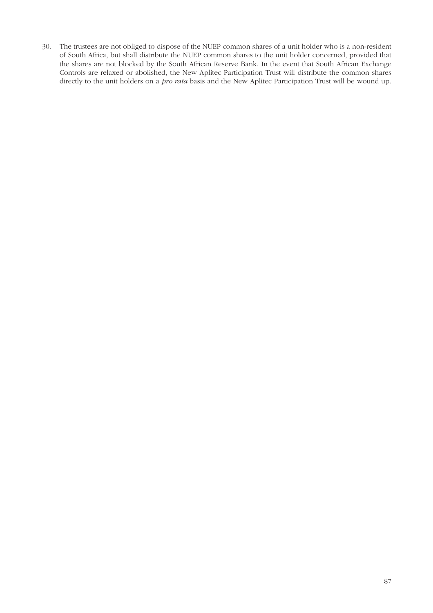30. The trustees are not obliged to dispose of the NUEP common shares of a unit holder who is a non-resident of South Africa, but shall distribute the NUEP common shares to the unit holder concerned, provided that the shares are not blocked by the South African Reserve Bank. In the event that South African Exchange Controls are relaxed or abolished, the New Aplitec Participation Trust will distribute the common shares directly to the unit holders on a *pro rata* basis and the New Aplitec Participation Trust will be wound up.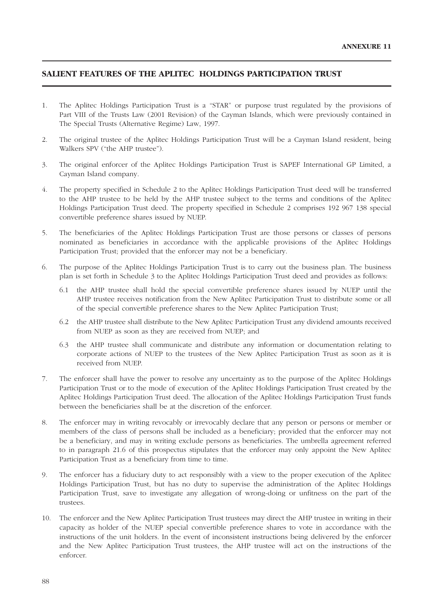# **SALIENT FEATURES OF THE APLITEC HOLDINGS PARTICIPATION TRUST**

- 1. The Aplitec Holdings Participation Trust is a "STAR" or purpose trust regulated by the provisions of Part VIII of the Trusts Law (2001 Revision) of the Cayman Islands, which were previously contained in The Special Trusts (Alternative Regime) Law, 1997.
- 2. The original trustee of the Aplitec Holdings Participation Trust will be a Cayman Island resident, being Walkers SPV ("the AHP trustee").
- 3. The original enforcer of the Aplitec Holdings Participation Trust is SAPEF International GP Limited, a Cayman Island company.
- 4. The property specified in Schedule 2 to the Aplitec Holdings Participation Trust deed will be transferred to the AHP trustee to be held by the AHP trustee subject to the terms and conditions of the Aplitec Holdings Participation Trust deed. The property specified in Schedule 2 comprises 192 967 138 special convertible preference shares issued by NUEP.
- 5. The beneficiaries of the Aplitec Holdings Participation Trust are those persons or classes of persons nominated as beneficiaries in accordance with the applicable provisions of the Aplitec Holdings Participation Trust; provided that the enforcer may not be a beneficiary.
- 6. The purpose of the Aplitec Holdings Participation Trust is to carry out the business plan. The business plan is set forth in Schedule 3 to the Aplitec Holdings Participation Trust deed and provides as follows:
	- 6.1 the AHP trustee shall hold the special convertible preference shares issued by NUEP until the AHP trustee receives notification from the New Aplitec Participation Trust to distribute some or all of the special convertible preference shares to the New Aplitec Participation Trust;
	- 6.2 the AHP trustee shall distribute to the New Aplitec Participation Trust any dividend amounts received from NUEP as soon as they are received from NUEP; and
	- 6.3 the AHP trustee shall communicate and distribute any information or documentation relating to corporate actions of NUEP to the trustees of the New Aplitec Participation Trust as soon as it is received from NUEP.
- 7. The enforcer shall have the power to resolve any uncertainty as to the purpose of the Aplitec Holdings Participation Trust or to the mode of execution of the Aplitec Holdings Participation Trust created by the Aplitec Holdings Participation Trust deed. The allocation of the Aplitec Holdings Participation Trust funds between the beneficiaries shall be at the discretion of the enforcer.
- 8. The enforcer may in writing revocably or irrevocably declare that any person or persons or member or members of the class of persons shall be included as a beneficiary; provided that the enforcer may not be a beneficiary, and may in writing exclude persons as beneficiaries. The umbrella agreement referred to in paragraph 21.6 of this prospectus stipulates that the enforcer may only appoint the New Aplitec Participation Trust as a beneficiary from time to time.
- 9. The enforcer has a fiduciary duty to act responsibly with a view to the proper execution of the Aplitec Holdings Participation Trust, but has no duty to supervise the administration of the Aplitec Holdings Participation Trust, save to investigate any allegation of wrong-doing or unfitness on the part of the trustees.
- 10. The enforcer and the New Aplitec Participation Trust trustees may direct the AHP trustee in writing in their capacity as holder of the NUEP special convertible preference shares to vote in accordance with the instructions of the unit holders. In the event of inconsistent instructions being delivered by the enforcer and the New Aplitec Participation Trust trustees, the AHP trustee will act on the instructions of the enforcer.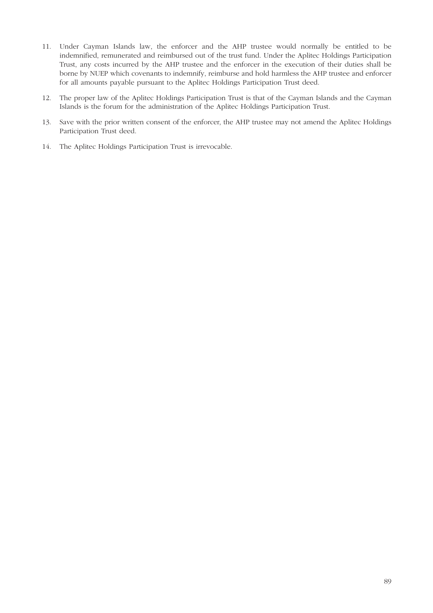- 11. Under Cayman Islands law, the enforcer and the AHP trustee would normally be entitled to be indemnified, remunerated and reimbursed out of the trust fund. Under the Aplitec Holdings Participation Trust, any costs incurred by the AHP trustee and the enforcer in the execution of their duties shall be borne by NUEP which covenants to indemnify, reimburse and hold harmless the AHP trustee and enforcer for all amounts payable pursuant to the Aplitec Holdings Participation Trust deed.
- 12. The proper law of the Aplitec Holdings Participation Trust is that of the Cayman Islands and the Cayman Islands is the forum for the administration of the Aplitec Holdings Participation Trust.
- 13. Save with the prior written consent of the enforcer, the AHP trustee may not amend the Aplitec Holdings Participation Trust deed.
- 14. The Aplitec Holdings Participation Trust is irrevocable.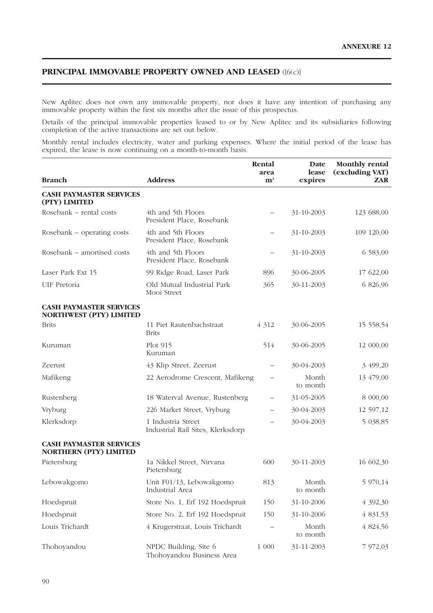# **PRINCIPAL IMMOVABLE PROPERTY OWNED AND LEASED** ([6(c)]

New Aplitec does not own any immovable property, nor does it have any intention of purchasing any immovable property within the first six months after the issue of this prospectus.

Details of the principal immovable properties leased to or by New Aplitec and its subsidiaries following completion of the active transactions are set out below.

Monthly rental includes electricity, water and parking expenses. Where the initial period of the lease has expired, the lease is now continuing on a month-to-month basis.

| <b>Branch</b>                                                    | <b>Address</b>                                          | Rental<br>area<br>${\bf m}^2$ | Date<br>lease<br>expires | <b>Monthly rental</b><br>(excluding VAT)<br><b>ZAR</b> |
|------------------------------------------------------------------|---------------------------------------------------------|-------------------------------|--------------------------|--------------------------------------------------------|
|                                                                  |                                                         |                               |                          |                                                        |
| <b>CASH PAYMASTER SERVICES</b><br>(PTY) LIMITED                  |                                                         |                               |                          |                                                        |
| Rosebank - rental costs                                          | 4th and 5th Floors<br>President Place, Rosebank         | $\overline{\phantom{0}}$      | 31-10-2003               | 123 688,00                                             |
| Rosebank – operating costs                                       | 4th and 5th Floors<br>President Place, Rosebank         | $\overline{\phantom{0}}$      | 31-10-2003               | 109 120,00                                             |
| Rosebank – amortised costs                                       | 4th and 5th Floors<br>President Place, Rosebank         | —                             | 31-10-2003               | 6 583,00                                               |
| Laser Park Ext 15                                                | 99 Ridge Road, Laser Park                               | 896                           | 30-06-2005               | 17 622,00                                              |
| UIF Pretoria                                                     | Old Mutual Industrial Park<br>Mooi Street               | 365                           | 30-11-2003               | 6 826,96                                               |
| <b>CASH PAYMASTER SERVICES</b><br><b>NORTHWEST (PTY) LIMITED</b> |                                                         |                               |                          |                                                        |
| <b>Brits</b>                                                     | 11 Piet Rautenbachstraat<br><b>Brits</b>                | 4 3 1 2                       | 30-06-2005               | 15 558,54                                              |
| Kuruman                                                          | Plot 915<br>Kuruman                                     | 514                           | 30-06-2005               | 12 000,00                                              |
| Zeerust                                                          | 43 Klip Street, Zeerust                                 | —                             | 30-04-2003               | 3 499,20                                               |
| Mafikeng                                                         | 22 Aerodrome Crescent, Mafikeng                         | —                             | Month<br>to month        | 13 479,00                                              |
| Rustenberg                                                       | 18 Waterval Avenue, Rustenberg                          | $\overline{\phantom{0}}$      | 31-05-2005               | 8 000,00                                               |
| Vryburg                                                          | 226 Market Street, Vryburg                              | —                             | 30-04-2003               | 12 597,12                                              |
| Klerksdorp                                                       | 1 Industria Street<br>Industrial Rail Sites, Klerksdorp | $\overline{\phantom{0}}$      | 30-04-2003               | 5 038,85                                               |
| <b>CASH PAYMASTER SERVICES</b><br><b>NORTHERN (PTY) LIMITED</b>  |                                                         |                               |                          |                                                        |
| Pietersburg                                                      | 1a Nikkel Street, Nirvana<br>Pietersburg                | 600                           | 30-11-2003               | 16 602,30                                              |
| Lebowakgomo                                                      | Unit F01/13, Lebowakgomo<br>Industrial Area             | 813                           | Month<br>to month        | 5 970,14                                               |
| Hoedspruit                                                       | Store No. 1, Erf 192 Hoedspruit                         | 150                           | 31-10-2006               | 4 392,30                                               |
| Hoedspruit                                                       | Store No. 2, Erf 192 Hoedspruit                         | 150                           | 31-10-2006               | 4 831,53                                               |
| Louis Trichardt                                                  | 4 Krugerstraat, Louis Trichardt                         |                               | Month<br>to month        | 4 824,56                                               |
| Thohoyandou                                                      | NPDC Building, Site 6<br>Thohoyandou Business Area      | 1 000                         | 31-11-2003               | 7 972,03                                               |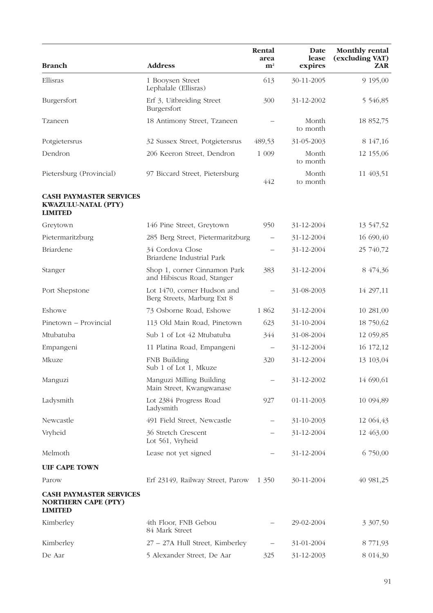| <b>Branch</b>                                                                  | <b>Address</b>                                             | Rental<br>area<br>$\mathbf{m}^{\scriptscriptstyle{2}}$ | Date<br>lease<br>expires | <b>Monthly rental</b><br>(excluding VAT)<br><b>ZAR</b> |
|--------------------------------------------------------------------------------|------------------------------------------------------------|--------------------------------------------------------|--------------------------|--------------------------------------------------------|
| Ellisras                                                                       | 1 Booysen Street<br>Lephalale (Ellisras)                   | 613                                                    | 30-11-2005               | 9 195,00                                               |
| Burgersfort                                                                    | Erf 3, Uitbreiding Street<br>Burgersfort                   | 300                                                    | 31-12-2002               | 5 546,85                                               |
| Tzaneen                                                                        | 18 Antimony Street, Tzaneen                                |                                                        | Month<br>to month        | 18 852,75                                              |
| Potgietersrus                                                                  | 32 Sussex Street, Potgietersrus                            | 489,53                                                 | 31-05-2003               | 8 147,16                                               |
| Dendron                                                                        | 206 Keeron Street, Dendron                                 | 1 0 0 9                                                | Month<br>to month        | 12 155,06                                              |
| Pietersburg (Provincial)                                                       | 97 Biccard Street, Pietersburg                             | 442                                                    | Month<br>to month        | 11 403,51                                              |
| <b>CASH PAYMASTER SERVICES</b><br><b>KWAZULU-NATAL (PTY)</b><br><b>LIMITED</b> |                                                            |                                                        |                          |                                                        |
| Greytown                                                                       | 146 Pine Street, Greytown                                  | 950                                                    | 31-12-2004               | 13 547,52                                              |
| Pietermaritzburg                                                               | 285 Berg Street, Pietermaritzburg                          | $\overline{\phantom{0}}$                               | 31-12-2004               | 16 690,40                                              |
| <b>Briardene</b>                                                               | 34 Cordova Close<br>Briardene Industrial Park              |                                                        | 31-12-2004               | 25 740,72                                              |
| Stanger                                                                        | Shop 1, corner Cinnamon Park<br>and Hibiscus Road, Stanger | 383                                                    | 31-12-2004               | 8 474,36                                               |
| Port Shepstone                                                                 | Lot 1470, corner Hudson and<br>Berg Streets, Marburg Ext 8 | $\qquad \qquad -$                                      | 31-08-2003               | 14 297,11                                              |
| Eshowe                                                                         | 73 Osborne Road, Eshowe                                    | 1 862                                                  | 31-12-2004               | 10 281,00                                              |
| Pinetown - Provincial                                                          | 113 Old Main Road, Pinetown                                | 623                                                    | 31-10-2004               | 18 750,62                                              |
| Mtubatuba                                                                      | Sub 1 of Lot 42 Mtubatuba                                  | 344                                                    | 31-08-2004               | 12 059,85                                              |
| Empangeni                                                                      | 11 Platina Road, Empangeni                                 | $\overline{\phantom{m}}$                               | 31-12-2004               | 16 172,12                                              |
| Mkuze                                                                          | FNB Building<br>Sub 1 of Lot 1, Mkuze                      | 320                                                    | 31-12-2004               | 13 103,04                                              |
| Manguzi                                                                        | Manguzi Milling Building<br>Main Street, Kwangwanase       |                                                        | 31-12-2002               | 14 690,61                                              |
| Ladysmith                                                                      | Lot 2384 Progress Road<br>Ladysmith                        | 927                                                    | 01-11-2003               | 10 094,89                                              |
| Newcastle                                                                      | 491 Field Street, Newcastle                                | $\qquad \qquad -$                                      | 31-10-2003               | 12 064,43                                              |
| Vryheid                                                                        | 36 Stretch Crescent<br>Lot 561, Vryheid                    |                                                        | 31-12-2004               | 12 463,00                                              |
| Melmoth                                                                        | Lease not yet signed                                       | $\overline{\phantom{0}}$                               | 31-12-2004               | 6 750,00                                               |
| <b>UIF CAPE TOWN</b>                                                           |                                                            |                                                        |                          |                                                        |
| Parow                                                                          | Erf 23149, Railway Street, Parow                           | 1 350                                                  | 30-11-2004               | 40 981,25                                              |
| <b>CASH PAYMASTER SERVICES</b><br><b>NORTHERN CAPE (PTY)</b><br><b>LIMITED</b> |                                                            |                                                        |                          |                                                        |
| Kimberley                                                                      | 4th Floor, FNB Gebou<br>84 Mark Street                     |                                                        | 29-02-2004               | 3 307,50                                               |
| Kimberley                                                                      | 27 - 27A Hull Street, Kimberley                            | $\qquad \qquad -$                                      | 31-01-2004               | 8 771,93                                               |
| De Aar                                                                         | 5 Alexander Street, De Aar                                 | 325                                                    | 31-12-2003               | 8 014,30                                               |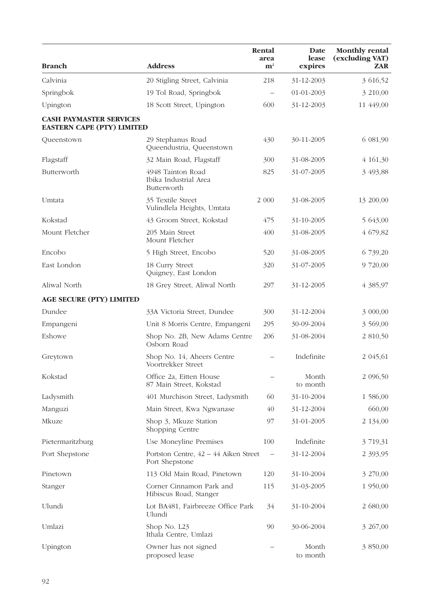| <b>Branch</b>                                                       | <b>Address</b>                                            | Rental<br>area<br>${\bf m}^2$   | Date<br>lease<br>expires | <b>Monthly rental</b><br>(excluding VAT)<br>ZAR. |
|---------------------------------------------------------------------|-----------------------------------------------------------|---------------------------------|--------------------------|--------------------------------------------------|
| Calvinia                                                            | 20 Stigling Street, Calvinia                              | 218                             | 31-12-2003               | 3 616,52                                         |
| Springbok                                                           | 19 Tol Road, Springbok                                    | $\overbrace{\phantom{1232211}}$ | 01-01-2003               | 3 210,00                                         |
| Upington                                                            | 18 Scott Street, Upington                                 | 600                             | 31-12-2003               | 11 449,00                                        |
| <b>CASH PAYMASTER SERVICES</b><br><b>EASTERN CAPE (PTY) LIMITED</b> |                                                           |                                 |                          |                                                  |
| Queenstown                                                          | 29 Stephanus Road<br>Queendustria, Queenstown             | 430                             | 30-11-2005               | 6 081,90                                         |
| Flagstaff                                                           | 32 Main Road, Flagstaff                                   | 300                             | 31-08-2005               | 4 161,30                                         |
| Butterworth                                                         | 4948 Tainton Road<br>Ibika Industrial Area<br>Butterworth | 825                             | 31-07-2005               | 3 493,88                                         |
| Umtata                                                              | 35 Textile Street<br>Vulindlela Heights, Umtata           | 2 000                           | 31-08-2005               | 13 200,00                                        |
| Kokstad                                                             | 43 Groom Street, Kokstad                                  | 475                             | 31-10-2005               | 5 643,00                                         |
| Mount Fletcher                                                      | 205 Main Street<br>Mount Fletcher                         | 400                             | 31-08-2005               | 4 679,82                                         |
| Encobo                                                              | 5 High Street, Encobo                                     | 520                             | 31-08-2005               | 6 739,20                                         |
| East London                                                         | 18 Curry Street<br>Quigney, East London                   | 320                             | 31-07-2005               | 9 720,00                                         |
| Aliwal North                                                        | 18 Grey Street, Aliwal North                              | 297                             | 31-12-2005               | 4 385,97                                         |
| <b>AGE SECURE (PTY) LIMITED</b>                                     |                                                           |                                 |                          |                                                  |
| Dundee                                                              | 33A Victoria Street, Dundee                               | 300                             | 31-12-2004               | 3 000,00                                         |
| Empangeni                                                           | Unit 8 Morris Centre, Empangeni                           | 295                             | 30-09-2004               | 3 569,00                                         |
| Eshowe                                                              | Shop No. 2B, New Adams Centre<br>Osborn Road              | 206                             | 31-08-2004               | 2 810,50                                         |
| Greytown                                                            | Shop No. 14, Aheers Centre<br>Voortrekker Street          |                                 | Indefinite               | 2 045,61                                         |
| Kokstad                                                             | Office 2a, Eitten House<br>87 Main Street, Kokstad        |                                 | Month<br>to month        | 2 096,50                                         |
| Ladysmith                                                           | 401 Murchison Street, Ladysmith                           | 60                              | 31-10-2004               | 1 586,00                                         |
| Manguzi                                                             | Main Street, Kwa Ngwanase                                 | 40                              | 31-12-2004               | 660,00                                           |
| Mkuze                                                               | Shop 3, Mkuze Station<br>Shopping Centre                  | 97                              | 31-01-2005               | 2 134,00                                         |
| Pietermaritzburg                                                    | Use Moneyline Premises                                    | 100                             | Indefinite               | 3 719,31                                         |
| Port Shepstone                                                      | Portston Centre, 42 – 44 Aiken Street<br>Port Shepstone   | $\qquad \qquad -$               | 31-12-2004               | 2 3 9 3 , 9 5                                    |
| Pinetown                                                            | 113 Old Main Road, Pinetown                               | 120                             | 31-10-2004               | 3 270,00                                         |
| Stanger                                                             | Corner Cinnamon Park and<br>Hibiscus Road, Stanger        | 115                             | 31-03-2005               | 1 950,00                                         |
| Ulundi                                                              | Lot BA481, Fairbreeze Office Park<br>Ulundi               | 34                              | 31-10-2004               | 2 680,00                                         |
| Umlazi                                                              | Shop No. L23<br>Ithala Centre, Umlazi                     | 90                              | 30-06-2004               | 3 267,00                                         |
| Upington                                                            | Owner has not signed<br>proposed lease                    |                                 | Month<br>to month        | 3 850,00                                         |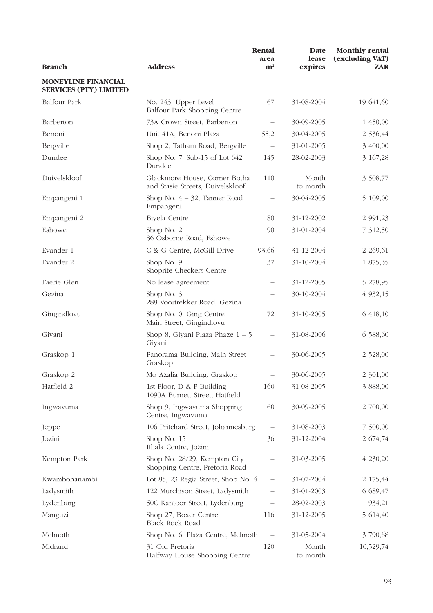| <b>Branch</b>                                               | <b>Address</b>                                                    | Rental<br>area<br>${\bf m}^2$ | Date<br>lease<br>expires | <b>Monthly rental</b><br>(excluding VAT)<br>ZAR |
|-------------------------------------------------------------|-------------------------------------------------------------------|-------------------------------|--------------------------|-------------------------------------------------|
|                                                             |                                                                   |                               |                          |                                                 |
| <b>MONEYLINE FINANCIAL</b><br><b>SERVICES (PTY) LIMITED</b> |                                                                   |                               |                          |                                                 |
| <b>Balfour Park</b>                                         | No. 243, Upper Level<br>Balfour Park Shopping Centre              | 67                            | 31-08-2004               | 19 641,60                                       |
| Barberton                                                   | 73A Crown Street, Barberton                                       |                               | 30-09-2005               | 1 450,00                                        |
| Benoni                                                      | Unit 41A, Benoni Plaza                                            | 55,2                          | 30-04-2005               | 2 536,44                                        |
| Bergville                                                   | Shop 2, Tatham Road, Bergville                                    | $\qquad \qquad -$             | 31-01-2005               | 3 400,00                                        |
| Dundee                                                      | Shop No. 7, Sub-15 of Lot $642$<br>Dundee                         | 145                           | 28-02-2003               | 3 167,28                                        |
| Duivelskloof                                                | Glackmore House, Corner Botha<br>and Stasie Streets, Duivelskloof | 110                           | Month<br>to month        | 3 508,77                                        |
| Empangeni 1                                                 | Shop No. $4 - 32$ , Tanner Road<br>Empangeni                      | $\qquad \qquad -$             | 30-04-2005               | 5 109,00                                        |
| Empangeni 2                                                 | Biyela Centre                                                     | 80                            | 31-12-2002               | 2 991,23                                        |
| Eshowe                                                      | Shop No. 2<br>36 Osborne Road, Eshowe                             | 90                            | 31-01-2004               | 7 312,50                                        |
| Evander 1                                                   | C & G Centre, McGill Drive                                        | 93,66                         | 31-12-2004               | 2 2 6 9 6 1                                     |
| Evander 2                                                   | Shop No. 9<br>Shoprite Checkers Centre                            | 37                            | 31-10-2004               | 1 875,35                                        |
| Faerie Glen                                                 | No lease agreement                                                | $\qquad \qquad -$             | 31-12-2005               | 5 278,95                                        |
| Gezina                                                      | Shop No. $3$<br>288 Voortrekker Road, Gezina                      |                               | 30-10-2004               | 4 9 32, 15                                      |
| Gingindlovu                                                 | Shop No. 0, Ging Centre<br>Main Street, Gingindlovu               | 72                            | 31-10-2005               | 6 418,10                                        |
| Giyani                                                      | Shop 8, Giyani Plaza Phaze $1 - 5$<br>Giyani                      | $\overline{\phantom{m}}$      | 31-08-2006               | 6 588,60                                        |
| Graskop 1                                                   | Panorama Building, Main Street<br>Graskop                         |                               | 30-06-2005               | 2 528,00                                        |
| Graskop 2                                                   | Mo Azalia Building, Graskop                                       |                               | 30-06-2005               | 2 301,00                                        |
| Hatfield 2                                                  | 1st Floor, D & F Building<br>1090A Burnett Street, Hatfield       | 160                           | 31-08-2005               | 3 888,00                                        |
| Ingwavuma                                                   | Shop 9, Ingwavuma Shopping<br>Centre, Ingwavuma                   | 60                            | 30-09-2005               | 2 700,00                                        |
| Jeppe                                                       | 106 Pritchard Street, Johannesburg                                | $\qquad \qquad -$             | 31-08-2003               | 7 500,00                                        |
| Jozini                                                      | Shop No. 15<br>Ithala Centre, Jozini                              | 36                            | 31-12-2004               | 2 674,74                                        |
| Kempton Park                                                | Shop No. 28/29, Kempton City<br>Shopping Centre, Pretoria Road    |                               | 31-03-2005               | 4 230,20                                        |
| Kwambonanambi                                               | Lot 85, 23 Regia Street, Shop No. 4                               |                               | 31-07-2004               | 2 175,44                                        |
| Ladysmith                                                   | 122 Murchison Street, Ladysmith                                   | $\qquad \qquad -$             | 31-01-2003               | 6 689,47                                        |
| Lydenburg                                                   | 50C Kantoor Street, Lydenburg                                     |                               | 28-02-2003               | 934,21                                          |
| Manguzi                                                     | Shop 27, Boxer Centre<br><b>Black Rock Road</b>                   | 116                           | 31-12-2005               | 5 614,40                                        |
| Melmoth                                                     | Shop No. 6, Plaza Centre, Melmoth                                 | $\qquad \qquad -$             | 31-05-2004               | 3 790,68                                        |
| Midrand                                                     | 31 Old Pretoria<br>Halfway House Shopping Centre                  | 120                           | Month<br>to month        | 10,529,74                                       |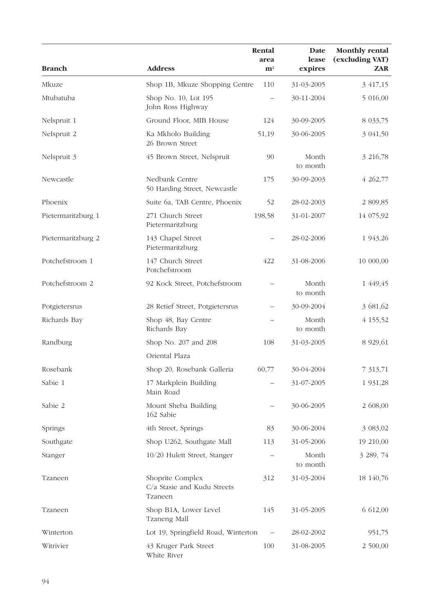| <b>Branch</b>      | <b>Address</b>                                             | Rental<br>area<br>${\bf m}^2$ | Date<br>lease<br>expires | <b>Monthly rental</b><br>(excluding VAT)<br><b>ZAR</b> |
|--------------------|------------------------------------------------------------|-------------------------------|--------------------------|--------------------------------------------------------|
| Mkuze              | Shop 1B, Mkuze Shopping Centre                             | 110                           | 31-03-2005               | 3 417,15                                               |
| Mtubatuba          | Shop No. 10, Lot 195<br>John Ross Highway                  | $\overline{\phantom{0}}$      | 30-11-2004               | 5 016,00                                               |
| Nelspruit 1        | Ground Floor, MIB House                                    | 124                           | 30-09-2005               | 8 033,75                                               |
| Nelspruit 2        | Ka Mkholo Building<br>26 Brown Street                      | 51,19                         | 30-06-2005               | 3 041,50                                               |
| Nelspruit 3        | 45 Brown Street, Nelspruit                                 | 90                            | Month<br>to month        | 3 216,78                                               |
| Newcastle          | Nedbank Centre<br>50 Harding Street, Newcastle             | 175                           | 30-09-2003               | 4 262,77                                               |
| Phoenix            | Suite 6a, TAB Centre, Phoenix                              | 52                            | 28-02-2003               | 2 809,85                                               |
| Pietermaritzburg 1 | 271 Church Street<br>Pietermaritzburg                      | 198,58                        | 31-01-2007               | 14 075,92                                              |
| Pietermaritzburg 2 | 143 Chapel Street<br>Pietermaritzburg                      |                               | 28-02-2006               | 1 943,26                                               |
| Potchefstroom 1    | 147 Church Street<br>Potchefstroom                         | 422                           | 31-08-2006               | 10 000,00                                              |
| Potchefstroom 2    | 92 Kock Street, Potchefstroom                              |                               | Month<br>to month        | 1 449,45                                               |
| Potgietersrus      | 28 Retief Street, Potgietersrus                            |                               | 30-09-2004               | 3 681,62                                               |
| Richards Bay       | Shop 48, Bay Centre<br>Richards Bay                        |                               | Month<br>to month        | 4 155,52                                               |
| Randburg           | Shop No. 207 and 208                                       | 108                           | 31-03-2005               | 8 9 29, 61                                             |
|                    | Oriental Plaza                                             |                               |                          |                                                        |
| Rosebank           | Shop 20, Rosebank Galleria                                 | 60,77                         | 30-04-2004               | 7 313,71                                               |
| Sabie 1            | 17 Markplein Building<br>Main Road                         |                               | 31-07-2005               | 1 931,28                                               |
| Sabie 2            | Mount Sheba Building<br>162 Sabie                          |                               | 30-06-2005               | 2 608,00                                               |
| Springs            | 4th Street, Springs                                        | 83                            | 30-06-2004               | 3 083,02                                               |
| Southgate          | Shop U262, Southgate Mall                                  | 113                           | 31-05-2006               | 19 210,00                                              |
| Stanger            | 10/20 Hulett Street, Stanger                               |                               | Month<br>to month        | 3 289, 74                                              |
| Tzaneen            | Shoprite Complex<br>C/a Stasie and Kudu Streets<br>Tzaneen | 312                           | 31-03-2004               | 18 140,76                                              |
| Tzaneen            | Shop B1A, Lower Level<br>Tzaneng Mall                      | 145                           | 31-05-2005               | 6 612,00                                               |
| Winterton          | Lot 19, Springfield Road, Winterton                        |                               | 28-02-2002               | 951,75                                                 |
| Witrivier          | 43 Kruger Park Street<br>White River                       | 100                           | 31-08-2005               | 2 500,00                                               |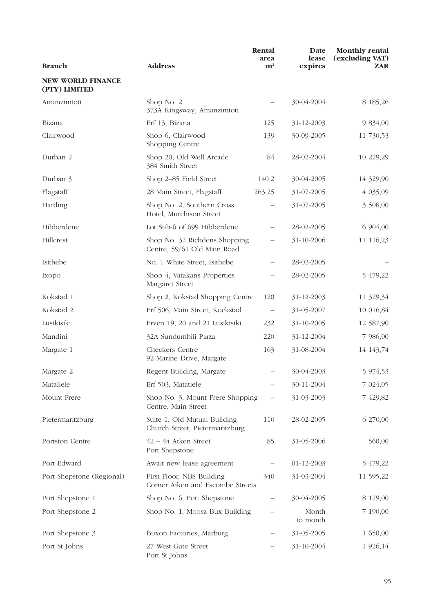|                                           |                                                                 | Rental<br>area           | Date<br>lease     | <b>Monthly rental</b><br>(excluding VAT) |
|-------------------------------------------|-----------------------------------------------------------------|--------------------------|-------------------|------------------------------------------|
| <b>Branch</b>                             | <b>Address</b>                                                  | ${\bf m}^2$              | expires           | <b>ZAR</b>                               |
| <b>NEW WORLD FINANCE</b><br>(PTY) LIMITED |                                                                 |                          |                   |                                          |
| Amanzimtoti                               | Shop No. 2<br>373A Kingsway, Amanzimtoti                        |                          | 30-04-2004        | 8 185,26                                 |
| Bizana                                    | Erf 13, Bizana                                                  | 125                      | 31-12-2003        | 9 834,00                                 |
| Clairwood                                 | Shop 6, Clairwood<br>Shopping Centre                            | 139                      | 30-09-2005        | 11 730,53                                |
| Durban 2                                  | Shop 20, Old Well Arcade<br>384 Smith Street                    | 84                       | 28-02-2004        | 10 229,29                                |
| Durban 3                                  | Shop 2-85 Field Street                                          | 140,2                    | 30-04-2005        | 14 329,90                                |
| Flagstaff                                 | 28 Main Street, Flagstaff                                       | 263,25                   | 31-07-2005        | 4 035,09                                 |
| Harding                                   | Shop No. 2, Southern Cross<br>Hotel, Murchison Street           |                          | 31-07-2005        | 3 508,00                                 |
| Hibberdene                                | Lot Sub-6 of 699 Hibberdene                                     |                          | 28-02-2005        | 6 904,00                                 |
| Hillcrest                                 | Shop No. 32 Richdens Shopping<br>Centre, 59/61 Old Main Road    |                          | 31-10-2006        | 11 116,23                                |
| Isithebe                                  | No. 1 White Street, Isithebe                                    |                          | 28-02-2005        |                                          |
| Ixopo                                     | Shop 4, Vatakans Properties<br>Margaret Street                  |                          | 28-02-2005        | 5 479,22                                 |
| Kokstad 1                                 | Shop 2, Kokstad Shopping Centre                                 | 120                      | 31-12-2003        | 11 329,34                                |
| Kokstad 2                                 | Erf 506, Main Street, Kockstad                                  | $\overline{\phantom{0}}$ | 31-05-2007        | 10 016,84                                |
| Lusikisiki                                | Erven 19, 20 and 21 Lusikisiki                                  | 232                      | 31-10-2005        | 12 587,90                                |
| Mandini                                   | 32A Sundumbili Plaza                                            | 220                      | 31-12-2004        | 7 986,00                                 |
| Margate 1                                 | Checkers Centre<br>92 Marine Drive, Margate                     | 163                      | 31-08-2004        | 14 143,74                                |
| Margate 2                                 | Regent Building, Margate                                        |                          | 30-04-2003        | 5 974,53                                 |
| Mataliele                                 | Erf 503, Matatiele                                              |                          | 30-11-2004        | 7 024,05                                 |
| Mount Frere                               | Shop No. 3, Mount Frere Shopping<br>Centre, Main Street         | —                        | 31-03-2003        | 7 429,82                                 |
| Pietermaritzburg                          | Suite 1, Old Mutual Building<br>Church Street, Pietermaritzburg | 110                      | 28-02-2005        | 6 270,00                                 |
| Portston Centre                           | $42 - 44$ Atken Street<br>Port Shepstone                        | 85                       | 31-05-2006        | 560,00                                   |
| Port Edward                               | Await new lease agreement                                       |                          | 01-12-2003        | 5 479,22                                 |
| Port Shepstone (Regional)                 | First Floor, NBS Building<br>Corner Aiken and Escombe Streets   | 340                      | 31-03-2004        | 11 595,22                                |
| Port Shepstone 1                          | Shop No. 6, Port Shepstone                                      |                          | 30-04-2005        | 8 179,00                                 |
| Port Shepstone 2                          | Shop No. 1, Moosa Bux Building                                  |                          | Month<br>to month | 7 190,00                                 |
| Port Shepstone 3                          | Buxon Factories, Marburg                                        |                          | 31-05-2005        | 1 650,00                                 |
| Port St Johns                             | 27 West Gate Street<br>Port St Johns                            |                          | 31-10-2004        | 1 926,14                                 |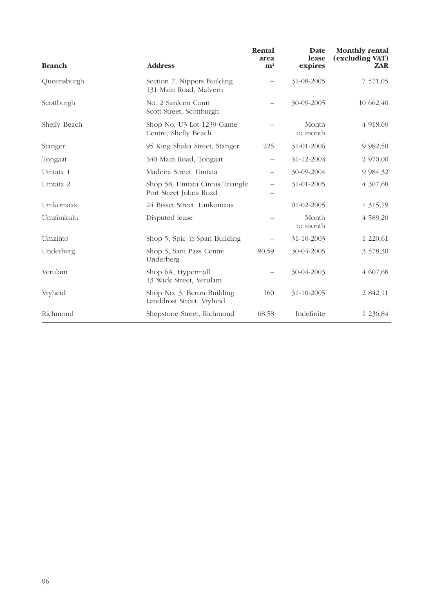| <b>Branch</b> | <b>Address</b>                                            | Rental<br>area<br>${\bf m}^2$ | Date<br>lease<br>expires | <b>Monthly rental</b><br>(excluding VAT)<br><b>ZAR</b> |
|---------------|-----------------------------------------------------------|-------------------------------|--------------------------|--------------------------------------------------------|
| Queensburgh   | Section 7, Nippers Building<br>131 Main Road, Malvern     |                               | 31-08-2005               | 7 571,05                                               |
| Scottburgh    | No. 2 Sanleen Court<br>Scott Street, Scottburgh           |                               | 30-09-2005               | 10 662,40                                              |
| Shelly Beach  | Shop No. U3 Lot 1239 Game<br>Centre, Shelly Beach         |                               | Month<br>to month        | 4 918,69                                               |
| Stanger       | 95 King Shaka Street, Stanger                             | 225                           | 31-01-2006               | 9 9 8 2,50                                             |
| Tongaat       | 340 Main Road, Tongaat                                    |                               | 31-12-2003               | 2 970,00                                               |
| Umtata 1      | Madeira Street, Umtata                                    | $\overline{\phantom{0}}$      | 30-09-2004               | 9 9 8 4, 3 2                                           |
| Umtata 2      | Shop 58, Umtata Circus Triangle<br>Port Street Johns Road |                               | 31-01-2005               | 4 307,68                                               |
| Umkomaas      | 24 Bisset Street, Umkomaas                                |                               | 01-02-2005               | 1 315,79                                               |
| Umzimkulu     | Disputed lease                                            |                               | Month<br>to month        | 4 589,20                                               |
| Umzinto       | Shop 5, Spic 'n Span Building                             |                               | 31-10-2003               | 1 220,61                                               |
| Underberg     | Shop 5, Sani Pass Centre<br>Underberg                     | 90,59                         | 30-04-2005               | 3 578,30                                               |
| Verulam       | Shop 6A, Hypermall<br>13 Wick Street, Verulam             |                               | 30-04-2003               | 4 607,68                                               |
| Vryheid       | Shop No. 3, Beron Building<br>Landdrost Street, Vryheid   | 160                           | 31-10-2005               | 2 842,11                                               |
| Richmond      | Shepstone Street, Richmond                                | 68,58                         | Indefinite               | 1 236,84                                               |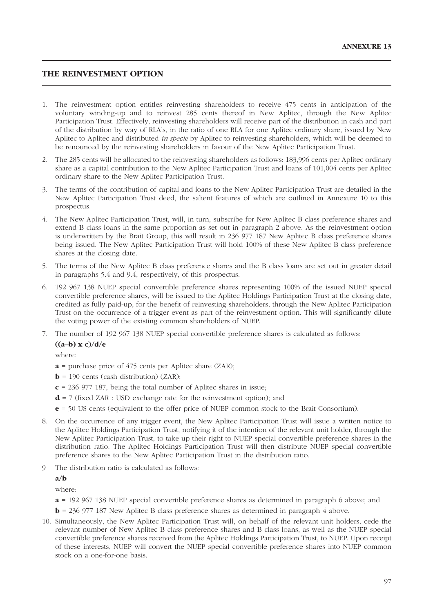## **THE REINVESTMENT OPTION**

- 1. The reinvestment option entitles reinvesting shareholders to receive 475 cents in anticipation of the voluntary winding-up and to reinvest 285 cents thereof in New Aplitec, through the New Aplitec Participation Trust. Effectively, reinvesting shareholders will receive part of the distribution in cash and part of the distribution by way of RLA's, in the ratio of one RLA for one Aplitec ordinary share, issued by New Aplitec to Aplitec and distributed *in specie* by Aplitec to reinvesting shareholders, which will be deemed to be renounced by the reinvesting shareholders in favour of the New Aplitec Participation Trust.
- 2. The 285 cents will be allocated to the reinvesting shareholders as follows: 183,996 cents per Aplitec ordinary share as a capital contribution to the New Aplitec Participation Trust and loans of 101,004 cents per Aplitec ordinary share to the New Aplitec Participation Trust.
- 3. The terms of the contribution of capital and loans to the New Aplitec Participation Trust are detailed in the New Aplitec Participation Trust deed, the salient features of which are outlined in Annexure 10 to this prospectus.
- 4. The New Aplitec Participation Trust, will, in turn, subscribe for New Aplitec B class preference shares and extend B class loans in the same proportion as set out in paragraph 2 above. As the reinvestment option is underwritten by the Brait Group, this will result in 236 977 187 New Aplitec B class preference shares being issued. The New Aplitec Participation Trust will hold 100% of these New Aplitec B class preference shares at the closing date.
- 5. The terms of the New Aplitec B class preference shares and the B class loans are set out in greater detail in paragraphs 5.4 and 9.4, respectively, of this prospectus.
- 6. 192 967 138 NUEP special convertible preference shares representing 100% of the issued NUEP special convertible preference shares, will be issued to the Aplitec Holdings Participation Trust at the closing date, credited as fully paid-up, for the benefit of reinvesting shareholders, through the New Aplitec Participation Trust on the occurrence of a trigger event as part of the reinvestment option. This will significantly dilute the voting power of the existing common shareholders of NUEP.
- 7. The number of 192 967 138 NUEP special convertible preference shares is calculated as follows:

#### **((a–b) x c)/d/e**

where:

- **a** = purchase price of 475 cents per Aplitec share (ZAR);
- $$
- **c** = 236 977 187, being the total number of Aplitec shares in issue;
- $d = 7$  (fixed ZAR : USD exchange rate for the reinvestment option); and
- **e** = 50 US cents (equivalent to the offer price of NUEP common stock to the Brait Consortium).
- 8. On the occurrence of any trigger event, the New Aplitec Participation Trust will issue a written notice to the Aplitec Holdings Participation Trust, notifying it of the intention of the relevant unit holder, through the New Aplitec Participation Trust, to take up their right to NUEP special convertible preference shares in the distribution ratio. The Aplitec Holdings Participation Trust will then distribute NUEP special convertible preference shares to the New Aplitec Participation Trust in the distribution ratio.
- 9 The distribution ratio is calculated as follows:

**a/b**

where:

- **a** = 192 967 138 NUEP special convertible preference shares as determined in paragraph 6 above; and
- **b** = 236 977 187 New Aplitec B class preference shares as determined in paragraph 4 above.
- 10. Simultaneously, the New Aplitec Participation Trust will, on behalf of the relevant unit holders, cede the relevant number of New Aplitec B class preference shares and B class loans, as well as the NUEP special convertible preference shares received from the Aplitec Holdings Participation Trust, to NUEP. Upon receipt of these interests, NUEP will convert the NUEP special convertible preference shares into NUEP common stock on a one-for-one basis.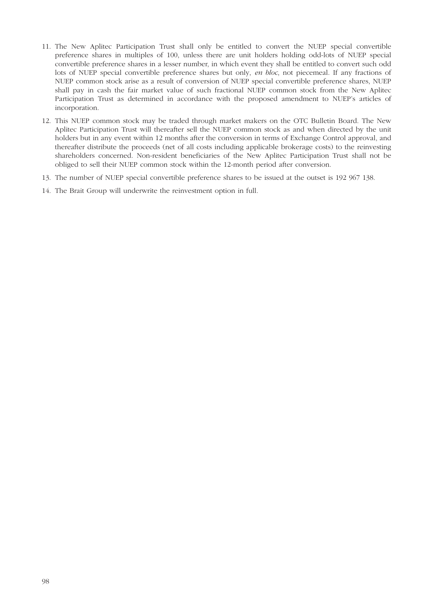- 11. The New Aplitec Participation Trust shall only be entitled to convert the NUEP special convertible preference shares in multiples of 100, unless there are unit holders holding odd-lots of NUEP special convertible preference shares in a lesser number, in which event they shall be entitled to convert such odd lots of NUEP special convertible preference shares but only, *en bloc*, not piecemeal. If any fractions of NUEP common stock arise as a result of conversion of NUEP special convertible preference shares, NUEP shall pay in cash the fair market value of such fractional NUEP common stock from the New Aplitec Participation Trust as determined in accordance with the proposed amendment to NUEP's articles of incorporation.
- 12. This NUEP common stock may be traded through market makers on the OTC Bulletin Board. The New Aplitec Participation Trust will thereafter sell the NUEP common stock as and when directed by the unit holders but in any event within 12 months after the conversion in terms of Exchange Control approval, and thereafter distribute the proceeds (net of all costs including applicable brokerage costs) to the reinvesting shareholders concerned. Non-resident beneficiaries of the New Aplitec Participation Trust shall not be obliged to sell their NUEP common stock within the 12-month period after conversion.
- 13. The number of NUEP special convertible preference shares to be issued at the outset is 192 967 138.
- 14. The Brait Group will underwrite the reinvestment option in full.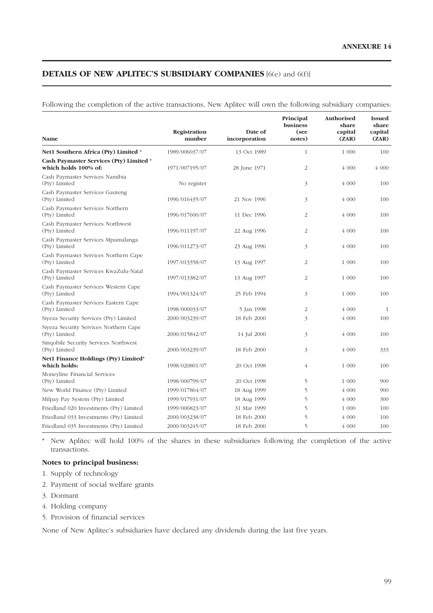# **DETAILS OF NEW APLITEC'S SUBSIDIARY COMPANIES** [6(e) and 6(f)]

Following the completion of the active transactions, New Aplitec will own the following subsidiary companies:

|                                                                 |                        |                          | Principal<br>business | Authorised<br>share | <b>Issued</b><br>share |
|-----------------------------------------------------------------|------------------------|--------------------------|-----------------------|---------------------|------------------------|
| Name                                                            | Registration<br>number | Date of<br>incorporation | (see<br>notes)        | capital<br>(ZAR)    | capital<br>(ZAR)       |
| Net1 Southern Africa (Pty) Limited *                            | 1989/006037/07         | 13 Oct 1989              | $\mathbf{1}$          | 1 000               | 100                    |
| Cash Paymaster Services (Pty) Limited *<br>which holds 100% of: | 1971/007195/07         | 28 June 1971             | 2                     | 4000                | 4 000                  |
| Cash Paymaster Services Namibia<br>(Pty) Limited                | No register            |                          | 3                     | 4 000               | 100                    |
| Cash Paymaster Services Gauteng<br>(Pty) Limited                | 1996/016435/07         | 21 Nov 1996              | 3                     | 4 000               | 100                    |
| Cash Paymaster Services Northern<br>(Pty) Limited               | 1996/017600/07         | 11 Dec 1996              | $\overline{2}$        | 4 000               | 100                    |
| Cash Paymaster Services Northwest<br>(Pty) Limited              | 1996/011197/07         | 22 Aug 1996              | 2                     | 4 000               | 100                    |
| Cash Paymaster Services Mpumalanga<br>(Pty) Limited             | 1996/011273/07         | 23 Aug 1996              | 3                     | 4000                | 100                    |
| Cash Paymaster Services Northern Cape<br>(Pty) Limited          | 1997/013358/07         | 13 Aug 1997              | $\overline{2}$        | 1 000               | 100                    |
| Cash Paymaster Services KwaZulu-Natal<br>(Pty) Limited          | 1997/013382/07         | 13 Aug 1997              | $\overline{2}$        | 1 000               | 100                    |
| Cash Paymaster Services Western Cape<br>(Pty) Limited           | 1994/001324/07         | 25 Feb 1994              | 3                     | 1 000               | 100                    |
| Cash Paymaster Services Eastern Cape<br>(Pty) Limited           | 1998/000033/07         | 5 Jan 1998               | 2                     | 4 000               | 1                      |
| Siyeza Security Services (Pty) Limited                          | 2000/003239/07         | 18 Feb 2000              | 3                     | 4 000               | 100                    |
| Siyeza Security Services Northern Cape<br>(Pty) Limited         | 2000/015842/07         | 14 Jul 2000              | 3                     | 4000                | 100                    |
| Singobile Security Services Northwest<br>(Pty) Limited          | 2000/003239/07         | 18 Feb 2000              | 3                     | 4 000               | 333                    |
| Net1 Finance Holdings (Pty) Limited*<br>which holds:            | 1998/020801/07         | 20 Oct 1998              | $\overline{4}$        | 1 000               | 100                    |
| Moneyline Financial Services<br>(Pty) Limited                   | 1998/000799/07         | 20 Oct 1998              | 5                     | 1 000               | 900                    |
| New World Finance (Pty) Limited                                 | 1999/017864/07         | 18 Aug 1999              | 5                     | 4 000               | 900                    |
| Milpay Pay System (Pty) Limited                                 | 1999/017931/07         | 18 Aug 1999              | 5                     | 4 000               | 300                    |
| Friedland 020 Investments (Pty) Limited                         | 1999/006823/07         | 31 Mar 1999              | 5                     | 1 000               | 100                    |
| Friedland 033 Investments (Pty) Limited                         | 2000/003238/07         | 18 Feb 2000              | 5                     | 4 000               | 100                    |
| Friedland 035 Investments (Pty) Limited                         | 2000/003245/07         | 18 Feb 2000              | 5                     | 4 000               | 100                    |

\* New Aplitec will hold 100% of the shares in these subsidiaries following the completion of the active transactions.

## **Notes to principal business:**

- 1. Supply of technology
- 2. Payment of social welfare grants
- 3. Dormant
- 4. Holding company
- 5. Provision of financial services

None of New Aplitec's subsidiaries have declared any dividends during the last five years.